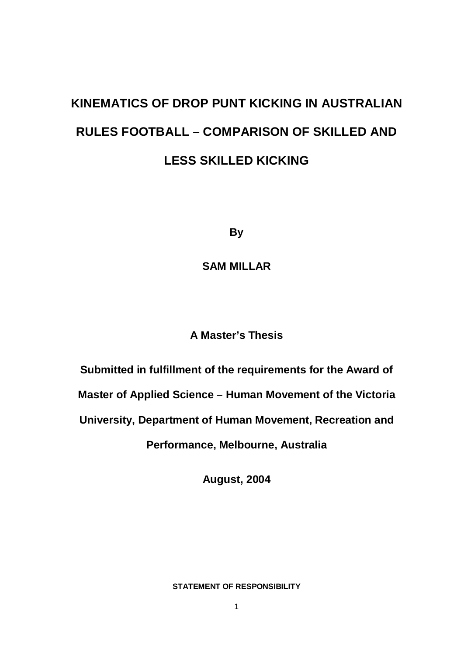# **KINEMATICS OF DROP PUNT KICKING IN AUSTRALIAN RULES FOOTBALL – COMPARISON OF SKILLED AND LESS SKILLED KICKING**

**By**

**SAM MILLAR**

# **A Master's Thesis**

**Submitted in fulfillment of the requirements for the Award of** 

**Master of Applied Science – Human Movement of the Victoria** 

**University, Department of Human Movement, Recreation and** 

**Performance, Melbourne, Australia**

**August, 2004**

### **STATEMENT OF RESPONSIBILITY**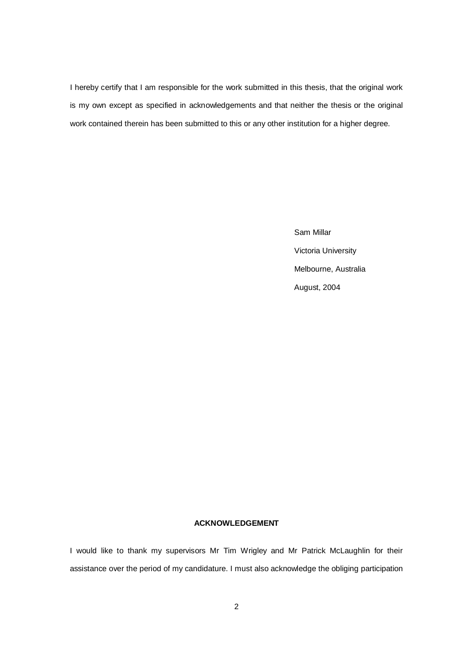I hereby certify that I am responsible for the work submitted in this thesis, that the original work is my own except as specified in acknowledgements and that neither the thesis or the original work contained therein has been submitted to this or any other institution for a higher degree.

> Sam Millar Victoria University Melbourne, Australia August, 2004

#### **ACKNOWLEDGEMENT**

I would like to thank my supervisors Mr Tim Wrigley and Mr Patrick McLaughlin for their assistance over the period of my candidature. I must also acknowledge the obliging participation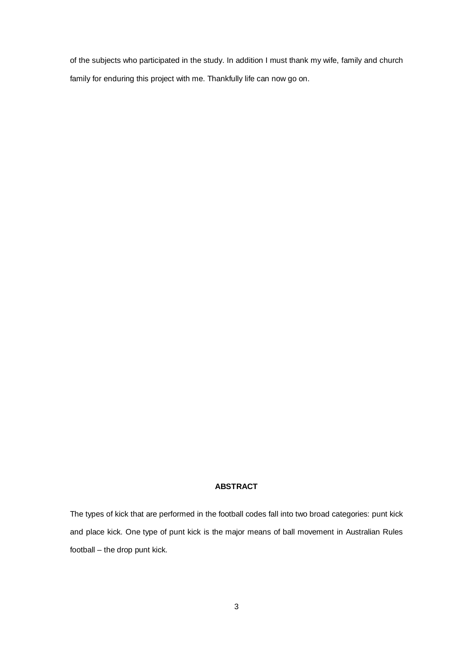of the subjects who participated in the study. In addition I must thank my wife, family and church family for enduring this project with me. Thankfully life can now go on.

#### **ABSTRACT**

The types of kick that are performed in the football codes fall into two broad categories: punt kick and place kick. One type of punt kick is the major means of ball movement in Australian Rules football – the drop punt kick.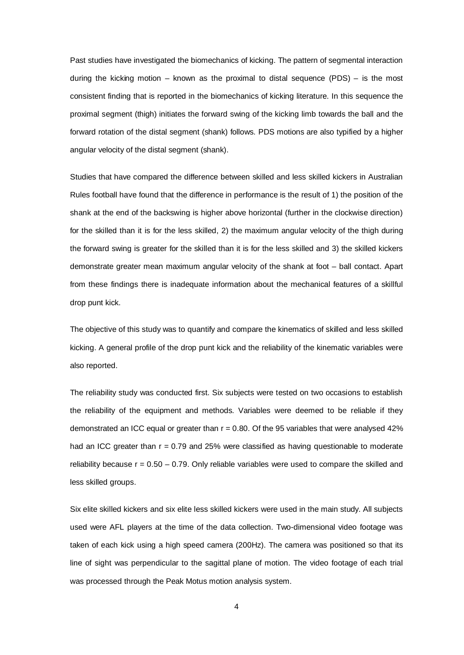Past studies have investigated the biomechanics of kicking. The pattern of segmental interaction during the kicking motion – known as the proximal to distal sequence  $(PDS)$  – is the most consistent finding that is reported in the biomechanics of kicking literature. In this sequence the proximal segment (thigh) initiates the forward swing of the kicking limb towards the ball and the forward rotation of the distal segment (shank) follows. PDS motions are also typified by a higher angular velocity of the distal segment (shank).

Studies that have compared the difference between skilled and less skilled kickers in Australian Rules football have found that the difference in performance is the result of 1) the position of the shank at the end of the backswing is higher above horizontal (further in the clockwise direction) for the skilled than it is for the less skilled, 2) the maximum angular velocity of the thigh during the forward swing is greater for the skilled than it is for the less skilled and 3) the skilled kickers demonstrate greater mean maximum angular velocity of the shank at foot – ball contact. Apart from these findings there is inadequate information about the mechanical features of a skillful drop punt kick.

The objective of this study was to quantify and compare the kinematics of skilled and less skilled kicking. A general profile of the drop punt kick and the reliability of the kinematic variables were also reported.

The reliability study was conducted first. Six subjects were tested on two occasions to establish the reliability of the equipment and methods. Variables were deemed to be reliable if they demonstrated an ICC equal or greater than  $r = 0.80$ . Of the 95 variables that were analysed 42% had an ICC greater than  $r = 0.79$  and 25% were classified as having questionable to moderate reliability because  $r = 0.50 - 0.79$ . Only reliable variables were used to compare the skilled and less skilled groups.

Six elite skilled kickers and six elite less skilled kickers were used in the main study. All subjects used were AFL players at the time of the data collection. Two-dimensional video footage was taken of each kick using a high speed camera (200Hz). The camera was positioned so that its line of sight was perpendicular to the sagittal plane of motion. The video footage of each trial was processed through the Peak Motus motion analysis system.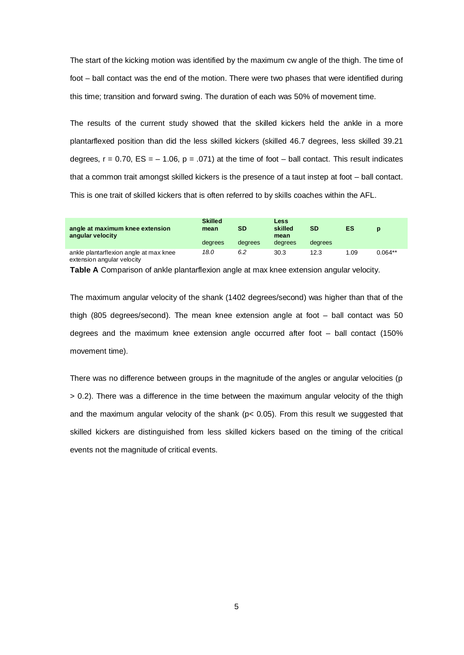The start of the kicking motion was identified by the maximum cw angle of the thigh. The time of foot – ball contact was the end of the motion. There were two phases that were identified during this time; transition and forward swing. The duration of each was 50% of movement time.

The results of the current study showed that the skilled kickers held the ankle in a more plantarflexed position than did the less skilled kickers (skilled 46.7 degrees, less skilled 39.21 degrees,  $r = 0.70$ ,  $ES = -1.06$ ,  $p = .071$ ) at the time of foot – ball contact. This result indicates that a common trait amongst skilled kickers is the presence of a taut instep at foot – ball contact. This is one trait of skilled kickers that is often referred to by skills coaches within the AFL.

| angle at maximum knee extension<br>angular velocity | <b>Skilled</b><br>mean<br>degrees | SD<br>degrees | <b>Less</b><br>skilled<br>mean<br>degrees | <b>SD</b><br>degrees | ES  | D         |
|-----------------------------------------------------|-----------------------------------|---------------|-------------------------------------------|----------------------|-----|-----------|
| ankle plantarflexion angle at max knee              | 18.0                              | 6.2           | 30.3                                      | 12.3                 | .09 | $0.064**$ |

extension angular velocity

**Table A** Comparison of ankle plantarflexion angle at max knee extension angular velocity.

The maximum angular velocity of the shank (1402 degrees/second) was higher than that of the thigh (805 degrees/second). The mean knee extension angle at foot – ball contact was 50 degrees and the maximum knee extension angle occurred after foot – ball contact (150% movement time).

There was no difference between groups in the magnitude of the angles or angular velocities (p > 0.2). There was a difference in the time between the maximum angular velocity of the thigh and the maximum angular velocity of the shank ( $p < 0.05$ ). From this result we suggested that skilled kickers are distinguished from less skilled kickers based on the timing of the critical events not the magnitude of critical events.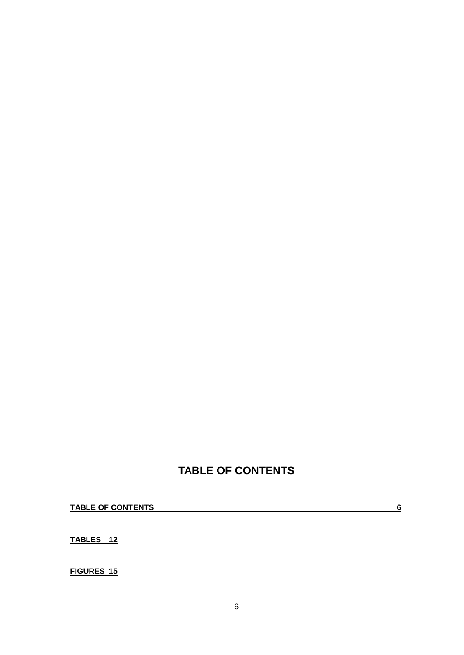# **TABLE OF CONTENTS**

**TABLE OF CONTENTS 6**

**TABLES 12**

**FIGURES 15**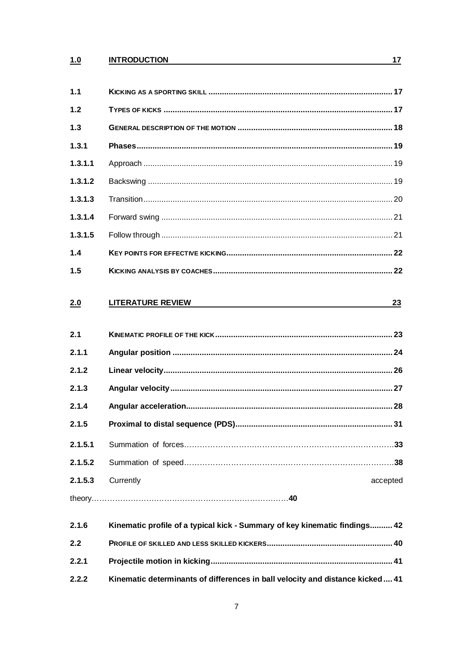# 1.0 INTRODUCTION

| 1.1     |                                                                               |          |
|---------|-------------------------------------------------------------------------------|----------|
| 1.2     |                                                                               |          |
| $1.3$   |                                                                               |          |
| 1.3.1   |                                                                               |          |
| 1.3.1.1 |                                                                               |          |
| 1.3.1.2 |                                                                               |          |
| 1.3.1.3 |                                                                               |          |
| 1.3.1.4 |                                                                               |          |
| 1.3.1.5 |                                                                               |          |
| 1.4     |                                                                               |          |
| 1.5     |                                                                               |          |
| 2.0     | <b>LITERATURE REVIEW</b>                                                      | 23       |
| 2.1     |                                                                               |          |
| 2.1.1   |                                                                               |          |
| 2.1.2   |                                                                               |          |
| 2.1.3   |                                                                               |          |
| 2.1.4   |                                                                               |          |
| 2.1.5   |                                                                               |          |
| 2.1.5.1 |                                                                               |          |
| 2.1.5.2 |                                                                               |          |
| 2.1.5.3 | Currently                                                                     | accepted |
|         |                                                                               |          |
| 2.1.6   | Kinematic profile of a typical kick - Summary of key kinematic findings 42    |          |
| 2.2     |                                                                               |          |
| 2.2.1   |                                                                               |          |
| 2.2.2   | Kinematic determinants of differences in ball velocity and distance kicked 41 |          |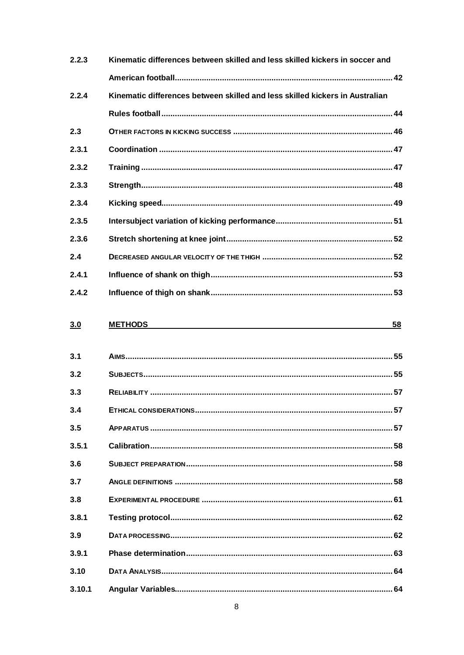| 2.2.3 | Kinematic differences between skilled and less skilled kickers in soccer and |  |
|-------|------------------------------------------------------------------------------|--|
|       |                                                                              |  |
| 2.2.4 | Kinematic differences between skilled and less skilled kickers in Australian |  |
|       |                                                                              |  |
| 2.3   |                                                                              |  |
| 2.3.1 |                                                                              |  |
| 2.3.2 |                                                                              |  |
| 2.3.3 |                                                                              |  |
| 2.3.4 |                                                                              |  |
| 2.3.5 |                                                                              |  |
| 2.3.6 |                                                                              |  |
| 2.4   |                                                                              |  |
| 2.4.1 |                                                                              |  |
| 2.4.2 |                                                                              |  |

#### $3.0$ **METHODS**

 $\frac{58}{56}$ 

| 3.1    |  |
|--------|--|
| 3.2    |  |
| 3.3    |  |
| 3.4    |  |
| 3.5    |  |
| 3.5.1  |  |
| 3.6    |  |
| 3.7    |  |
| 3.8    |  |
| 3.8.1  |  |
| 3.9    |  |
| 3.9.1  |  |
| 3.10   |  |
| 3.10.1 |  |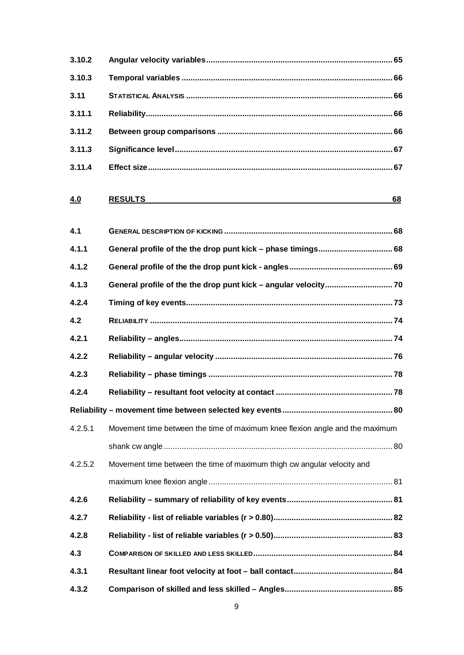| 3.10.2  |                                                                              |
|---------|------------------------------------------------------------------------------|
| 3.10.3  |                                                                              |
| 3.11    |                                                                              |
| 3.11.1  |                                                                              |
| 3.11.2  |                                                                              |
| 3.11.3  |                                                                              |
| 3.11.4  |                                                                              |
| 4.0     | <b>RESULTS</b><br>68                                                         |
| 4.1     |                                                                              |
| 4.1.1   |                                                                              |
| 4.1.2   |                                                                              |
| 4.1.3   |                                                                              |
| 4.2.4   |                                                                              |
| 4.2     |                                                                              |
| 4.2.1   |                                                                              |
| 4.2.2   |                                                                              |
| 4.2.3   |                                                                              |
| 4.2.4   |                                                                              |
|         |                                                                              |
| 4.2.5.1 | Movement time between the time of maximum knee flexion angle and the maximum |
|         |                                                                              |
| 4.2.5.2 | Movement time between the time of maximum thigh cw angular velocity and      |
|         |                                                                              |
| 4.2.6   |                                                                              |
| 4.2.7   |                                                                              |
| 4.2.8   |                                                                              |
| 4.3     |                                                                              |
| 4.3.1   |                                                                              |
| 4.3.2   |                                                                              |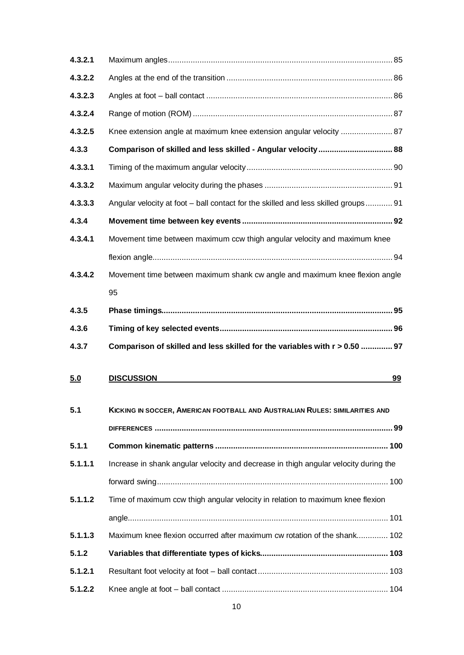| 4.3.2.1 |                                                                                      |    |
|---------|--------------------------------------------------------------------------------------|----|
| 4.3.2.2 |                                                                                      |    |
| 4.3.2.3 |                                                                                      |    |
| 4.3.2.4 |                                                                                      |    |
| 4.3.2.5 | Knee extension angle at maximum knee extension angular velocity  87                  |    |
| 4.3.3   | Comparison of skilled and less skilled - Angular velocity 88                         |    |
| 4.3.3.1 |                                                                                      |    |
| 4.3.3.2 |                                                                                      |    |
| 4.3.3.3 | Angular velocity at foot - ball contact for the skilled and less skilled groups 91   |    |
| 4.3.4   |                                                                                      |    |
| 4.3.4.1 | Movement time between maximum ccw thigh angular velocity and maximum knee            |    |
|         |                                                                                      |    |
| 4.3.4.2 | Movement time between maximum shank cw angle and maximum knee flexion angle          |    |
|         | 95                                                                                   |    |
| 4.3.5   |                                                                                      |    |
| 4.3.6   |                                                                                      |    |
| 4.3.7   | Comparison of skilled and less skilled for the variables with r > 0.50  97           |    |
|         |                                                                                      |    |
| 5.0     | <b>DISCUSSION</b>                                                                    | 99 |
|         |                                                                                      |    |
| 5.1     | KICKING IN SOCCER, AMERICAN FOOTBALL AND AUSTRALIAN RULES: SIMILARITIES AND          |    |
|         |                                                                                      |    |
| 5.1.1   |                                                                                      |    |
| 5.1.1.1 | Increase in shank angular velocity and decrease in thigh angular velocity during the |    |
|         |                                                                                      |    |
| 5.1.1.2 | Time of maximum ccw thigh angular velocity in relation to maximum knee flexion       |    |
|         |                                                                                      |    |
| 5.1.1.3 | Maximum knee flexion occurred after maximum cw rotation of the shank 102             |    |
| 5.1.2   |                                                                                      |    |
| 5.1.2.1 |                                                                                      |    |
| 5.1.2.2 |                                                                                      |    |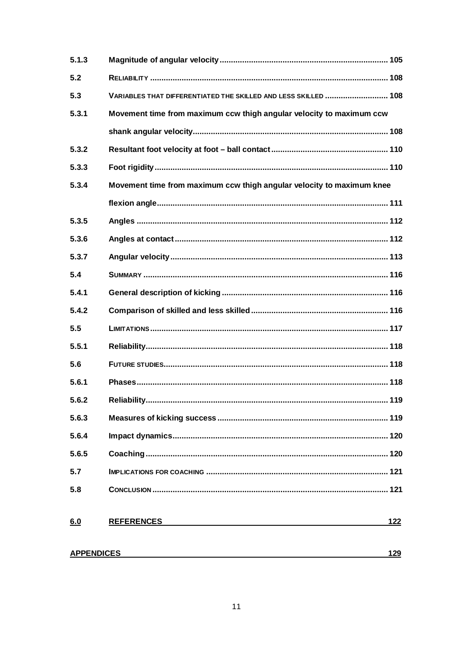| 5.1.3             |                                                                       |
|-------------------|-----------------------------------------------------------------------|
| 5.2               |                                                                       |
| 5.3               | VARIABLES THAT DIFFERENTIATED THE SKILLED AND LESS SKILLED  108       |
| 5.3.1             | Movement time from maximum ccw thigh angular velocity to maximum ccw  |
|                   |                                                                       |
| 5.3.2             |                                                                       |
| 5.3.3             |                                                                       |
| 5.3.4             | Movement time from maximum ccw thigh angular velocity to maximum knee |
|                   |                                                                       |
| 5.3.5             |                                                                       |
| 5.3.6             |                                                                       |
| 5.3.7             |                                                                       |
| 5.4               |                                                                       |
| 5.4.1             |                                                                       |
| 5.4.2             |                                                                       |
| 5.5               |                                                                       |
| 5.5.1             |                                                                       |
| 5.6               |                                                                       |
| 5.6.1             |                                                                       |
| 5.6.2             |                                                                       |
| 5.6.3             |                                                                       |
| 5.6.4             |                                                                       |
| 5.6.5             |                                                                       |
| 5.7               |                                                                       |
| 5.8               |                                                                       |
|                   |                                                                       |
| 6.0               | <b>REFERENCES</b><br>122                                              |
| <b>APPENDICES</b> | 129                                                                   |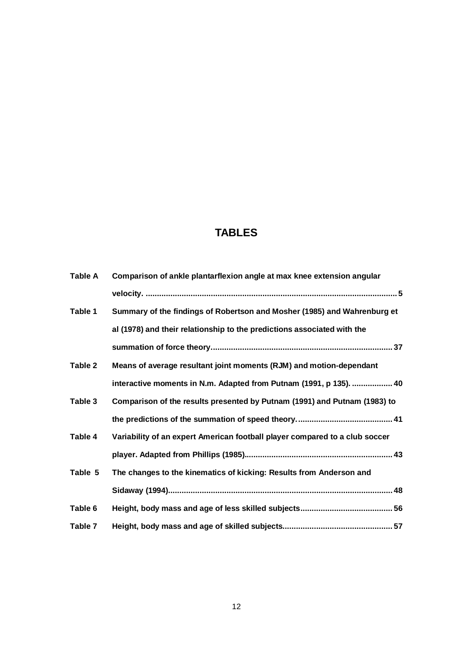# **TABLES**

| Table A | Comparison of ankle plantarflexion angle at max knee extension angular      |
|---------|-----------------------------------------------------------------------------|
|         |                                                                             |
| Table 1 | Summary of the findings of Robertson and Mosher (1985) and Wahrenburg et    |
|         | al (1978) and their relationship to the predictions associated with the     |
|         |                                                                             |
| Table 2 | Means of average resultant joint moments (RJM) and motion-dependant         |
|         | interactive moments in N.m. Adapted from Putnam (1991, p 135).  40          |
| Table 3 | Comparison of the results presented by Putnam (1991) and Putnam (1983) to   |
|         |                                                                             |
| Table 4 | Variability of an expert American football player compared to a club soccer |
|         |                                                                             |
| Table 5 | The changes to the kinematics of kicking: Results from Anderson and         |
|         |                                                                             |
| Table 6 |                                                                             |
| Table 7 |                                                                             |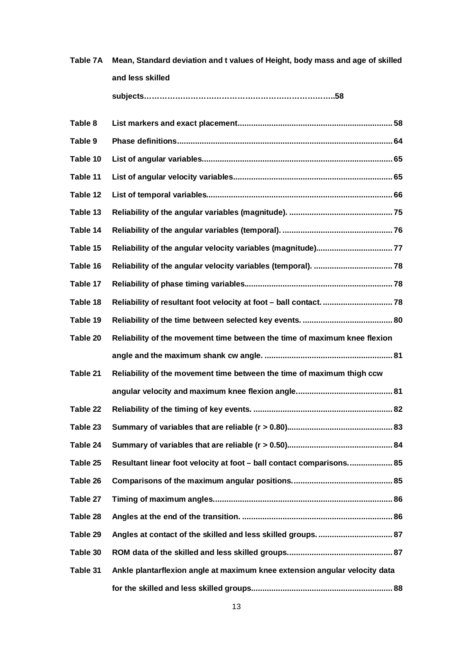| Table 7A | Mean, Standard deviation and t values of Height, body mass and age of skilled |  |
|----------|-------------------------------------------------------------------------------|--|
|          | and less skilled                                                              |  |
|          |                                                                               |  |
| Table 8  |                                                                               |  |
| Table 9  |                                                                               |  |
| Table 10 |                                                                               |  |
| Table 11 |                                                                               |  |
| Table 12 |                                                                               |  |
| Table 13 |                                                                               |  |
| Table 14 |                                                                               |  |
| Table 15 |                                                                               |  |
| Table 16 |                                                                               |  |
| Table 17 |                                                                               |  |
| Table 18 |                                                                               |  |
| Table 19 |                                                                               |  |
| Table 20 | Reliability of the movement time between the time of maximum knee flexion     |  |
|          |                                                                               |  |
| Table 21 | Reliability of the movement time between the time of maximum thigh ccw        |  |
|          |                                                                               |  |
| Table 22 |                                                                               |  |
| Table 23 |                                                                               |  |
| Table 24 |                                                                               |  |
| Table 25 | Resultant linear foot velocity at foot - ball contact comparisons 85          |  |
| Table 26 |                                                                               |  |
| Table 27 |                                                                               |  |
| Table 28 |                                                                               |  |
| Table 29 | Angles at contact of the skilled and less skilled groups.  87                 |  |
| Table 30 |                                                                               |  |
| Table 31 | Ankle plantarflexion angle at maximum knee extension angular velocity data    |  |
|          |                                                                               |  |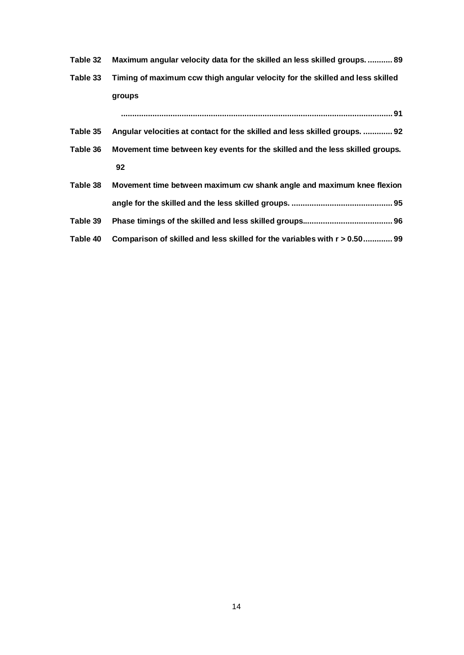- **Table 32 Maximum angular velocity data for the skilled an less skilled groups. ........... 89**
- **Table 33 Timing of maximum ccw thigh angular velocity for the skilled and less skilled groups**

**......................................................................................................................... 91**

- **Table 35 Angular velocities at contact for the skilled and less skilled groups. ............. 92 Table 36 Movement time between key events for the skilled and the less skilled groups.**
	- **92**

| Table 38 | Movement time between maximum cw shank angle and maximum knee flexion     |  |
|----------|---------------------------------------------------------------------------|--|
|          |                                                                           |  |
| Table 39 |                                                                           |  |
| Table 40 | Comparison of skilled and less skilled for the variables with r > 0.50 99 |  |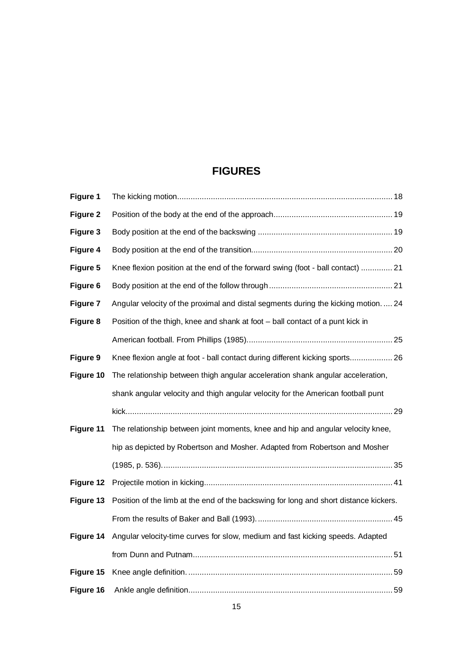# **FIGURES**

| <b>Figure 1</b> |                                                                                       |
|-----------------|---------------------------------------------------------------------------------------|
| Figure 2        |                                                                                       |
| Figure 3        |                                                                                       |
| Figure 4        |                                                                                       |
| Figure 5        | Knee flexion position at the end of the forward swing (foot - ball contact)  21       |
| Figure 6        |                                                                                       |
| Figure 7        | Angular velocity of the proximal and distal segments during the kicking motion.  24   |
| Figure 8        | Position of the thigh, knee and shank at foot - ball contact of a punt kick in        |
|                 |                                                                                       |
| Figure 9        | Knee flexion angle at foot - ball contact during different kicking sports 26          |
| Figure 10       | The relationship between thigh angular acceleration shank angular acceleration,       |
|                 | shank angular velocity and thigh angular velocity for the American football punt      |
|                 |                                                                                       |
| Figure 11       | The relationship between joint moments, knee and hip and angular velocity knee,       |
|                 | hip as depicted by Robertson and Mosher. Adapted from Robertson and Mosher            |
|                 |                                                                                       |
| Figure 12       |                                                                                       |
| Figure 13       | Position of the limb at the end of the backswing for long and short distance kickers. |
|                 |                                                                                       |
| Figure 14       | Angular velocity-time curves for slow, medium and fast kicking speeds. Adapted        |
|                 |                                                                                       |
| Figure 15       |                                                                                       |
| Figure 16       |                                                                                       |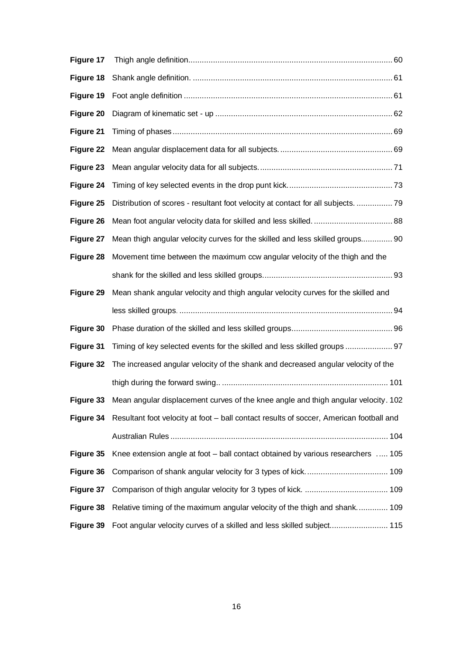| Figure 17 |                                                                                         |
|-----------|-----------------------------------------------------------------------------------------|
| Figure 18 |                                                                                         |
| Figure 19 |                                                                                         |
| Figure 20 |                                                                                         |
| Figure 21 |                                                                                         |
| Figure 22 |                                                                                         |
| Figure 23 |                                                                                         |
| Figure 24 |                                                                                         |
| Figure 25 | Distribution of scores - resultant foot velocity at contact for all subjects.  79       |
| Figure 26 |                                                                                         |
| Figure 27 | Mean thigh angular velocity curves for the skilled and less skilled groups 90           |
| Figure 28 | Movement time between the maximum ccw angular velocity of the thigh and the             |
|           |                                                                                         |
| Figure 29 | Mean shank angular velocity and thigh angular velocity curves for the skilled and       |
|           |                                                                                         |
| Figure 30 |                                                                                         |
| Figure 31 | Timing of key selected events for the skilled and less skilled groups  97               |
| Figure 32 | The increased angular velocity of the shank and decreased angular velocity of the       |
|           |                                                                                         |
| Figure 33 | Mean angular displacement curves of the knee angle and thigh angular velocity. 102      |
| Figure 34 | Resultant foot velocity at foot - ball contact results of soccer, American football and |
|           |                                                                                         |
| Figure 35 | Knee extension angle at foot – ball contact obtained by various researchers  105        |
| Figure 36 |                                                                                         |
| Figure 37 |                                                                                         |
| Figure 38 | Relative timing of the maximum angular velocity of the thigh and shank 109              |
| Figure 39 | Foot angular velocity curves of a skilled and less skilled subject 115                  |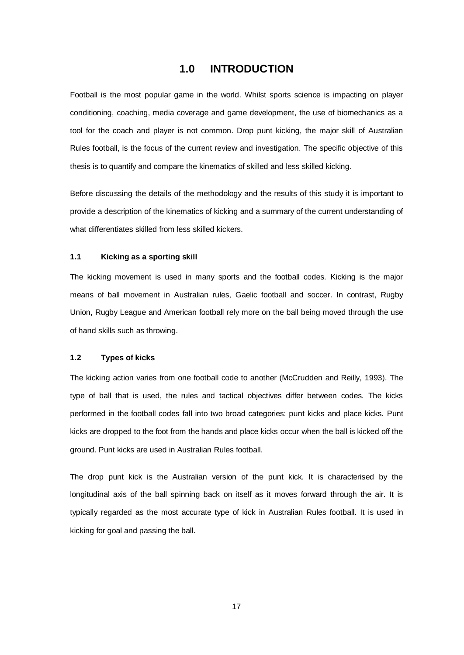### **1.0 INTRODUCTION**

Football is the most popular game in the world. Whilst sports science is impacting on player conditioning, coaching, media coverage and game development, the use of biomechanics as a tool for the coach and player is not common. Drop punt kicking, the major skill of Australian Rules football, is the focus of the current review and investigation. The specific objective of this thesis is to quantify and compare the kinematics of skilled and less skilled kicking.

Before discussing the details of the methodology and the results of this study it is important to provide a description of the kinematics of kicking and a summary of the current understanding of what differentiates skilled from less skilled kickers.

#### **1.1 Kicking as a sporting skill**

The kicking movement is used in many sports and the football codes. Kicking is the major means of ball movement in Australian rules, Gaelic football and soccer. In contrast, Rugby Union, Rugby League and American football rely more on the ball being moved through the use of hand skills such as throwing.

#### **1.2 Types of kicks**

The kicking action varies from one football code to another (McCrudden and Reilly, 1993). The type of ball that is used, the rules and tactical objectives differ between codes. The kicks performed in the football codes fall into two broad categories: punt kicks and place kicks. Punt kicks are dropped to the foot from the hands and place kicks occur when the ball is kicked off the ground. Punt kicks are used in Australian Rules football.

The drop punt kick is the Australian version of the punt kick. It is characterised by the longitudinal axis of the ball spinning back on itself as it moves forward through the air. It is typically regarded as the most accurate type of kick in Australian Rules football. It is used in kicking for goal and passing the ball.

17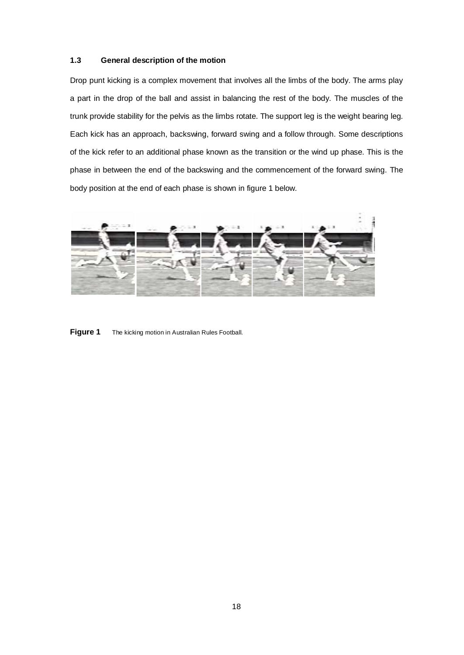#### **1.3 General description of the motion**

Drop punt kicking is a complex movement that involves all the limbs of the body. The arms play a part in the drop of the ball and assist in balancing the rest of the body. The muscles of the trunk provide stability for the pelvis as the limbs rotate. The support leg is the weight bearing leg. Each kick has an approach, backswing, forward swing and a follow through. Some descriptions of the kick refer to an additional phase known as the transition or the wind up phase. This is the phase in between the end of the backswing and the commencement of the forward swing. The body position at the end of each phase is shown in figure 1 below.



**Figure 1** The kicking motion in Australian Rules Football.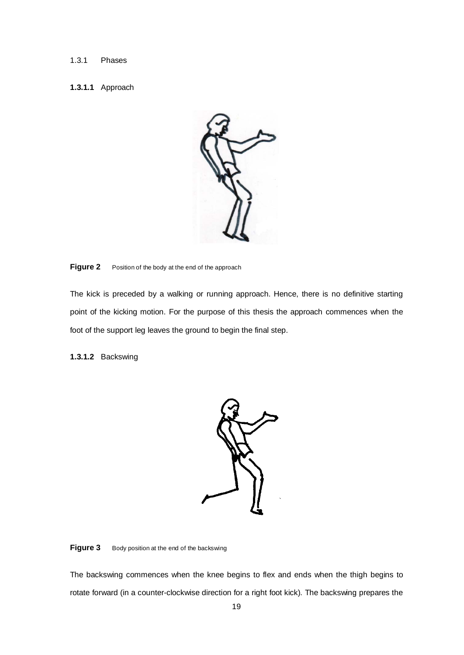#### 1.3.1 Phases

### **1.3.1.1** Approach



#### **Figure 2** Position of the body at the end of the approach

The kick is preceded by a walking or running approach. Hence, there is no definitive starting point of the kicking motion. For the purpose of this thesis the approach commences when the foot of the support leg leaves the ground to begin the final step.

**1.3.1.2** Backswing



#### Figure 3 Body position at the end of the backswing

The backswing commences when the knee begins to flex and ends when the thigh begins to rotate forward (in a counter-clockwise direction for a right foot kick). The backswing prepares the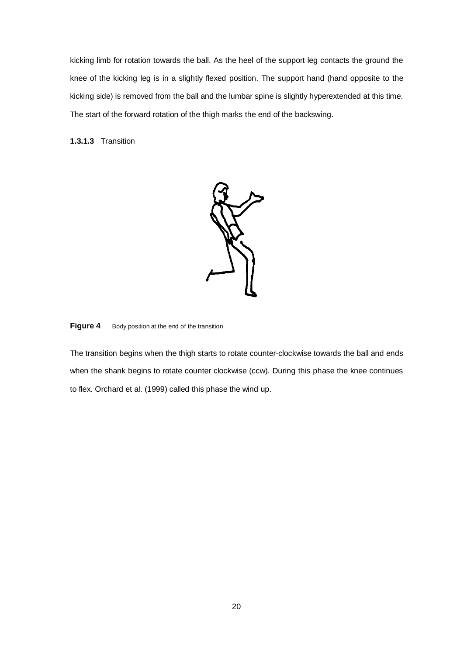kicking limb for rotation towards the ball. As the heel of the support leg contacts the ground the knee of the kicking leg is in a slightly flexed position. The support hand (hand opposite to the kicking side) is removed from the ball and the lumbar spine is slightly hyperextended at this time. The start of the forward rotation of the thigh marks the end of the backswing.

**1.3.1.3** Transition



**Figure 4** Body position at the end of the transition

The transition begins when the thigh starts to rotate counter-clockwise towards the ball and ends when the shank begins to rotate counter clockwise (ccw). During this phase the knee continues to flex. Orchard et al. (1999) called this phase the wind up.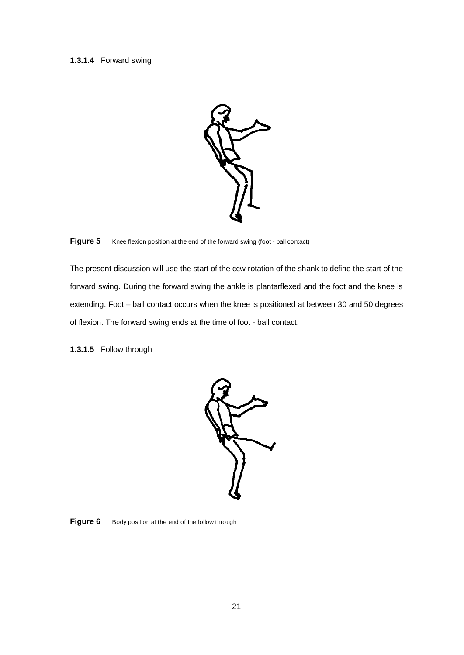#### **1.3.1.4** Forward swing



**Figure 5** Knee flexion position at the end of the forward swing (foot - ball contact)

The present discussion will use the start of the ccw rotation of the shank to define the start of the forward swing. During the forward swing the ankle is plantarflexed and the foot and the knee is extending. Foot – ball contact occurs when the knee is positioned at between 30 and 50 degrees of flexion. The forward swing ends at the time of foot - ball contact.

**1.3.1.5** Follow through



Figure 6 Body position at the end of the follow through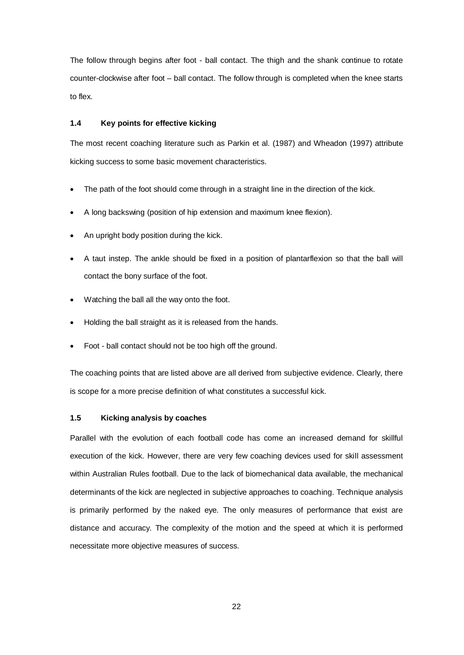The follow through begins after foot - ball contact. The thigh and the shank continue to rotate counter-clockwise after foot – ball contact. The follow through is completed when the knee starts to flex.

#### **1.4 Key points for effective kicking**

The most recent coaching literature such as Parkin et al. (1987) and Wheadon (1997) attribute kicking success to some basic movement characteristics.

- The path of the foot should come through in a straight line in the direction of the kick.
- A long backswing (position of hip extension and maximum knee flexion).
- An upright body position during the kick.
- A taut instep. The ankle should be fixed in a position of plantarflexion so that the ball will contact the bony surface of the foot.
- Watching the ball all the way onto the foot.
- Holding the ball straight as it is released from the hands.
- Foot ball contact should not be too high off the ground.

The coaching points that are listed above are all derived from subjective evidence. Clearly, there is scope for a more precise definition of what constitutes a successful kick.

#### **1.5 Kicking analysis by coaches**

Parallel with the evolution of each football code has come an increased demand for skillful execution of the kick. However, there are very few coaching devices used for skill assessment within Australian Rules football. Due to the lack of biomechanical data available, the mechanical determinants of the kick are neglected in subjective approaches to coaching. Technique analysis is primarily performed by the naked eye. The only measures of performance that exist are distance and accuracy. The complexity of the motion and the speed at which it is performed necessitate more objective measures of success.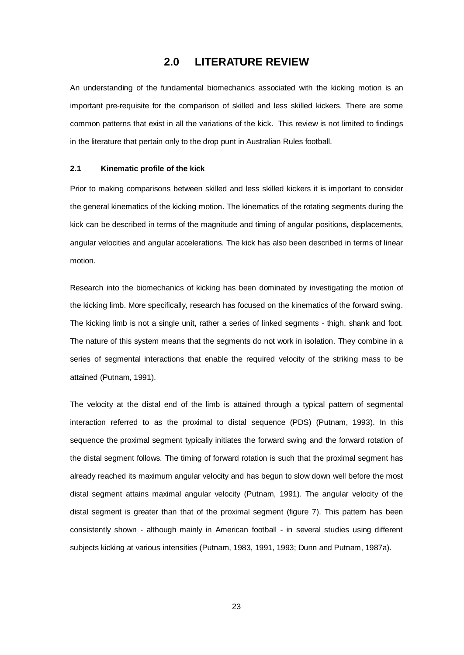## **2.0 LITERATURE REVIEW**

An understanding of the fundamental biomechanics associated with the kicking motion is an important pre-requisite for the comparison of skilled and less skilled kickers. There are some common patterns that exist in all the variations of the kick. This review is not limited to findings in the literature that pertain only to the drop punt in Australian Rules football.

#### **2.1 Kinematic profile of the kick**

Prior to making comparisons between skilled and less skilled kickers it is important to consider the general kinematics of the kicking motion. The kinematics of the rotating segments during the kick can be described in terms of the magnitude and timing of angular positions, displacements, angular velocities and angular accelerations. The kick has also been described in terms of linear motion.

Research into the biomechanics of kicking has been dominated by investigating the motion of the kicking limb. More specifically, research has focused on the kinematics of the forward swing. The kicking limb is not a single unit, rather a series of linked segments - thigh, shank and foot. The nature of this system means that the segments do not work in isolation. They combine in a series of segmental interactions that enable the required velocity of the striking mass to be attained (Putnam, 1991).

The velocity at the distal end of the limb is attained through a typical pattern of segmental interaction referred to as the proximal to distal sequence (PDS) (Putnam, 1993). In this sequence the proximal segment typically initiates the forward swing and the forward rotation of the distal segment follows. The timing of forward rotation is such that the proximal segment has already reached its maximum angular velocity and has begun to slow down well before the most distal segment attains maximal angular velocity (Putnam, 1991). The angular velocity of the distal segment is greater than that of the proximal segment (figure 7). This pattern has been consistently shown - although mainly in American football - in several studies using different subjects kicking at various intensities (Putnam, 1983, 1991, 1993; Dunn and Putnam, 1987a).

23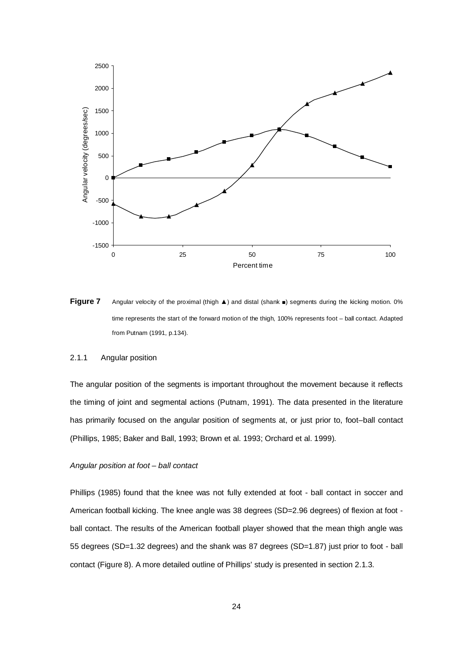

**Figure 7** Angular velocity of the proximal (thigh **A**) and distal (shank ■) segments during the kicking motion. 0% time represents the start of the forward motion of the thigh, 100% represents foot – ball contact. Adapted from Putnam (1991, p.134).

#### 2.1.1 Angular position

The angular position of the segments is important throughout the movement because it reflects the timing of joint and segmental actions (Putnam, 1991). The data presented in the literature has primarily focused on the angular position of segments at, or just prior to, foot–ball contact (Phillips, 1985; Baker and Ball, 1993; Brown et al. 1993; Orchard et al. 1999).

#### *Angular position at foot – ball contact*

Phillips (1985) found that the knee was not fully extended at foot - ball contact in soccer and American football kicking. The knee angle was 38 degrees (SD=2.96 degrees) of flexion at foot ball contact. The results of the American football player showed that the mean thigh angle was 55 degrees (SD=1.32 degrees) and the shank was 87 degrees (SD=1.87) just prior to foot - ball contact (Figure 8). A more detailed outline of Phillips' study is presented in section 2.1.3.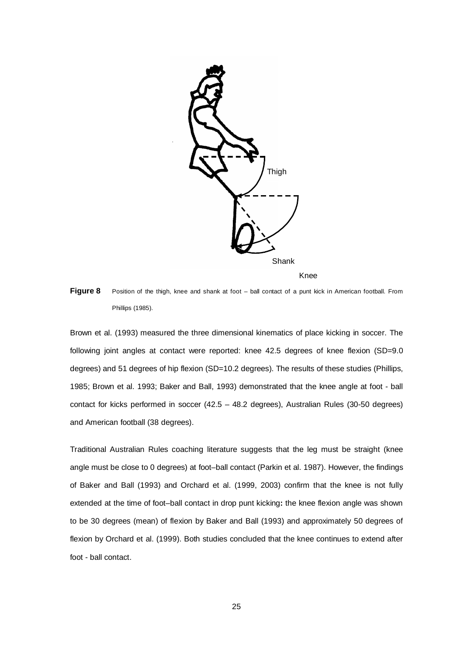

Knee

**Figure 8** Position of the thigh, knee and shank at foot – ball contact of a punt kick in American football. From Phillips (1985).

Brown et al. (1993) measured the three dimensional kinematics of place kicking in soccer. The following joint angles at contact were reported: knee 42.5 degrees of knee flexion (SD=9.0) degrees) and 51 degrees of hip flexion (SD=10.2 degrees). The results of these studies (Phillips, 1985; Brown et al. 1993; Baker and Ball, 1993) demonstrated that the knee angle at foot - ball contact for kicks performed in soccer (42.5 – 48.2 degrees), Australian Rules (30-50 degrees) and American football (38 degrees).

Traditional Australian Rules coaching literature suggests that the leg must be straight (knee angle must be close to 0 degrees) at foot–ball contact (Parkin et al. 1987). However, the findings of Baker and Ball (1993) and Orchard et al. (1999, 2003) confirm that the knee is not fully extended at the time of foot–ball contact in drop punt kicking**:** the knee flexion angle was shown to be 30 degrees (mean) of flexion by Baker and Ball (1993) and approximately 50 degrees of flexion by Orchard et al. (1999). Both studies concluded that the knee continues to extend after foot - ball contact.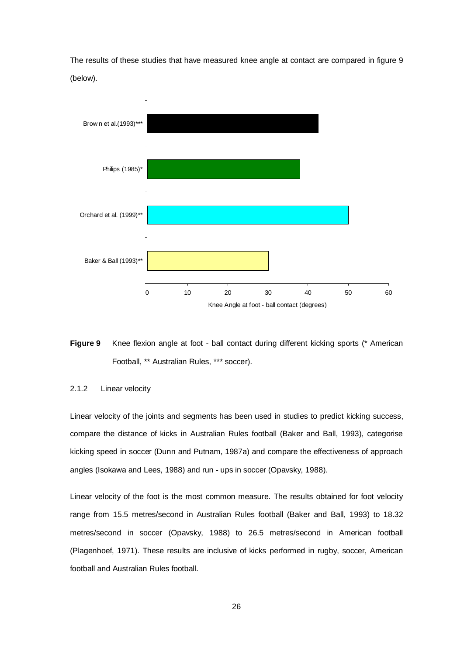The results of these studies that have measured knee angle at contact are compared in figure 9 (below).





#### 2.1.2 Linear velocity

Linear velocity of the joints and segments has been used in studies to predict kicking success, compare the distance of kicks in Australian Rules football (Baker and Ball, 1993), categorise kicking speed in soccer (Dunn and Putnam, 1987a) and compare the effectiveness of approach angles (Isokawa and Lees, 1988) and run - ups in soccer (Opavsky, 1988).

Linear velocity of the foot is the most common measure. The results obtained for foot velocity range from 15.5 metres/second in Australian Rules football (Baker and Ball, 1993) to 18.32 metres/second in soccer (Opavsky, 1988) to 26.5 metres/second in American football (Plagenhoef, 1971). These results are inclusive of kicks performed in rugby, soccer, American football and Australian Rules football.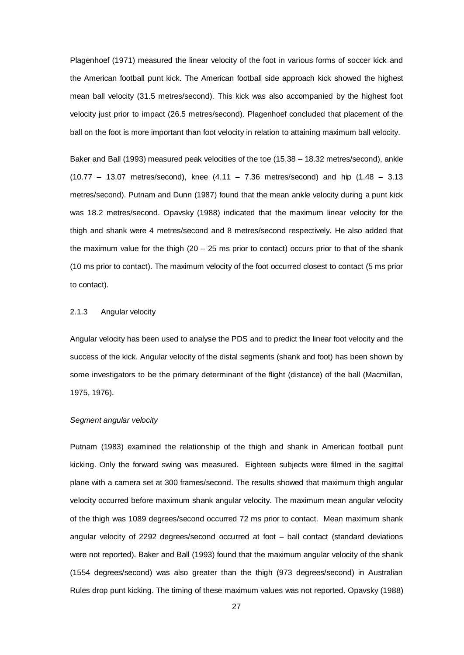Plagenhoef (1971) measured the linear velocity of the foot in various forms of soccer kick and the American football punt kick. The American football side approach kick showed the highest mean ball velocity (31.5 metres/second). This kick was also accompanied by the highest foot velocity just prior to impact (26.5 metres/second). Plagenhoef concluded that placement of the ball on the foot is more important than foot velocity in relation to attaining maximum ball velocity.

Baker and Ball (1993) measured peak velocities of the toe (15.38 – 18.32 metres/second), ankle  $(10.77 - 13.07$  metres/second), knee  $(4.11 - 7.36$  metres/second) and hip  $(1.48 - 3.13)$ metres/second). Putnam and Dunn (1987) found that the mean ankle velocity during a punt kick was 18.2 metres/second. Opavsky (1988) indicated that the maximum linear velocity for the thigh and shank were 4 metres/second and 8 metres/second respectively. He also added that the maximum value for the thigh  $(20 - 25 \text{ ms prior to contact})$  occurs prior to that of the shank (10 ms prior to contact). The maximum velocity of the foot occurred closest to contact (5 ms prior to contact).

#### 2.1.3 Angular velocity

Angular velocity has been used to analyse the PDS and to predict the linear foot velocity and the success of the kick. Angular velocity of the distal segments (shank and foot) has been shown by some investigators to be the primary determinant of the flight (distance) of the ball (Macmillan, 1975, 1976).

#### *Segment angular velocity*

Putnam (1983) examined the relationship of the thigh and shank in American football punt kicking. Only the forward swing was measured. Eighteen subjects were filmed in the sagittal plane with a camera set at 300 frames/second. The results showed that maximum thigh angular velocity occurred before maximum shank angular velocity. The maximum mean angular velocity of the thigh was 1089 degrees/second occurred 72 ms prior to contact. Mean maximum shank angular velocity of 2292 degrees/second occurred at foot – ball contact (standard deviations were not reported). Baker and Ball (1993) found that the maximum angular velocity of the shank (1554 degrees/second) was also greater than the thigh (973 degrees/second) in Australian Rules drop punt kicking. The timing of these maximum values was not reported. Opavsky (1988)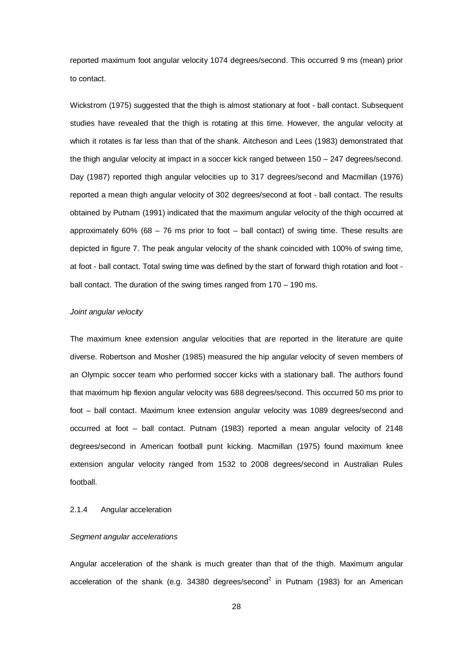reported maximum foot angular velocity 1074 degrees/second. This occurred 9 ms (mean) prior to contact.

Wickstrom (1975) suggested that the thigh is almost stationary at foot - ball contact. Subsequent studies have revealed that the thigh is rotating at this time. However, the angular velocity at which it rotates is far less than that of the shank. Aitcheson and Lees (1983) demonstrated that the thigh angular velocity at impact in a soccer kick ranged between 150 – 247 degrees/second. Day (1987) reported thigh angular velocities up to 317 degrees/second and Macmillan (1976) reported a mean thigh angular velocity of 302 degrees/second at foot - ball contact. The results obtained by Putnam (1991) indicated that the maximum angular velocity of the thigh occurred at approximately  $60\%$  ( $68 - 76$  ms prior to foot – ball contact) of swing time. These results are depicted in figure 7. The peak angular velocity of the shank coincided with 100% of swing time, at foot - ball contact. Total swing time was defined by the start of forward thigh rotation and foot ball contact. The duration of the swing times ranged from 170 – 190 ms.

#### *Joint angular velocity*

The maximum knee extension angular velocities that are reported in the literature are quite diverse. Robertson and Mosher (1985) measured the hip angular velocity of seven members of an Olympic soccer team who performed soccer kicks with a stationary ball. The authors found that maximum hip flexion angular velocity was 688 degrees/second. This occurred 50 ms prior to foot – ball contact. Maximum knee extension angular velocity was 1089 degrees/second and occurred at foot – ball contact. Putnam (1983) reported a mean angular velocity of 2148 degrees/second in American football punt kicking. Macmillan (1975) found maximum knee extension angular velocity ranged from 1532 to 2008 degrees/second in Australian Rules football.

#### 2.1.4 Angular acceleration

#### *Segment angular accelerations*

Angular acceleration of the shank is much greater than that of the thigh. Maximum angular acceleration of the shank (e.g.  $34380$  degrees/second<sup>2</sup> in Putnam (1983) for an American

28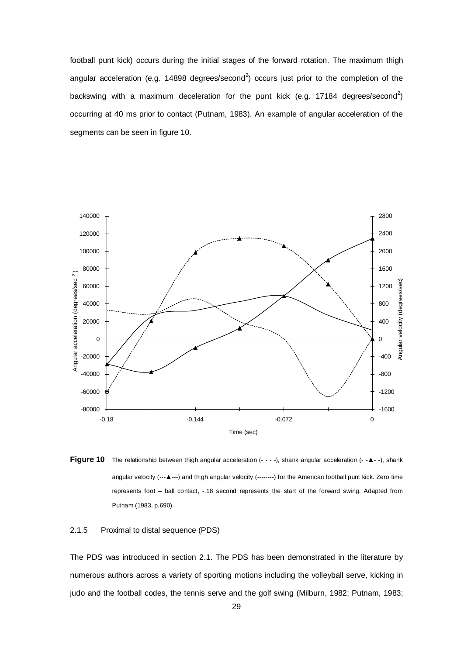football punt kick) occurs during the initial stages of the forward rotation. The maximum thigh angular acceleration (e.g. 14898 degrees/second<sup>2</sup>) occurs just prior to the completion of the backswing with a maximum deceleration for the punt kick (e.g. 17184 degrees/second<sup>2</sup>) occurring at 40 ms prior to contact (Putnam, 1983). An example of angular acceleration of the segments can be seen in figure 10.



**Figure 10** The relationship between thigh angular acceleration (- - - -), shank angular acceleration (- -▲- -), shank angular velocity (---▲---) and thigh angular velocity (--------) for the American football punt kick. Zero time represents foot – ball contact, -.18 second represents the start of the forward swing. Adapted from Putnam (1983, p.690).

2.1.5 Proximal to distal sequence (PDS)

The PDS was introduced in section 2.1. The PDS has been demonstrated in the literature by numerous authors across a variety of sporting motions including the volleyball serve, kicking in judo and the football codes, the tennis serve and the golf swing (Milburn, 1982; Putnam, 1983;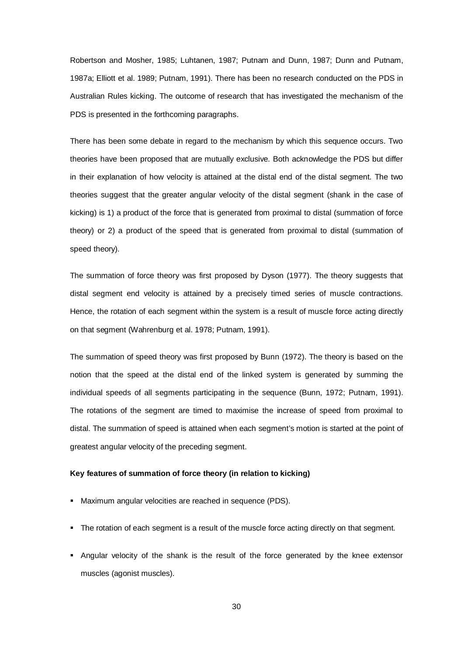Robertson and Mosher, 1985; Luhtanen, 1987; Putnam and Dunn, 1987; Dunn and Putnam, 1987a; Elliott et al. 1989; Putnam, 1991). There has been no research conducted on the PDS in Australian Rules kicking. The outcome of research that has investigated the mechanism of the PDS is presented in the forthcoming paragraphs.

There has been some debate in regard to the mechanism by which this sequence occurs. Two theories have been proposed that are mutually exclusive. Both acknowledge the PDS but differ in their explanation of how velocity is attained at the distal end of the distal segment. The two theories suggest that the greater angular velocity of the distal segment (shank in the case of kicking) is 1) a product of the force that is generated from proximal to distal (summation of force theory) or 2) a product of the speed that is generated from proximal to distal (summation of speed theory).

The summation of force theory was first proposed by Dyson (1977). The theory suggests that distal segment end velocity is attained by a precisely timed series of muscle contractions. Hence, the rotation of each segment within the system is a result of muscle force acting directly on that segment (Wahrenburg et al. 1978; Putnam, 1991).

The summation of speed theory was first proposed by Bunn (1972). The theory is based on the notion that the speed at the distal end of the linked system is generated by summing the individual speeds of all segments participating in the sequence (Bunn, 1972; Putnam, 1991). The rotations of the segment are timed to maximise the increase of speed from proximal to distal. The summation of speed is attained when each segment's motion is started at the point of greatest angular velocity of the preceding segment.

#### **Key features of summation of force theory (in relation to kicking)**

- Maximum angular velocities are reached in sequence (PDS).
- The rotation of each segment is a result of the muscle force acting directly on that segment.
- Angular velocity of the shank is the result of the force generated by the knee extensor muscles (agonist muscles).

30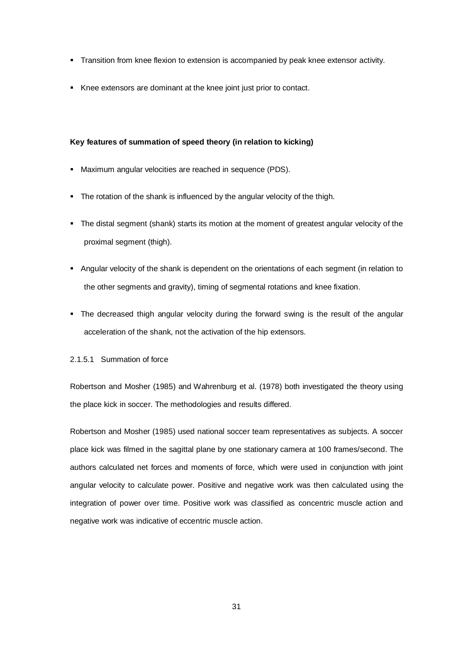- Transition from knee flexion to extension is accompanied by peak knee extensor activity.
- Knee extensors are dominant at the knee joint just prior to contact.

#### **Key features of summation of speed theory (in relation to kicking)**

- Maximum angular velocities are reached in sequence (PDS).
- The rotation of the shank is influenced by the angular velocity of the thigh.
- The distal segment (shank) starts its motion at the moment of greatest angular velocity of the proximal segment (thigh).
- Angular velocity of the shank is dependent on the orientations of each segment (in relation to the other segments and gravity), timing of segmental rotations and knee fixation.
- The decreased thigh angular velocity during the forward swing is the result of the angular acceleration of the shank, not the activation of the hip extensors.

#### 2.1.5.1 Summation of force

Robertson and Mosher (1985) and Wahrenburg et al. (1978) both investigated the theory using the place kick in soccer. The methodologies and results differed.

Robertson and Mosher (1985) used national soccer team representatives as subjects. A soccer place kick was filmed in the sagittal plane by one stationary camera at 100 frames/second. The authors calculated net forces and moments of force, which were used in conjunction with joint angular velocity to calculate power. Positive and negative work was then calculated using the integration of power over time. Positive work was classified as concentric muscle action and negative work was indicative of eccentric muscle action.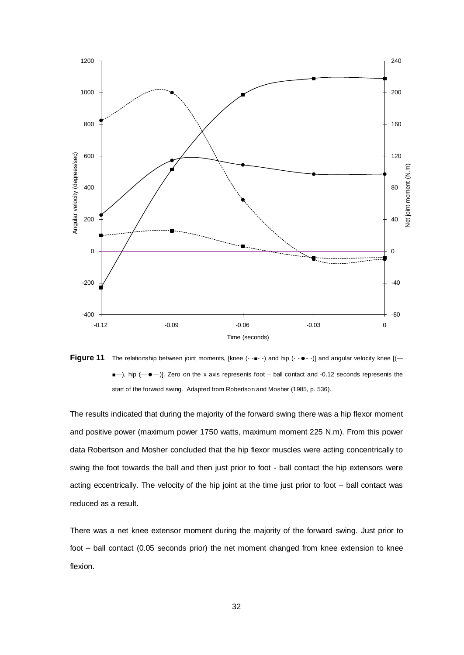

**Figure 11** The relationship between joint moments, [knee (- -■- -) and hip (- -  $\bullet$  - -)] and angular velocity knee [(- $\blacksquare$ ), hip ( $\blacksquare$ ). Zero on the x axis represents foot – ball contact and -0.12 seconds represents the start of the forward swing. Adapted from Robertson and Mosher (1985, p. 536).

The results indicated that during the majority of the forward swing there was a hip flexor moment and positive power (maximum power 1750 watts, maximum moment 225 N.m). From this power data Robertson and Mosher concluded that the hip flexor muscles were acting concentrically to swing the foot towards the ball and then just prior to foot - ball contact the hip extensors were acting eccentrically. The velocity of the hip joint at the time just prior to foot – ball contact was reduced as a result.

There was a net knee extensor moment during the majority of the forward swing. Just prior to foot – ball contact (0.05 seconds prior) the net moment changed from knee extension to knee flexion.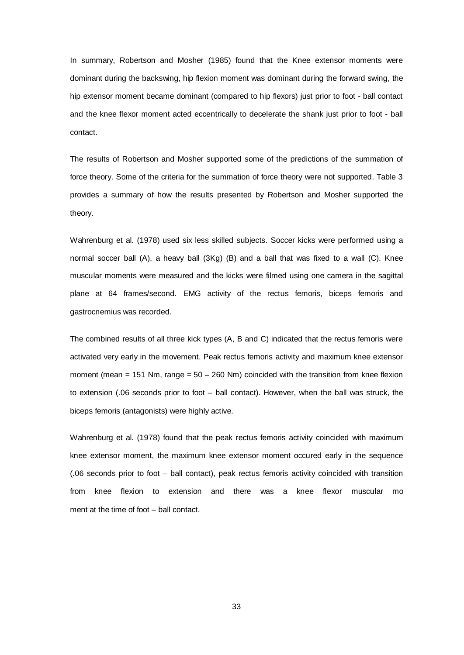In summary, Robertson and Mosher (1985) found that the Knee extensor moments were dominant during the backswing, hip flexion moment was dominant during the forward swing, the hip extensor moment became dominant (compared to hip flexors) just prior to foot - ball contact and the knee flexor moment acted eccentrically to decelerate the shank just prior to foot - ball contact.

The results of Robertson and Mosher supported some of the predictions of the summation of force theory. Some of the criteria for the summation of force theory were not supported. Table 3 provides a summary of how the results presented by Robertson and Mosher supported the theory.

Wahrenburg et al. (1978) used six less skilled subjects. Soccer kicks were performed using a normal soccer ball (A), a heavy ball (3Kg) (B) and a ball that was fixed to a wall (C). Knee muscular moments were measured and the kicks were filmed using one camera in the sagittal plane at 64 frames/second. EMG activity of the rectus femoris, biceps femoris and gastrocnemius was recorded.

The combined results of all three kick types (A, B and C) indicated that the rectus femoris were activated very early in the movement. Peak rectus femoris activity and maximum knee extensor moment (mean = 151 Nm, range =  $50 - 260$  Nm) coincided with the transition from knee flexion to extension (.06 seconds prior to foot – ball contact). However, when the ball was struck, the biceps femoris (antagonists) were highly active.

Wahrenburg et al. (1978) found that the peak rectus femoris activity coincided with maximum knee extensor moment, the maximum knee extensor moment occured early in the sequence (.06 seconds prior to foot – ball contact), peak rectus femoris activity coincided with transition from knee flexion to extension and there was a knee flexor muscular mo ment at the time of foot – ball contact.

33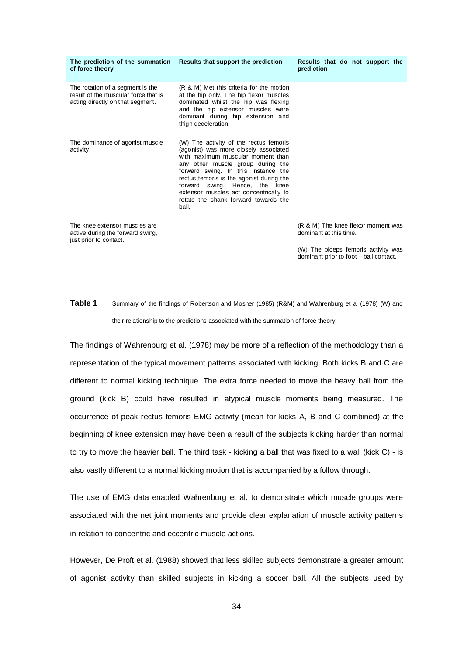| of force theory                                                                                              | The prediction of the summation Results that support the prediction                                                                                                                                                                                                                                                                                                       | Results that do not support the<br>prediction |
|--------------------------------------------------------------------------------------------------------------|---------------------------------------------------------------------------------------------------------------------------------------------------------------------------------------------------------------------------------------------------------------------------------------------------------------------------------------------------------------------------|-----------------------------------------------|
| The rotation of a segment is the<br>result of the muscular force that is<br>acting directly on that segment. | (R & M) Met this criteria for the motion<br>at the hip only. The hip flexor muscles<br>dominated whilst the hip was flexing<br>and the hip extensor muscles were<br>dominant during hip extension and<br>thigh deceleration.                                                                                                                                              |                                               |
| The dominance of agonist muscle<br>activity                                                                  | (W) The activity of the rectus femoris<br>(agonist) was more closely associated<br>with maximum muscular moment than<br>any other muscle group during the<br>forward swing. In this instance the<br>rectus femoris is the agonist during the<br>forward swing. Hence, the knee<br>extensor muscles act concentrically to<br>rotate the shank forward towards the<br>ball. |                                               |
| The knee extensor muscles are                                                                                |                                                                                                                                                                                                                                                                                                                                                                           | (R & M) The knee flexor moment was            |

The knee extensor muscles are active during the forward swing, just prior to contact.

(R & M) The knee flexor moment was dominant at this time.

(W) The biceps femoris activity was dominant prior to foot – ball contact.

**Table 1** Summary of the findings of Robertson and Mosher (1985) (R&M) and Wahrenburg et al (1978) (W) and their relationship to the predictions associated with the summation of force theory.

The findings of Wahrenburg et al. (1978) may be more of a reflection of the methodology than a representation of the typical movement patterns associated with kicking. Both kicks B and C are different to normal kicking technique. The extra force needed to move the heavy ball from the ground (kick B) could have resulted in atypical muscle moments being measured. The occurrence of peak rectus femoris EMG activity (mean for kicks A, B and C combined) at the beginning of knee extension may have been a result of the subjects kicking harder than normal to try to move the heavier ball. The third task - kicking a ball that was fixed to a wall (kick C) - is also vastly different to a normal kicking motion that is accompanied by a follow through.

The use of EMG data enabled Wahrenburg et al. to demonstrate which muscle groups were associated with the net joint moments and provide clear explanation of muscle activity patterns in relation to concentric and eccentric muscle actions.

However, De Proft et al. (1988) showed that less skilled subjects demonstrate a greater amount of agonist activity than skilled subjects in kicking a soccer ball. All the subjects used by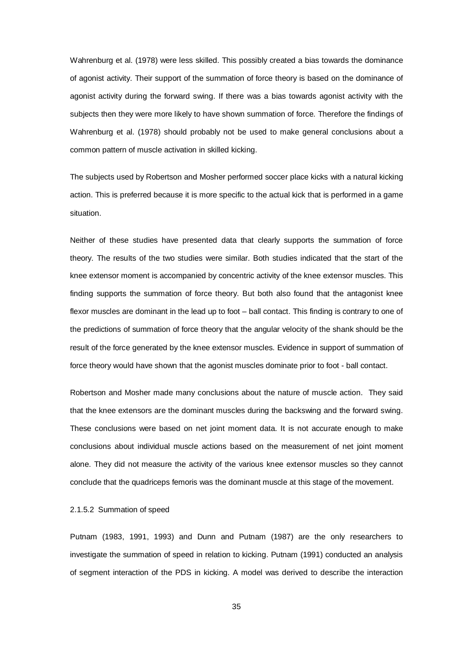Wahrenburg et al. (1978) were less skilled. This possibly created a bias towards the dominance of agonist activity. Their support of the summation of force theory is based on the dominance of agonist activity during the forward swing. If there was a bias towards agonist activity with the subjects then they were more likely to have shown summation of force. Therefore the findings of Wahrenburg et al. (1978) should probably not be used to make general conclusions about a common pattern of muscle activation in skilled kicking.

The subjects used by Robertson and Mosher performed soccer place kicks with a natural kicking action. This is preferred because it is more specific to the actual kick that is performed in a game situation.

Neither of these studies have presented data that clearly supports the summation of force theory. The results of the two studies were similar. Both studies indicated that the start of the knee extensor moment is accompanied by concentric activity of the knee extensor muscles. This finding supports the summation of force theory. But both also found that the antagonist knee flexor muscles are dominant in the lead up to foot – ball contact. This finding is contrary to one of the predictions of summation of force theory that the angular velocity of the shank should be the result of the force generated by the knee extensor muscles. Evidence in support of summation of force theory would have shown that the agonist muscles dominate prior to foot - ball contact.

Robertson and Mosher made many conclusions about the nature of muscle action. They said that the knee extensors are the dominant muscles during the backswing and the forward swing. These conclusions were based on net joint moment data. It is not accurate enough to make conclusions about individual muscle actions based on the measurement of net joint moment alone. They did not measure the activity of the various knee extensor muscles so they cannot conclude that the quadriceps femoris was the dominant muscle at this stage of the movement.

#### 2.1.5.2 Summation of speed

Putnam (1983, 1991, 1993) and Dunn and Putnam (1987) are the only researchers to investigate the summation of speed in relation to kicking. Putnam (1991) conducted an analysis of segment interaction of the PDS in kicking. A model was derived to describe the interaction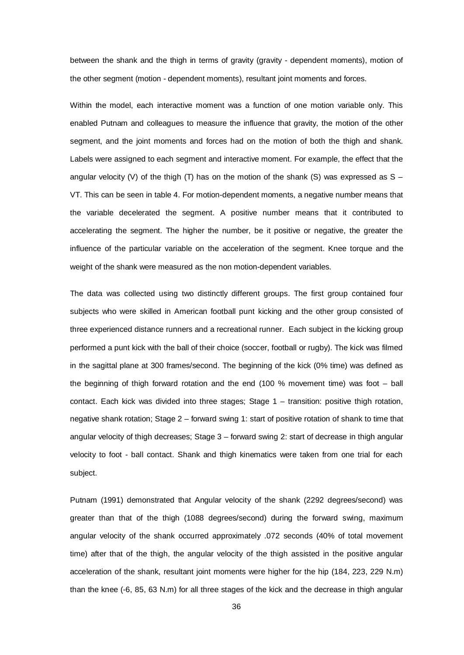between the shank and the thigh in terms of gravity (gravity - dependent moments), motion of the other segment (motion - dependent moments), resultant joint moments and forces.

Within the model, each interactive moment was a function of one motion variable only. This enabled Putnam and colleagues to measure the influence that gravity, the motion of the other segment, and the joint moments and forces had on the motion of both the thigh and shank. Labels were assigned to each segment and interactive moment. For example, the effect that the angular velocity (V) of the thigh (T) has on the motion of the shank (S) was expressed as  $S -$ VT. This can be seen in table 4. For motion-dependent moments, a negative number means that the variable decelerated the segment. A positive number means that it contributed to accelerating the segment. The higher the number, be it positive or negative, the greater the influence of the particular variable on the acceleration of the segment. Knee torque and the weight of the shank were measured as the non motion-dependent variables.

The data was collected using two distinctly different groups. The first group contained four subjects who were skilled in American football punt kicking and the other group consisted of three experienced distance runners and a recreational runner. Each subject in the kicking group performed a punt kick with the ball of their choice (soccer, football or rugby). The kick was filmed in the sagittal plane at 300 frames/second. The beginning of the kick (0% time) was defined as the beginning of thigh forward rotation and the end (100 % movement time) was foot – ball contact. Each kick was divided into three stages; Stage 1 – transition: positive thigh rotation, negative shank rotation; Stage 2 – forward swing 1: start of positive rotation of shank to time that angular velocity of thigh decreases; Stage 3 – forward swing 2: start of decrease in thigh angular velocity to foot - ball contact. Shank and thigh kinematics were taken from one trial for each subject.

Putnam (1991) demonstrated that Angular velocity of the shank (2292 degrees/second) was greater than that of the thigh (1088 degrees/second) during the forward swing, maximum angular velocity of the shank occurred approximately .072 seconds (40% of total movement time) after that of the thigh, the angular velocity of the thigh assisted in the positive angular acceleration of the shank, resultant joint moments were higher for the hip (184, 223, 229 N.m) than the knee (-6, 85, 63 N.m) for all three stages of the kick and the decrease in thigh angular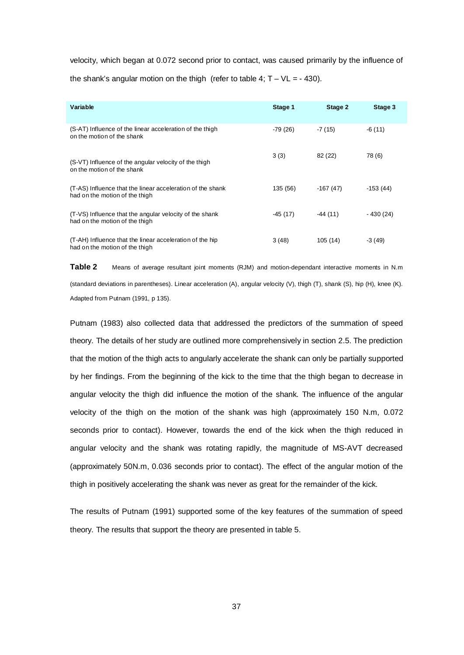velocity, which began at 0.072 second prior to contact, was caused primarily by the influence of the shank's angular motion on the thigh (refer to table 4;  $T - VL = -430$ ).

| Variable                                                                                     | Stage 1  | Stage 2    | Stage 3    |
|----------------------------------------------------------------------------------------------|----------|------------|------------|
| (S-AT) Influence of the linear acceleration of the thigh<br>on the motion of the shank       | -79 (26) | $-7(15)$   | $-6(11)$   |
| (S-VT) Influence of the angular velocity of the thigh<br>on the motion of the shank          | 3(3)     | 82 (22)    | 78 (6)     |
| (T-AS) Influence that the linear acceleration of the shank<br>had on the motion of the thigh | 135 (56) | $-167(47)$ | $-153(44)$ |
| (T-VS) Influence that the angular velocity of the shank<br>had on the motion of the thigh    | -45 (17) | $-44(11)$  | - 430 (24) |
| (T-AH) Influence that the linear acceleration of the hip<br>had on the motion of the thigh   | 3(48)    | 105(14)    | $-3(49)$   |

**Table 2** Means of average resultant joint moments (RJM) and motion-dependant interactive moments in N.m (standard deviations in parentheses). Linear acceleration (A), angular velocity (V), thigh (T), shank (S), hip (H), knee (K). Adapted from Putnam (1991, p 135).

Putnam (1983) also collected data that addressed the predictors of the summation of speed theory. The details of her study are outlined more comprehensively in section 2.5. The prediction that the motion of the thigh acts to angularly accelerate the shank can only be partially supported by her findings. From the beginning of the kick to the time that the thigh began to decrease in angular velocity the thigh did influence the motion of the shank. The influence of the angular velocity of the thigh on the motion of the shank was high (approximately 150 N.m, 0.072 seconds prior to contact). However, towards the end of the kick when the thigh reduced in angular velocity and the shank was rotating rapidly, the magnitude of MS-AVT decreased (approximately 50N.m, 0.036 seconds prior to contact). The effect of the angular motion of the thigh in positively accelerating the shank was never as great for the remainder of the kick.

The results of Putnam (1991) supported some of the key features of the summation of speed theory. The results that support the theory are presented in table 5.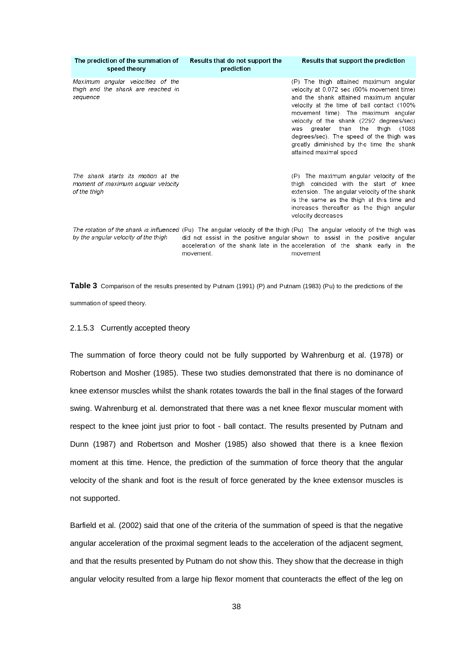| The prediction of the summation of<br>speed theory                                       | Results that do not support the<br>prediction | Results that support the prediction                                                                                                                                                                                                                                                                                                                                                                                                 |
|------------------------------------------------------------------------------------------|-----------------------------------------------|-------------------------------------------------------------------------------------------------------------------------------------------------------------------------------------------------------------------------------------------------------------------------------------------------------------------------------------------------------------------------------------------------------------------------------------|
| Maximum angular velocities of the<br>thigh and the shank are reached in<br>sequence      |                                               | (P) The thigh attained maximum angular<br>velocity at 0.072 sec (60% movement time)<br>and the shank attained maximum angular<br>velocity at the time of ball contact (100%<br>movement time). The maximum angular<br>velocity of the shank (2292 degrees/sec)<br>than<br>the<br>greater<br>thigh<br>(1088<br>was<br>degrees/sec). The speed of the thigh was<br>greatly diminished by the time the shank<br>attained maximal speed |
| The shank starts its motion at the<br>moment of maximum angular velocity<br>of the thigh |                                               | (P) The maximum angular velocity of the<br>thigh coincided with the start of knee<br>extension. The angular velocity of the shank<br>is the same as the thigh at this time and<br>increases thereafter as the thigh angular<br>velocity decreases                                                                                                                                                                                   |
| by the angular velocity of the thigh                                                     |                                               | The rotation of the shank is influenced (Pu) The angular velocity of the thigh (Pu) The angular velocity of the thigh was<br>did not assist in the positive angular shown to assist in the positive angular<br>acceleration of the shank late in the acceleration of the shank early in the                                                                                                                                         |

**Table 3** Comparison of the results presented by Putnam (1991) (P) and Putnam (1983) (Pu) to the predictions of the summation of speed theory.

movement

movement

# 2.1.5.3 Currently accepted theory

The summation of force theory could not be fully supported by Wahrenburg et al. (1978) or Robertson and Mosher (1985). These two studies demonstrated that there is no dominance of knee extensor muscles whilst the shank rotates towards the ball in the final stages of the forward swing. Wahrenburg et al. demonstrated that there was a net knee flexor muscular moment with respect to the knee joint just prior to foot - ball contact. The results presented by Putnam and Dunn (1987) and Robertson and Mosher (1985) also showed that there is a knee flexion moment at this time. Hence, the prediction of the summation of force theory that the angular velocity of the shank and foot is the result of force generated by the knee extensor muscles is not supported.

Barfield et al. (2002) said that one of the criteria of the summation of speed is that the negative angular acceleration of the proximal segment leads to the acceleration of the adjacent segment, and that the results presented by Putnam do not show this. They show that the decrease in thigh angular velocity resulted from a large hip flexor moment that counteracts the effect of the leg on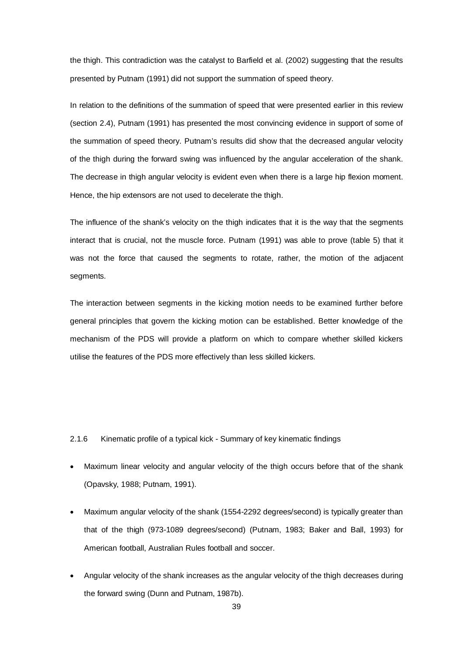the thigh. This contradiction was the catalyst to Barfield et al. (2002) suggesting that the results presented by Putnam (1991) did not support the summation of speed theory.

In relation to the definitions of the summation of speed that were presented earlier in this review (section 2.4), Putnam (1991) has presented the most convincing evidence in support of some of the summation of speed theory. Putnam's results did show that the decreased angular velocity of the thigh during the forward swing was influenced by the angular acceleration of the shank. The decrease in thigh angular velocity is evident even when there is a large hip flexion moment. Hence, the hip extensors are not used to decelerate the thigh.

The influence of the shank's velocity on the thigh indicates that it is the way that the segments interact that is crucial, not the muscle force. Putnam (1991) was able to prove (table 5) that it was not the force that caused the segments to rotate, rather, the motion of the adjacent segments.

The interaction between segments in the kicking motion needs to be examined further before general principles that govern the kicking motion can be established. Better knowledge of the mechanism of the PDS will provide a platform on which to compare whether skilled kickers utilise the features of the PDS more effectively than less skilled kickers.

### 2.1.6 Kinematic profile of a typical kick - Summary of key kinematic findings

- Maximum linear velocity and angular velocity of the thigh occurs before that of the shank (Opavsky, 1988; Putnam, 1991).
- Maximum angular velocity of the shank (1554-2292 degrees/second) is typically greater than that of the thigh (973-1089 degrees/second) (Putnam, 1983; Baker and Ball, 1993) for American football, Australian Rules football and soccer.
- Angular velocity of the shank increases as the angular velocity of the thigh decreases during the forward swing (Dunn and Putnam, 1987b).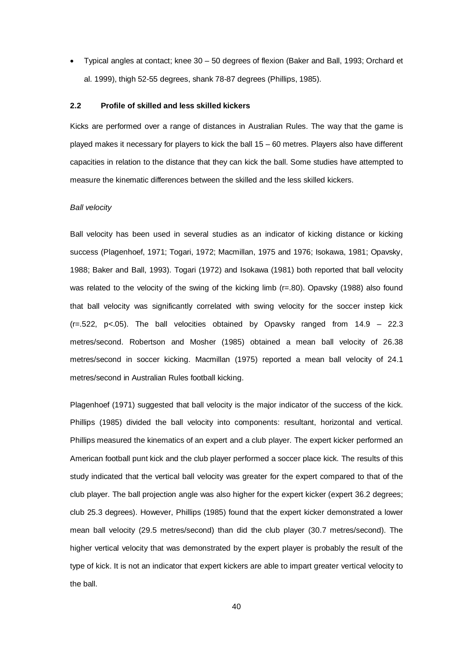• Typical angles at contact; knee 30 – 50 degrees of flexion (Baker and Ball, 1993; Orchard et al. 1999), thigh 52-55 degrees, shank 78-87 degrees (Phillips, 1985).

### **2.2 Profile of skilled and less skilled kickers**

Kicks are performed over a range of distances in Australian Rules. The way that the game is played makes it necessary for players to kick the ball 15 – 60 metres. Players also have different capacities in relation to the distance that they can kick the ball. Some studies have attempted to measure the kinematic differences between the skilled and the less skilled kickers.

#### *Ball velocity*

Ball velocity has been used in several studies as an indicator of kicking distance or kicking success (Plagenhoef, 1971; Togari, 1972; Macmillan, 1975 and 1976; Isokawa, 1981; Opavsky, 1988; Baker and Ball, 1993). Togari (1972) and Isokawa (1981) both reported that ball velocity was related to the velocity of the swing of the kicking limb (r=.80). Opavsky (1988) also found that ball velocity was significantly correlated with swing velocity for the soccer instep kick  $(r=.522, p<.05)$ . The ball velocities obtained by Opavsky ranged from  $14.9 - 22.3$ metres/second. Robertson and Mosher (1985) obtained a mean ball velocity of 26.38 metres/second in soccer kicking. Macmillan (1975) reported a mean ball velocity of 24.1 metres/second in Australian Rules football kicking.

Plagenhoef (1971) suggested that ball velocity is the major indicator of the success of the kick. Phillips (1985) divided the ball velocity into components: resultant, horizontal and vertical. Phillips measured the kinematics of an expert and a club player. The expert kicker performed an American football punt kick and the club player performed a soccer place kick. The results of this study indicated that the vertical ball velocity was greater for the expert compared to that of the club player. The ball projection angle was also higher for the expert kicker (expert 36.2 degrees; club 25.3 degrees). However, Phillips (1985) found that the expert kicker demonstrated a lower mean ball velocity (29.5 metres/second) than did the club player (30.7 metres/second). The higher vertical velocity that was demonstrated by the expert player is probably the result of the type of kick. It is not an indicator that expert kickers are able to impart greater vertical velocity to the ball.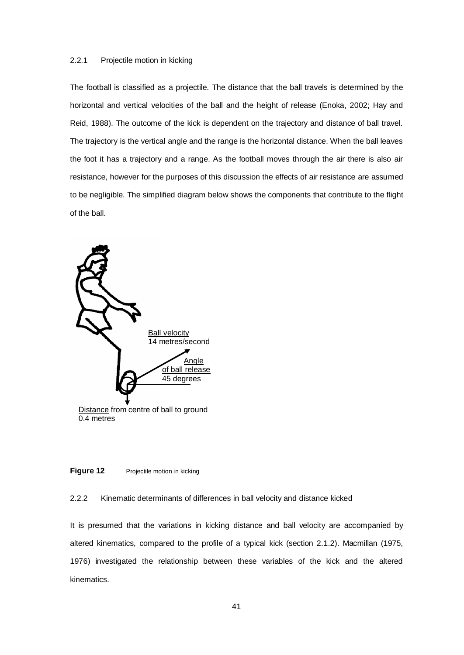# 2.2.1 Projectile motion in kicking

The football is classified as a projectile. The distance that the ball travels is determined by the horizontal and vertical velocities of the ball and the height of release (Enoka, 2002; Hay and Reid, 1988). The outcome of the kick is dependent on the trajectory and distance of ball travel. The trajectory is the vertical angle and the range is the horizontal distance. When the ball leaves the foot it has a trajectory and a range. As the football moves through the air there is also air resistance, however for the purposes of this discussion the effects of air resistance are assumed to be negligible. The simplified diagram below shows the components that contribute to the flight of the ball.



### **Figure 12** Projectile motion in kicking

## 2.2.2 Kinematic determinants of differences in ball velocity and distance kicked

It is presumed that the variations in kicking distance and ball velocity are accompanied by altered kinematics, compared to the profile of a typical kick (section 2.1.2). Macmillan (1975, 1976) investigated the relationship between these variables of the kick and the altered kinematics.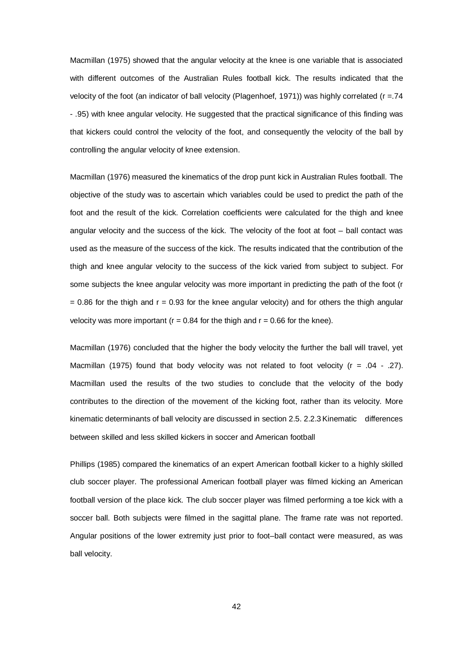Macmillan (1975) showed that the angular velocity at the knee is one variable that is associated with different outcomes of the Australian Rules football kick. The results indicated that the velocity of the foot (an indicator of ball velocity (Plagenhoef, 1971)) was highly correlated (r =.74 - .95) with knee angular velocity. He suggested that the practical significance of this finding was that kickers could control the velocity of the foot, and consequently the velocity of the ball by controlling the angular velocity of knee extension.

Macmillan (1976) measured the kinematics of the drop punt kick in Australian Rules football. The objective of the study was to ascertain which variables could be used to predict the path of the foot and the result of the kick. Correlation coefficients were calculated for the thigh and knee angular velocity and the success of the kick. The velocity of the foot at foot – ball contact was used as the measure of the success of the kick. The results indicated that the contribution of the thigh and knee angular velocity to the success of the kick varied from subject to subject. For some subjects the knee angular velocity was more important in predicting the path of the foot (r  $= 0.86$  for the thigh and  $r = 0.93$  for the knee angular velocity) and for others the thigh angular velocity was more important ( $r = 0.84$  for the thigh and  $r = 0.66$  for the knee).

Macmillan (1976) concluded that the higher the body velocity the further the ball will travel, yet Macmillan (1975) found that body velocity was not related to foot velocity ( $r = .04 - .27$ ). Macmillan used the results of the two studies to conclude that the velocity of the body contributes to the direction of the movement of the kicking foot, rather than its velocity. More kinematic determinants of ball velocity are discussed in section 2.5. 2.2.3Kinematic differences between skilled and less skilled kickers in soccer and American football

Phillips (1985) compared the kinematics of an expert American football kicker to a highly skilled club soccer player. The professional American football player was filmed kicking an American football version of the place kick. The club soccer player was filmed performing a toe kick with a soccer ball. Both subjects were filmed in the sagittal plane. The frame rate was not reported. Angular positions of the lower extremity just prior to foot–ball contact were measured, as was ball velocity.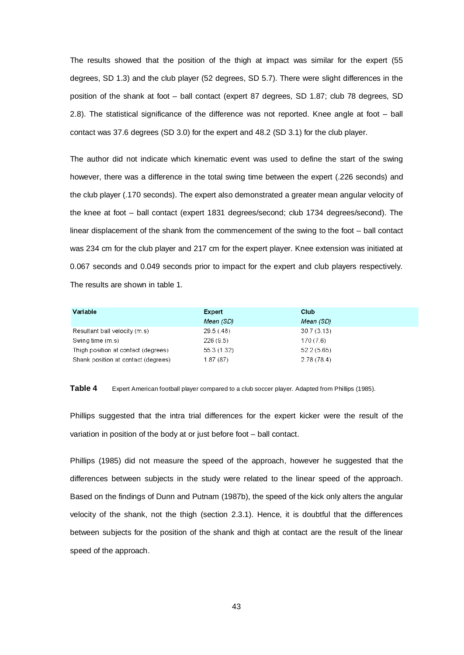The results showed that the position of the thigh at impact was similar for the expert (55 degrees, SD 1.3) and the club player (52 degrees, SD 5.7). There were slight differences in the position of the shank at foot – ball contact (expert 87 degrees, SD 1.87; club 78 degrees, SD 2.8). The statistical significance of the difference was not reported. Knee angle at foot – ball contact was 37.6 degrees (SD 3.0) for the expert and 48.2 (SD 3.1) for the club player.

The author did not indicate which kinematic event was used to define the start of the swing however, there was a difference in the total swing time between the expert (.226 seconds) and the club player (.170 seconds). The expert also demonstrated a greater mean angular velocity of the knee at foot – ball contact (expert 1831 degrees/second; club 1734 degrees/second). The linear displacement of the shank from the commencement of the swing to the foot – ball contact was 234 cm for the club player and 217 cm for the expert player. Knee extension was initiated at 0.067 seconds and 0.049 seconds prior to impact for the expert and club players respectively. The results are shown in table 1.

| Variable                            | Expert      | Club       |
|-------------------------------------|-------------|------------|
|                                     | Mean (SD)   | Mean (SD)  |
| Resultant ball velocity (m.s)       | 29.5(.48)   | 30.7(3.13) |
| Swing time (m.s)                    | 226(9.5)    | 170(7.6)   |
| Thigh position at contact (degrees) | 55.3 (1.32) | 52.2(5.65) |
| Shank position at contact (degrees) | 1.87(87)    | 2.78(78.4) |

**Table 4** Expert American football player compared to a club soccer player. Adapted from Phillips (1985).

Phillips suggested that the intra trial differences for the expert kicker were the result of the variation in position of the body at or just before foot – ball contact.

Phillips (1985) did not measure the speed of the approach, however he suggested that the differences between subjects in the study were related to the linear speed of the approach. Based on the findings of Dunn and Putnam (1987b), the speed of the kick only alters the angular velocity of the shank, not the thigh (section 2.3.1). Hence, it is doubtful that the differences between subjects for the position of the shank and thigh at contact are the result of the linear speed of the approach.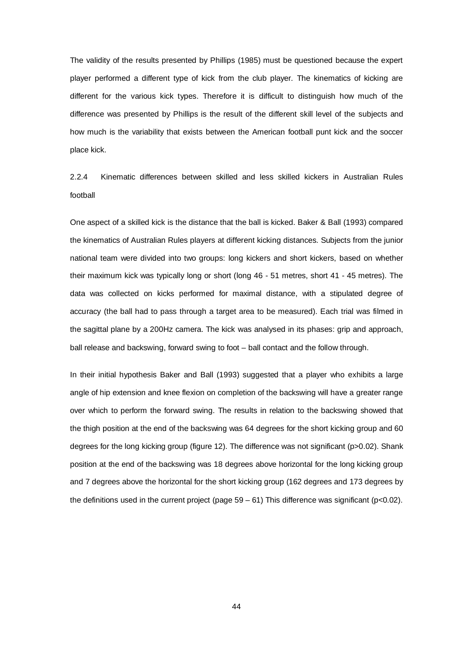The validity of the results presented by Phillips (1985) must be questioned because the expert player performed a different type of kick from the club player. The kinematics of kicking are different for the various kick types. Therefore it is difficult to distinguish how much of the difference was presented by Phillips is the result of the different skill level of the subjects and how much is the variability that exists between the American football punt kick and the soccer place kick.

2.2.4 Kinematic differences between skilled and less skilled kickers in Australian Rules football

One aspect of a skilled kick is the distance that the ball is kicked. Baker & Ball (1993) compared the kinematics of Australian Rules players at different kicking distances. Subjects from the junior national team were divided into two groups: long kickers and short kickers, based on whether their maximum kick was typically long or short (long 46 - 51 metres, short 41 - 45 metres). The data was collected on kicks performed for maximal distance, with a stipulated degree of accuracy (the ball had to pass through a target area to be measured). Each trial was filmed in the sagittal plane by a 200Hz camera. The kick was analysed in its phases: grip and approach, ball release and backswing, forward swing to foot – ball contact and the follow through.

In their initial hypothesis Baker and Ball (1993) suggested that a player who exhibits a large angle of hip extension and knee flexion on completion of the backswing will have a greater range over which to perform the forward swing. The results in relation to the backswing showed that the thigh position at the end of the backswing was 64 degrees for the short kicking group and 60 degrees for the long kicking group (figure 12). The difference was not significant (p>0.02). Shank position at the end of the backswing was 18 degrees above horizontal for the long kicking group and 7 degrees above the horizontal for the short kicking group (162 degrees and 173 degrees by the definitions used in the current project (page  $59 - 61$ ) This difference was significant (p<0.02).

44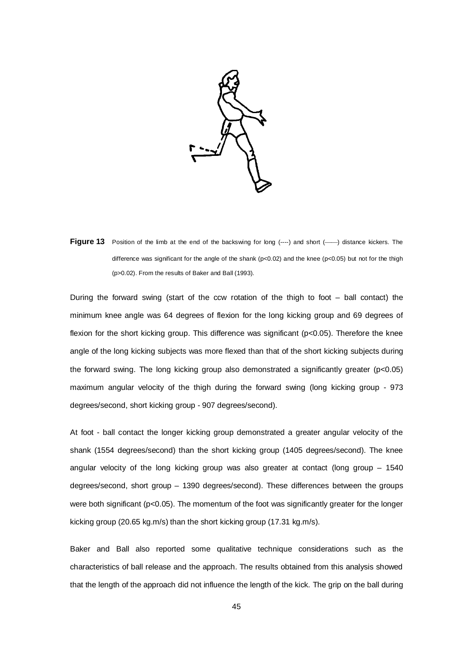

Figure 13 Position of the limb at the end of the backswing for long (----) and short (---) distance kickers. The difference was significant for the angle of the shank (p<0.02) and the knee (p<0.05) but not for the thigh (p>0.02). From the results of Baker and Ball (1993).

During the forward swing (start of the ccw rotation of the thigh to foot  $-$  ball contact) the minimum knee angle was 64 degrees of flexion for the long kicking group and 69 degrees of flexion for the short kicking group. This difference was significant (p<0.05). Therefore the knee angle of the long kicking subjects was more flexed than that of the short kicking subjects during the forward swing. The long kicking group also demonstrated a significantly greater (p<0.05) maximum angular velocity of the thigh during the forward swing (long kicking group - 973 degrees/second, short kicking group - 907 degrees/second).

At foot - ball contact the longer kicking group demonstrated a greater angular velocity of the shank (1554 degrees/second) than the short kicking group (1405 degrees/second). The knee angular velocity of the long kicking group was also greater at contact (long group – 1540 degrees/second, short group – 1390 degrees/second). These differences between the groups were both significant (p<0.05). The momentum of the foot was significantly greater for the longer kicking group (20.65 kg.m/s) than the short kicking group (17.31 kg.m/s).

Baker and Ball also reported some qualitative technique considerations such as the characteristics of ball release and the approach. The results obtained from this analysis showed that the length of the approach did not influence the length of the kick. The grip on the ball during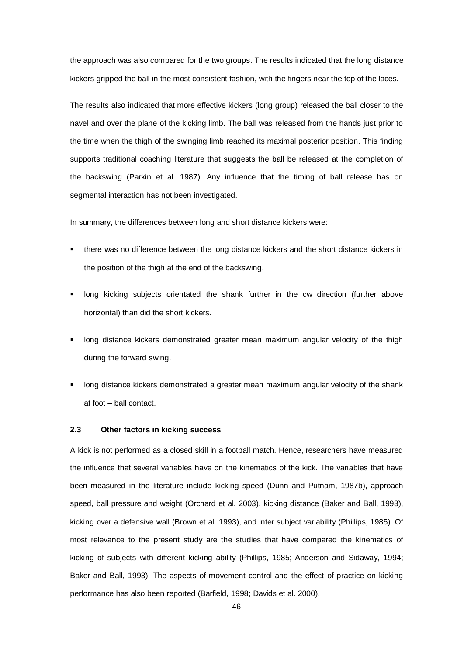the approach was also compared for the two groups. The results indicated that the long distance kickers gripped the ball in the most consistent fashion, with the fingers near the top of the laces.

The results also indicated that more effective kickers (long group) released the ball closer to the navel and over the plane of the kicking limb. The ball was released from the hands just prior to the time when the thigh of the swinging limb reached its maximal posterior position. This finding supports traditional coaching literature that suggests the ball be released at the completion of the backswing (Parkin et al. 1987). Any influence that the timing of ball release has on segmental interaction has not been investigated.

In summary, the differences between long and short distance kickers were:

- there was no difference between the long distance kickers and the short distance kickers in the position of the thigh at the end of the backswing.
- long kicking subjects orientated the shank further in the cw direction (further above horizontal) than did the short kickers.
- long distance kickers demonstrated greater mean maximum angular velocity of the thigh during the forward swing.
- long distance kickers demonstrated a greater mean maximum angular velocity of the shank at foot – ball contact.

### **2.3 Other factors in kicking success**

A kick is not performed as a closed skill in a football match. Hence, researchers have measured the influence that several variables have on the kinematics of the kick. The variables that have been measured in the literature include kicking speed (Dunn and Putnam, 1987b), approach speed, ball pressure and weight (Orchard et al. 2003), kicking distance (Baker and Ball, 1993), kicking over a defensive wall (Brown et al. 1993), and inter subject variability (Phillips, 1985). Of most relevance to the present study are the studies that have compared the kinematics of kicking of subjects with different kicking ability (Phillips, 1985; Anderson and Sidaway, 1994; Baker and Ball, 1993). The aspects of movement control and the effect of practice on kicking performance has also been reported (Barfield, 1998; Davids et al. 2000).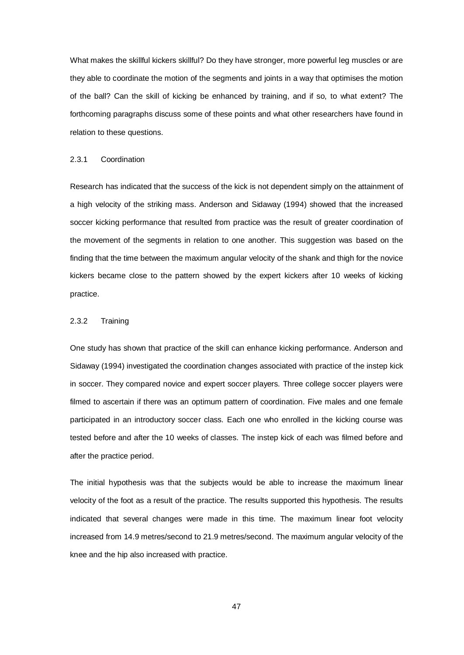What makes the skillful kickers skillful? Do they have stronger, more powerful leg muscles or are they able to coordinate the motion of the segments and joints in a way that optimises the motion of the ball? Can the skill of kicking be enhanced by training, and if so, to what extent? The forthcoming paragraphs discuss some of these points and what other researchers have found in relation to these questions.

#### 2.3.1 Coordination

Research has indicated that the success of the kick is not dependent simply on the attainment of a high velocity of the striking mass. Anderson and Sidaway (1994) showed that the increased soccer kicking performance that resulted from practice was the result of greater coordination of the movement of the segments in relation to one another. This suggestion was based on the finding that the time between the maximum angular velocity of the shank and thigh for the novice kickers became close to the pattern showed by the expert kickers after 10 weeks of kicking practice.

### 2.3.2 Training

One study has shown that practice of the skill can enhance kicking performance. Anderson and Sidaway (1994) investigated the coordination changes associated with practice of the instep kick in soccer. They compared novice and expert soccer players. Three college soccer players were filmed to ascertain if there was an optimum pattern of coordination. Five males and one female participated in an introductory soccer class. Each one who enrolled in the kicking course was tested before and after the 10 weeks of classes. The instep kick of each was filmed before and after the practice period.

The initial hypothesis was that the subjects would be able to increase the maximum linear velocity of the foot as a result of the practice. The results supported this hypothesis. The results indicated that several changes were made in this time. The maximum linear foot velocity increased from 14.9 metres/second to 21.9 metres/second. The maximum angular velocity of the knee and the hip also increased with practice.

47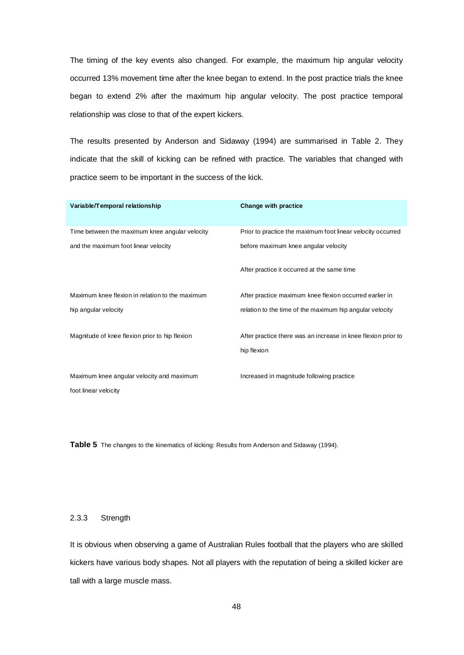The timing of the key events also changed. For example, the maximum hip angular velocity occurred 13% movement time after the knee began to extend. In the post practice trials the knee began to extend 2% after the maximum hip angular velocity. The post practice temporal relationship was close to that of the expert kickers.

The results presented by Anderson and Sidaway (1994) are summarised in Table 2. They indicate that the skill of kicking can be refined with practice. The variables that changed with practice seem to be important in the success of the kick.

| Variable/Temporal relationship                  | Change with practice                                          |
|-------------------------------------------------|---------------------------------------------------------------|
| Time between the maximum knee angular velocity  | Prior to practice the maximum foot linear velocity occurred   |
| and the maximum foot linear velocity            | before maximum knee angular velocity                          |
|                                                 | After practice it occurred at the same time                   |
| Maximum knee flexion in relation to the maximum | After practice maximum knee flexion occurred earlier in       |
| hip angular velocity                            | relation to the time of the maximum hip angular velocity      |
| Magnitude of knee flexion prior to hip flexion  | After practice there was an increase in knee flexion prior to |
|                                                 | hip flexion                                                   |
| Maximum knee angular velocity and maximum       | Increased in magnitude following practice                     |
| foot linear velocity                            |                                                               |

Table 5 The changes to the kinematics of kicking: Results from Anderson and Sidaway (1994).

### 2.3.3 Strength

It is obvious when observing a game of Australian Rules football that the players who are skilled kickers have various body shapes. Not all players with the reputation of being a skilled kicker are tall with a large muscle mass.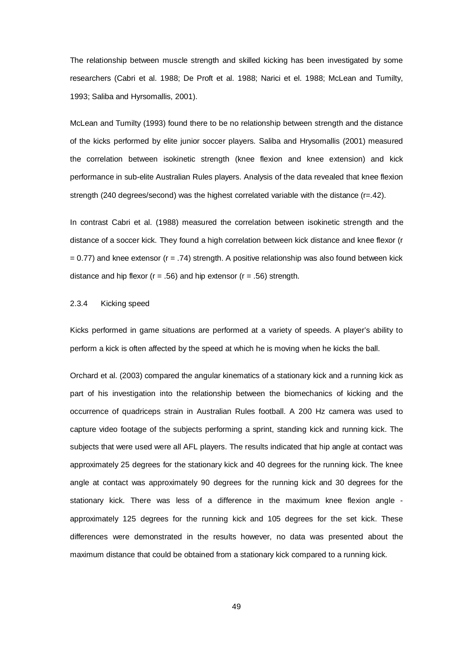The relationship between muscle strength and skilled kicking has been investigated by some researchers (Cabri et al. 1988; De Proft et al. 1988; Narici et el. 1988; McLean and Tumilty, 1993; Saliba and Hyrsomallis, 2001).

McLean and Tumilty (1993) found there to be no relationship between strength and the distance of the kicks performed by elite junior soccer players. Saliba and Hrysomallis (2001) measured the correlation between isokinetic strength (knee flexion and knee extension) and kick performance in sub-elite Australian Rules players. Analysis of the data revealed that knee flexion strength (240 degrees/second) was the highest correlated variable with the distance (r=.42).

In contrast Cabri et al. (1988) measured the correlation between isokinetic strength and the distance of a soccer kick. They found a high correlation between kick distance and knee flexor (r  $= 0.77$ ) and knee extensor ( $r = .74$ ) strength. A positive relationship was also found between kick distance and hip flexor ( $r = .56$ ) and hip extensor ( $r = .56$ ) strength.

### 2.3.4 Kicking speed

Kicks performed in game situations are performed at a variety of speeds. A player's ability to perform a kick is often affected by the speed at which he is moving when he kicks the ball.

Orchard et al. (2003) compared the angular kinematics of a stationary kick and a running kick as part of his investigation into the relationship between the biomechanics of kicking and the occurrence of quadriceps strain in Australian Rules football. A 200 Hz camera was used to capture video footage of the subjects performing a sprint, standing kick and running kick. The subjects that were used were all AFL players. The results indicated that hip angle at contact was approximately 25 degrees for the stationary kick and 40 degrees for the running kick. The knee angle at contact was approximately 90 degrees for the running kick and 30 degrees for the stationary kick. There was less of a difference in the maximum knee flexion angle approximately 125 degrees for the running kick and 105 degrees for the set kick. These differences were demonstrated in the results however, no data was presented about the maximum distance that could be obtained from a stationary kick compared to a running kick.

49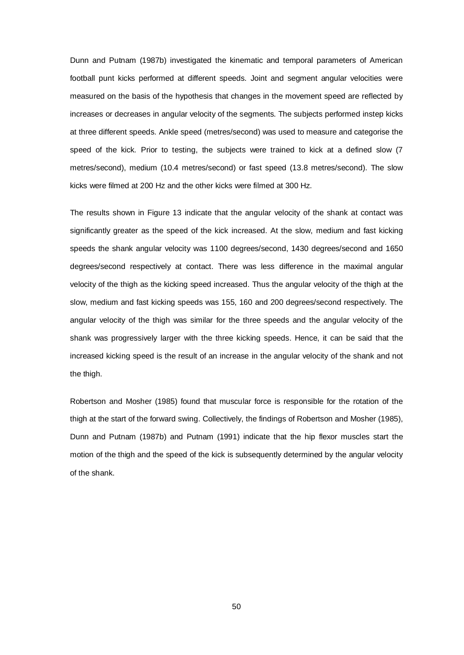Dunn and Putnam (1987b) investigated the kinematic and temporal parameters of American football punt kicks performed at different speeds. Joint and segment angular velocities were measured on the basis of the hypothesis that changes in the movement speed are reflected by increases or decreases in angular velocity of the segments. The subjects performed instep kicks at three different speeds. Ankle speed (metres/second) was used to measure and categorise the speed of the kick. Prior to testing, the subjects were trained to kick at a defined slow (7 metres/second), medium (10.4 metres/second) or fast speed (13.8 metres/second). The slow kicks were filmed at 200 Hz and the other kicks were filmed at 300 Hz.

The results shown in Figure 13 indicate that the angular velocity of the shank at contact was significantly greater as the speed of the kick increased. At the slow, medium and fast kicking speeds the shank angular velocity was 1100 degrees/second, 1430 degrees/second and 1650 degrees/second respectively at contact. There was less difference in the maximal angular velocity of the thigh as the kicking speed increased. Thus the angular velocity of the thigh at the slow, medium and fast kicking speeds was 155, 160 and 200 degrees/second respectively. The angular velocity of the thigh was similar for the three speeds and the angular velocity of the shank was progressively larger with the three kicking speeds. Hence, it can be said that the increased kicking speed is the result of an increase in the angular velocity of the shank and not the thigh.

Robertson and Mosher (1985) found that muscular force is responsible for the rotation of the thigh at the start of the forward swing. Collectively, the findings of Robertson and Mosher (1985), Dunn and Putnam (1987b) and Putnam (1991) indicate that the hip flexor muscles start the motion of the thigh and the speed of the kick is subsequently determined by the angular velocity of the shank.

50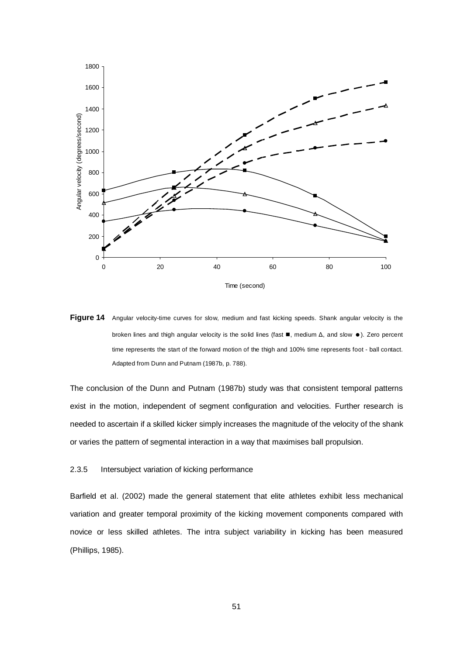



The conclusion of the Dunn and Putnam (1987b) study was that consistent temporal patterns exist in the motion, independent of segment configuration and velocities. Further research is needed to ascertain if a skilled kicker simply increases the magnitude of the velocity of the shank or varies the pattern of segmental interaction in a way that maximises ball propulsion.

### 2.3.5 Intersubject variation of kicking performance

Barfield et al. (2002) made the general statement that elite athletes exhibit less mechanical variation and greater temporal proximity of the kicking movement components compared with novice or less skilled athletes. The intra subject variability in kicking has been measured (Phillips, 1985).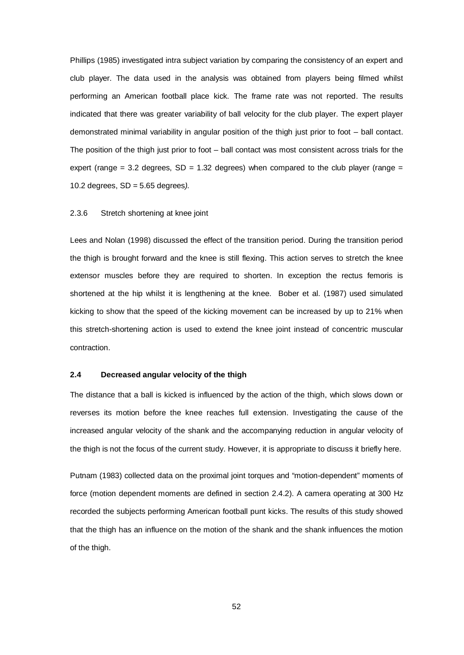Phillips (1985) investigated intra subject variation by comparing the consistency of an expert and club player. The data used in the analysis was obtained from players being filmed whilst performing an American football place kick. The frame rate was not reported. The results indicated that there was greater variability of ball velocity for the club player. The expert player demonstrated minimal variability in angular position of the thigh just prior to foot – ball contact. The position of the thigh just prior to foot – ball contact was most consistent across trials for the expert (range  $= 3.2$  degrees, SD  $= 1.32$  degrees) when compared to the club player (range  $=$ 10.2 degrees, SD = 5.65 degrees*).*

### 2.3.6 Stretch shortening at knee joint

Lees and Nolan (1998) discussed the effect of the transition period. During the transition period the thigh is brought forward and the knee is still flexing. This action serves to stretch the knee extensor muscles before they are required to shorten. In exception the rectus femoris is shortened at the hip whilst it is lengthening at the knee. Bober et al. (1987) used simulated kicking to show that the speed of the kicking movement can be increased by up to 21% when this stretch-shortening action is used to extend the knee joint instead of concentric muscular contraction.

# **2.4 Decreased angular velocity of the thigh**

The distance that a ball is kicked is influenced by the action of the thigh, which slows down or reverses its motion before the knee reaches full extension. Investigating the cause of the increased angular velocity of the shank and the accompanying reduction in angular velocity of the thigh is not the focus of the current study. However, it is appropriate to discuss it briefly here.

Putnam (1983) collected data on the proximal joint torques and "motion-dependent" moments of force (motion dependent moments are defined in section 2.4.2). A camera operating at 300 Hz recorded the subjects performing American football punt kicks. The results of this study showed that the thigh has an influence on the motion of the shank and the shank influences the motion of the thigh.

52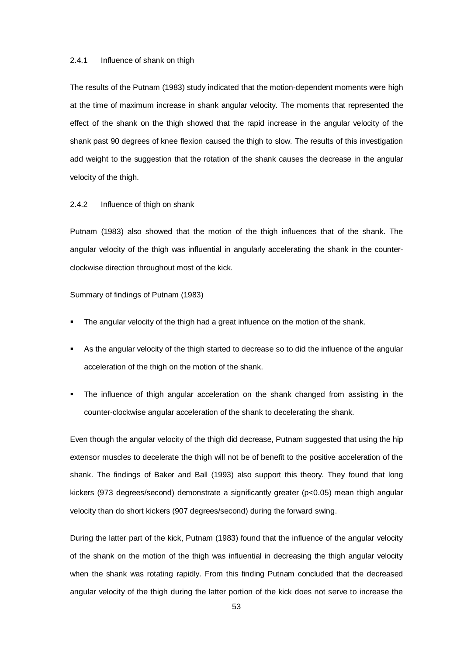### 2.4.1 Influence of shank on thigh

The results of the Putnam (1983) study indicated that the motion-dependent moments were high at the time of maximum increase in shank angular velocity. The moments that represented the effect of the shank on the thigh showed that the rapid increase in the angular velocity of the shank past 90 degrees of knee flexion caused the thigh to slow. The results of this investigation add weight to the suggestion that the rotation of the shank causes the decrease in the angular velocity of the thigh.

# 2.4.2 Influence of thigh on shank

Putnam (1983) also showed that the motion of the thigh influences that of the shank. The angular velocity of the thigh was influential in angularly accelerating the shank in the counterclockwise direction throughout most of the kick.

Summary of findings of Putnam (1983)

- The angular velocity of the thigh had a great influence on the motion of the shank.
- As the angular velocity of the thigh started to decrease so to did the influence of the angular acceleration of the thigh on the motion of the shank.
- The influence of thigh angular acceleration on the shank changed from assisting in the counter-clockwise angular acceleration of the shank to decelerating the shank.

Even though the angular velocity of the thigh did decrease, Putnam suggested that using the hip extensor muscles to decelerate the thigh will not be of benefit to the positive acceleration of the shank. The findings of Baker and Ball (1993) also support this theory. They found that long kickers (973 degrees/second) demonstrate a significantly greater (p<0.05) mean thigh angular velocity than do short kickers (907 degrees/second) during the forward swing.

During the latter part of the kick, Putnam (1983) found that the influence of the angular velocity of the shank on the motion of the thigh was influential in decreasing the thigh angular velocity when the shank was rotating rapidly. From this finding Putnam concluded that the decreased angular velocity of the thigh during the latter portion of the kick does not serve to increase the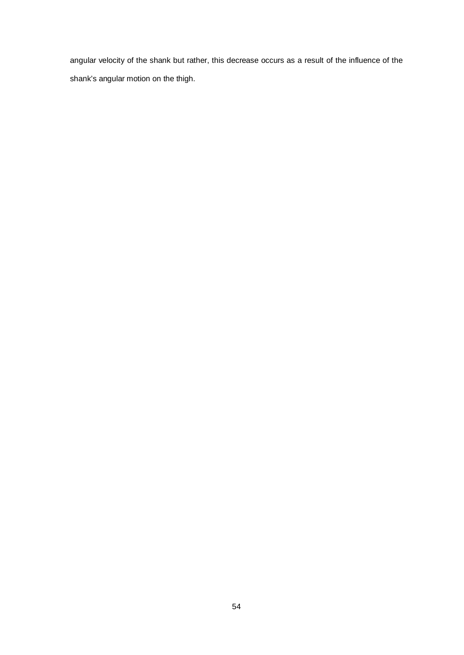angular velocity of the shank but rather, this decrease occurs as a result of the influence of the shank's angular motion on the thigh.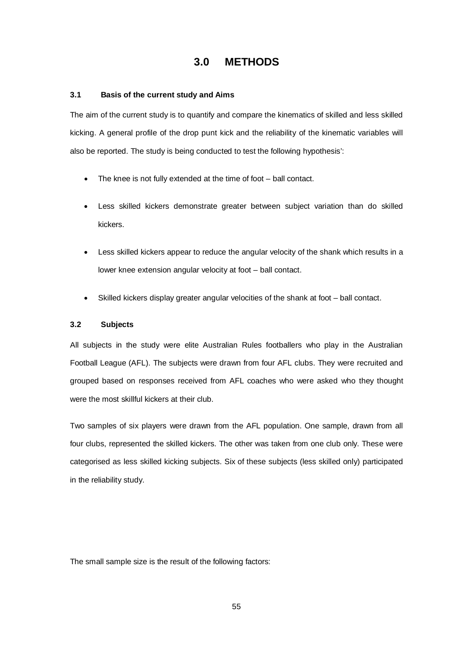# **3.0 METHODS**

# **3.1 Basis of the current study and Aims**

The aim of the current study is to quantify and compare the kinematics of skilled and less skilled kicking. A general profile of the drop punt kick and the reliability of the kinematic variables will also be reported. The study is being conducted to test the following hypothesis':

- The knee is not fully extended at the time of foot ball contact.
- Less skilled kickers demonstrate greater between subject variation than do skilled kickers.
- Less skilled kickers appear to reduce the angular velocity of the shank which results in a lower knee extension angular velocity at foot – ball contact.
- Skilled kickers display greater angular velocities of the shank at foot ball contact.

### **3.2 Subjects**

All subjects in the study were elite Australian Rules footballers who play in the Australian Football League (AFL). The subjects were drawn from four AFL clubs. They were recruited and grouped based on responses received from AFL coaches who were asked who they thought were the most skillful kickers at their club.

Two samples of six players were drawn from the AFL population. One sample, drawn from all four clubs, represented the skilled kickers. The other was taken from one club only. These were categorised as less skilled kicking subjects. Six of these subjects (less skilled only) participated in the reliability study.

The small sample size is the result of the following factors: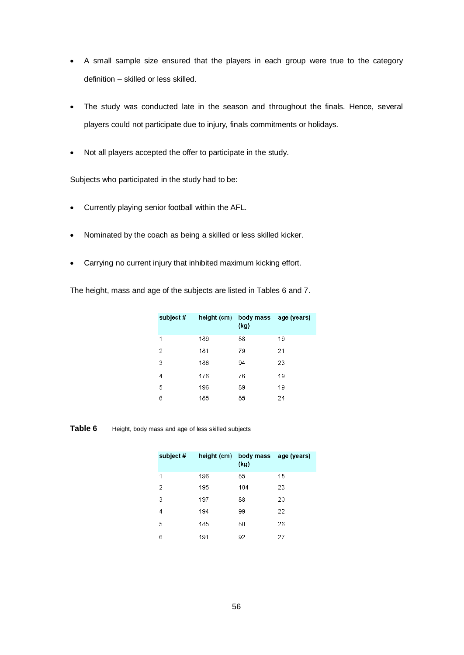- A small sample size ensured that the players in each group were true to the category definition – skilled or less skilled.
- The study was conducted late in the season and throughout the finals. Hence, several players could not participate due to injury, finals commitments or holidays.
- Not all players accepted the offer to participate in the study.

Subjects who participated in the study had to be:

- Currently playing senior football within the AFL.
- Nominated by the coach as being a skilled or less skilled kicker.
- Carrying no current injury that inhibited maximum kicking effort.

The height, mass and age of the subjects are listed in Tables 6 and 7.

| subject # |     | height (cm) body mass age (years)<br>(kg) |    |
|-----------|-----|-------------------------------------------|----|
| 1         | 189 | 88                                        | 19 |
| 2         | 181 | 79                                        | 21 |
| 3         | 186 | 94                                        | 23 |
| 4         | 176 | 76                                        | 19 |
| 5         | 196 | 89                                        | 19 |
| 6         | 185 | 85                                        | 24 |

**Table 6** Height, body mass and age of less skilled subjects

| subject# |     | height (cm) body mass age (years)<br>(kg) |    |
|----------|-----|-------------------------------------------|----|
| 1        | 196 | 85                                        | 18 |
| 2        | 195 | 104                                       | 23 |
| 3        | 197 | 88                                        | 20 |
| 4        | 194 | 99                                        | 22 |
| 5        | 185 | 80                                        | 26 |
| 6        | 191 | 92                                        | 27 |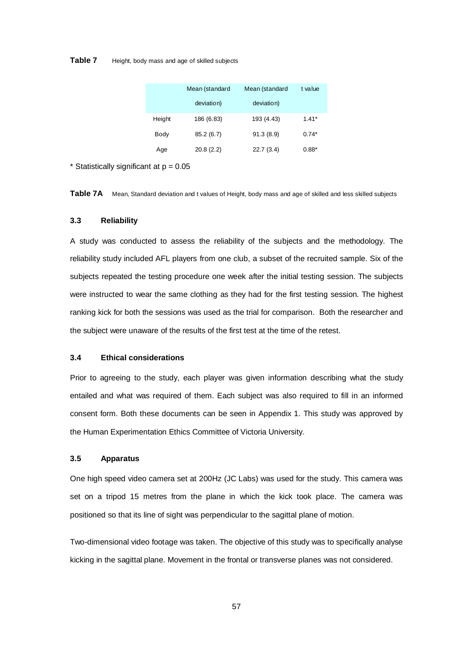### **Table 7** Height, body mass and age of skilled subjects

|        | Mean (standard | Mean (standard | t value |
|--------|----------------|----------------|---------|
|        | deviation)     | deviation)     |         |
| Height | 186 (6.83)     | 193 (4.43)     | $1.41*$ |
| Body   | 85.2 (6.7)     | 91.3(8.9)      | $0.74*$ |
| Age    | 20.8(2.2)      | 22.7(3.4)      | $0.88*$ |

\* Statistically significant at  $p = 0.05$ 

Table 7A Mean, Standard deviation and t values of Height, body mass and age of skilled and less skilled subjects

### **3.3 Reliability**

A study was conducted to assess the reliability of the subjects and the methodology. The reliability study included AFL players from one club, a subset of the recruited sample. Six of the subjects repeated the testing procedure one week after the initial testing session. The subjects were instructed to wear the same clothing as they had for the first testing session. The highest ranking kick for both the sessions was used as the trial for comparison. Both the researcher and the subject were unaware of the results of the first test at the time of the retest.

# **3.4 Ethical considerations**

Prior to agreeing to the study, each player was given information describing what the study entailed and what was required of them. Each subject was also required to fill in an informed consent form. Both these documents can be seen in Appendix 1. This study was approved by the Human Experimentation Ethics Committee of Victoria University.

# **3.5 Apparatus**

One high speed video camera set at 200Hz (JC Labs) was used for the study. This camera was set on a tripod 15 metres from the plane in which the kick took place. The camera was positioned so that its line of sight was perpendicular to the sagittal plane of motion.

Two-dimensional video footage was taken. The objective of this study was to specifically analyse kicking in the sagittal plane. Movement in the frontal or transverse planes was not considered.

57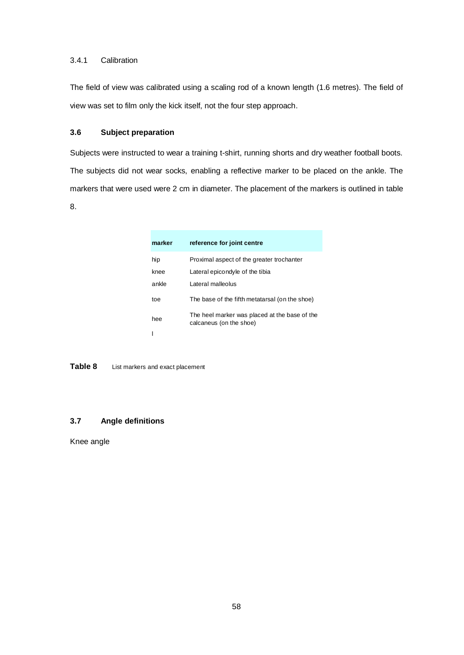# 3.4.1 Calibration

The field of view was calibrated using a scaling rod of a known length (1.6 metres). The field of view was set to film only the kick itself, not the four step approach.

# **3.6 Subject preparation**

Subjects were instructed to wear a training t-shirt, running shorts and dry weather football boots. The subjects did not wear socks, enabling a reflective marker to be placed on the ankle. The markers that were used were 2 cm in diameter. The placement of the markers is outlined in table 8.

| marker | reference for joint centre                                               |
|--------|--------------------------------------------------------------------------|
| hip    | Proximal aspect of the greater trochanter                                |
| knee   | Lateral epicondyle of the tibia                                          |
| ankle  | Lateral malleolus                                                        |
| toe    | The base of the fifth metatarsal (on the shoe)                           |
| hee    | The heel marker was placed at the base of the<br>calcaneus (on the shoe) |
|        |                                                                          |

**Table 8** List markers and exact placement

# **3.7 Angle definitions**

Knee angle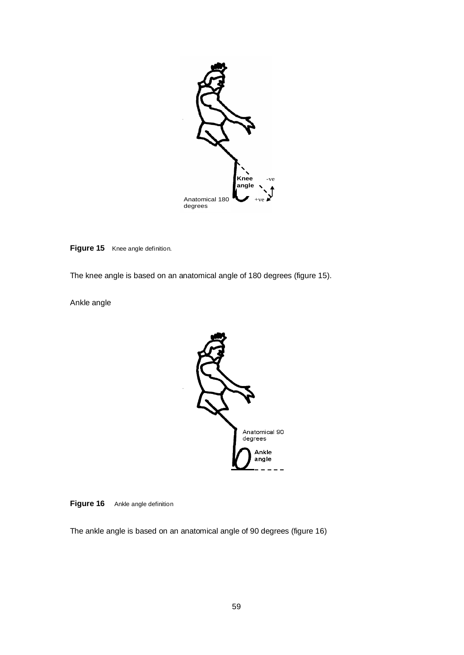

**Figure 15** Knee angle definition.

The knee angle is based on an anatomical angle of 180 degrees (figure 15).

Ankle angle



**Figure 16** Ankle angle definition

The ankle angle is based on an anatomical angle of 90 degrees (figure 16)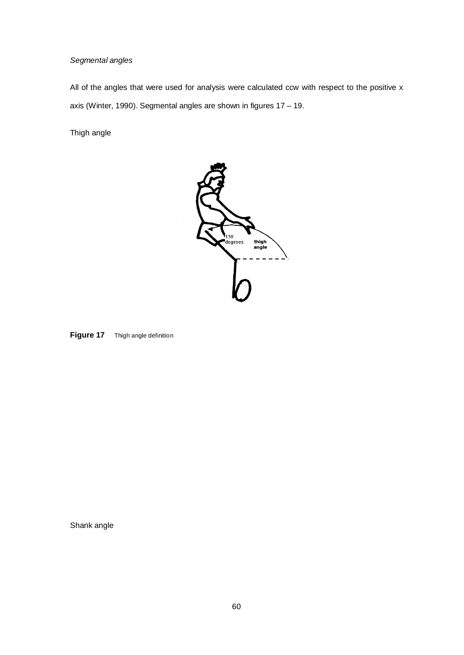# *Segmental angles*

All of the angles that were used for analysis were calculated ccw with respect to the positive x axis (Winter, 1990). Segmental angles are shown in figures 17 – 19.

Thigh angle





Shank angle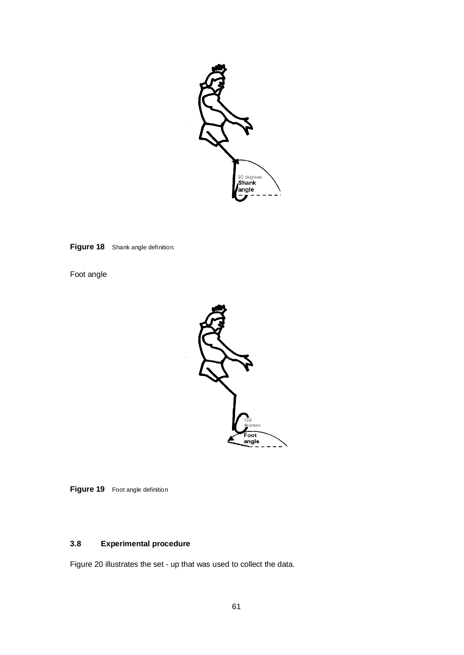

**Figure 18** Shank angle definition.

Foot angle



**Figure 19** Foot angle definition

# **3.8 Experimental procedure**

Figure 20 illustrates the set - up that was used to collect the data.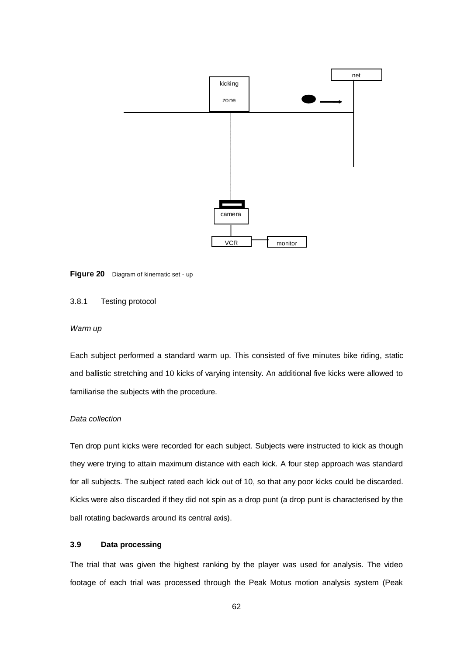

**Figure 20** Diagram of kinematic set - up

# 3.8.1 Testing protocol

### *Warm up*

Each subject performed a standard warm up. This consisted of five minutes bike riding, static and ballistic stretching and 10 kicks of varying intensity. An additional five kicks were allowed to familiarise the subjects with the procedure.

### *Data collection*

Ten drop punt kicks were recorded for each subject. Subjects were instructed to kick as though they were trying to attain maximum distance with each kick. A four step approach was standard for all subjects. The subject rated each kick out of 10, so that any poor kicks could be discarded. Kicks were also discarded if they did not spin as a drop punt (a drop punt is characterised by the ball rotating backwards around its central axis).

# **3.9 Data processing**

The trial that was given the highest ranking by the player was used for analysis. The video footage of each trial was processed through the Peak Motus motion analysis system (Peak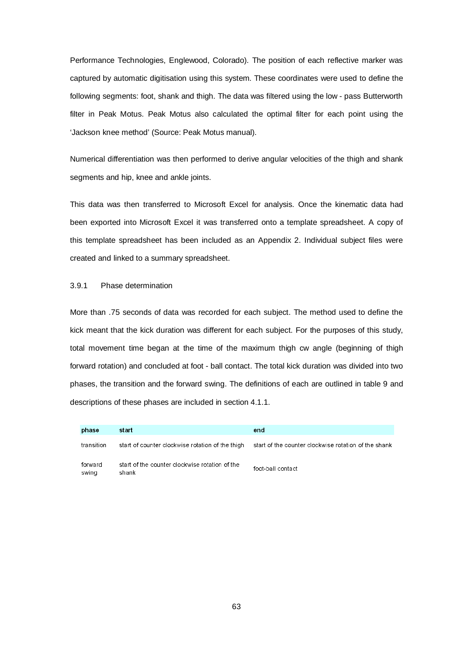Performance Technologies, Englewood, Colorado). The position of each reflective marker was captured by automatic digitisation using this system. These coordinates were used to define the following segments: foot, shank and thigh. The data was filtered using the low - pass Butterworth filter in Peak Motus. Peak Motus also calculated the optimal filter for each point using the 'Jackson knee method' (Source: Peak Motus manual).

Numerical differentiation was then performed to derive angular velocities of the thigh and shank segments and hip, knee and ankle joints.

This data was then transferred to Microsoft Excel for analysis. Once the kinematic data had been exported into Microsoft Excel it was transferred onto a template spreadsheet. A copy of this template spreadsheet has been included as an Appendix 2. Individual subject files were created and linked to a summary spreadsheet.

# 3.9.1 Phase determination

More than .75 seconds of data was recorded for each subject. The method used to define the kick meant that the kick duration was different for each subject. For the purposes of this study, total movement time began at the time of the maximum thigh cw angle (beginning of thigh forward rotation) and concluded at foot - ball contact. The total kick duration was divided into two phases, the transition and the forward swing. The definitions of each are outlined in table 9 and descriptions of these phases are included in section 4.1.1.

| phase            | start                                                   | end                                                  |
|------------------|---------------------------------------------------------|------------------------------------------------------|
| transition       | start of counter clockwise rotation of the thigh        | start of the counter clockwise rotation of the shank |
| forward<br>swing | start of the counter clockwise rotation of the<br>shank | foot-ball contact                                    |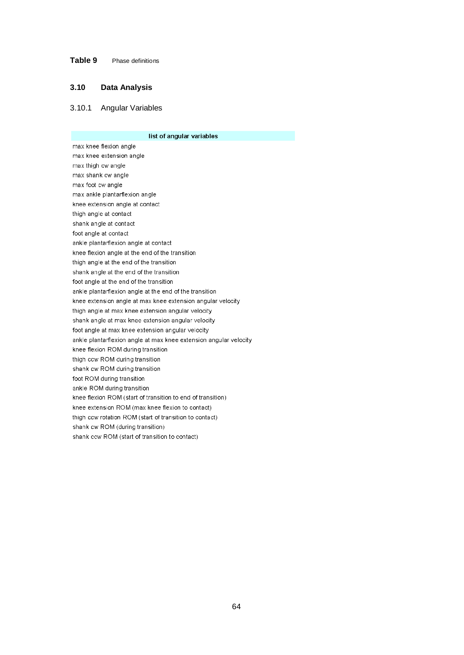# **Table 9** Phase definitions

## **3.10 Data Analysis**

### 3.10.1 Angular Variables

list of angular variables max knee flexion angle max knee extension angle max thigh cw angle max shank cw angle max foot cw angle max ankle plantarflexion angle knee extension angle at contact thigh angle at contact shank angle at contact foot angle at contact ankle plantarflexion angle at contact knee flexion angle at the end of the transition thigh angle at the end of the transition shank angle at the end of the transition foot angle at the end of the transition ankle plantarflexion angle at the end of the transition knee extension angle at max knee extension angular velocity thigh angle at max knee extension angular velocity shank angle at max knee extension angular velocity foot angle at max knee extension angular velocity ankle plantarflexion angle at max knee extension angular velocity knee flexion ROM during transition thigh ccw ROM during transition shank cw ROM during transition foot ROM during transition ankle ROM during transition knee flexion ROM (start of transition to end of transition) knee extension ROM (max knee flexion to contact) thigh ccw rotation ROM (start of transition to contact) shank cw ROM (during transition) shank ccw ROM (start of transition to contact)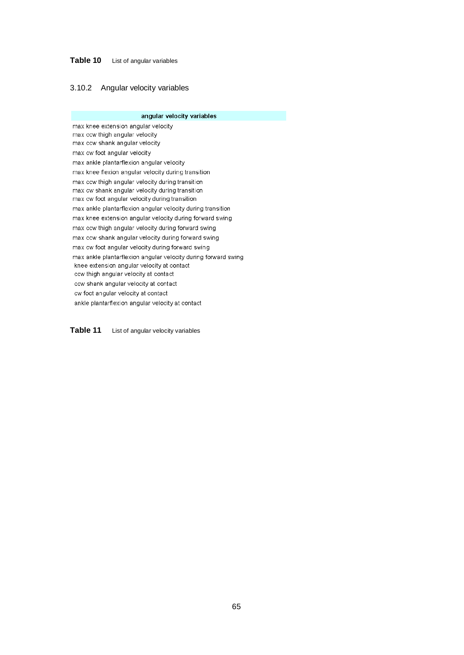# **Table 10** List of angular variables

### 3.10.2 Angular velocity variables

angular velocity variables max knee extension angular velocity max ccw thigh angular velocity max ccw shank angular velocity max cw foot angular velocity max ankle plantarflexion angular velocity max knee flexion angular velocity during transition max ccw thigh angular velocity during transition max cw shank angular velocity during transition max cw foot angular velocity during transition max ankle plantarflexion angular velocity during transition max knee extension angular velocity during forward swing max ccw thigh angular velocity during forward swing max ccw shank angular velocity during forward swing max cw foot angular velocity during forward swing max ankle plantarflexion angular velocity during forward swing knee extension angular velocity at contact ccw thigh angular velocity at contact ccw shank angular velocity at contact cw foot angular velocity at contact ankle plantarflexion angular velocity at contact

Table 11 List of angular velocity variables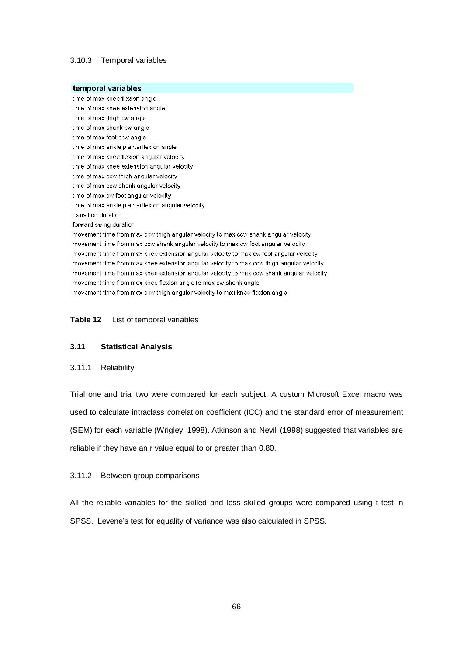# 3.10.3 Temporal variables

temporal variables time of max knee flexion angle time of max knee extension angle time of max thigh cw angle time of max shank cw angle time of max foot ccw angle time of max ankle plantarflexion angle time of max knee flexion angular velocity time of max knee extension angular velocity time of max ccw thigh angular velocity time of max ccw shank angular velocity time of max cw foot angular velocity time of max ankle plantarflexion angular velocity transition duration forward swing duration movement time from max ccw thigh angular velocity to max ccw shank angular velocity movement time from max ccw shank angular velocity to max cw foot angular velocity movement time from max knee extension angular velocity to max cw foot angular velocity movement time from max knee extension angular velocity to max ccw thigh angular velocity movement time from max knee extension angular velocity to max ccw shank angular velocity movement time from max knee flexion angle to max cw shank angle movement time from max ccw thigh angular velocity to max knee flexion angle

### **Table 12** List of temporal variables

# **3.11 Statistical Analysis**

### 3.11.1 Reliability

Trial one and trial two were compared for each subject. A custom Microsoft Excel macro was used to calculate intraclass correlation coefficient (ICC) and the standard error of measurement (SEM) for each variable (Wrigley, 1998). Atkinson and Nevill (1998) suggested that variables are reliable if they have an r value equal to or greater than 0.80.

### 3.11.2 Between group comparisons

All the reliable variables for the skilled and less skilled groups were compared using t test in SPSS. Levene's test for equality of variance was also calculated in SPSS.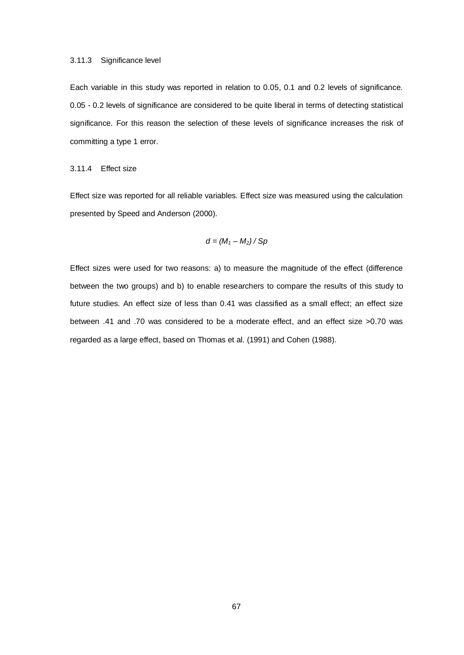Each variable in this study was reported in relation to 0.05, 0.1 and 0.2 levels of significance. 0.05 - 0.2 levels of significance are considered to be quite liberal in terms of detecting statistical significance. For this reason the selection of these levels of significance increases the risk of committing a type 1 error.

### 3.11.4 Effect size

Effect size was reported for all reliable variables. Effect size was measured using the calculation presented by Speed and Anderson (2000).

$$
d=(M_1-M_2)/Sp
$$

Effect sizes were used for two reasons: a) to measure the magnitude of the effect (difference between the two groups) and b) to enable researchers to compare the results of this study to future studies. An effect size of less than 0.41 was classified as a small effect; an effect size between .41 and .70 was considered to be a moderate effect, and an effect size >0.70 was regarded as a large effect, based on Thomas et al. (1991) and Cohen (1988).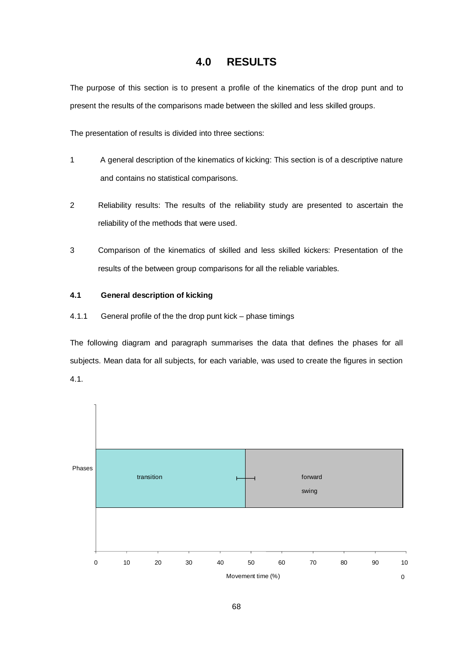# **4.0 RESULTS**

The purpose of this section is to present a profile of the kinematics of the drop punt and to present the results of the comparisons made between the skilled and less skilled groups.

The presentation of results is divided into three sections:

- 1 A general description of the kinematics of kicking: This section is of a descriptive nature and contains no statistical comparisons.
- 2 Reliability results: The results of the reliability study are presented to ascertain the reliability of the methods that were used.
- 3 Comparison of the kinematics of skilled and less skilled kickers: Presentation of the results of the between group comparisons for all the reliable variables.

# **4.1 General description of kicking**

4.1.1 General profile of the the drop punt kick – phase timings

The following diagram and paragraph summarises the data that defines the phases for all subjects. Mean data for all subjects, for each variable, was used to create the figures in section 4.1.

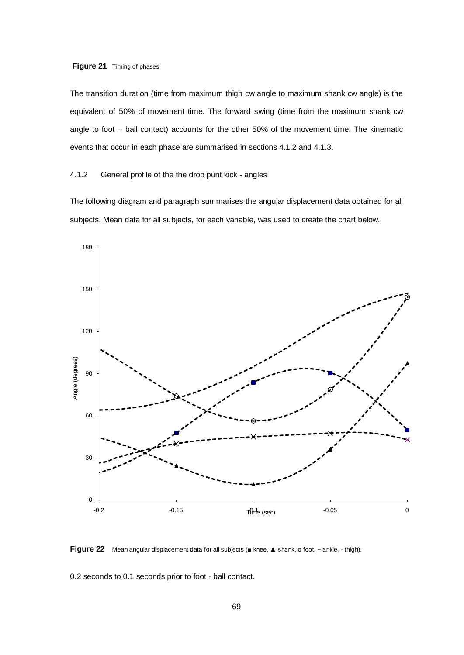# **Figure 21** Timing of phases

The transition duration (time from maximum thigh cw angle to maximum shank cw angle) is the equivalent of 50% of movement time. The forward swing (time from the maximum shank cw angle to foot – ball contact) accounts for the other 50% of the movement time. The kinematic events that occur in each phase are summarised in sections 4.1.2 and 4.1.3.

# 4.1.2 General profile of the the drop punt kick - angles

The following diagram and paragraph summarises the angular displacement data obtained for all subjects. Mean data for all subjects, for each variable, was used to create the chart below.



**Figure 22** Mean angular displacement data for all subjects (■ knee, ▲ shank, о foot, + ankle, - thigh).

0.2 seconds to 0.1 seconds prior to foot - ball contact.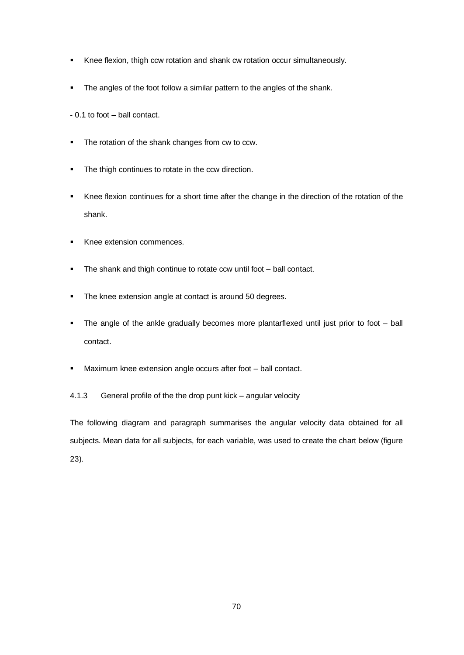- Knee flexion, thigh ccw rotation and shank cw rotation occur simultaneously.
- The angles of the foot follow a similar pattern to the angles of the shank.
- 0.1 to foot ball contact.
- The rotation of the shank changes from cw to ccw.
- The thigh continues to rotate in the ccw direction.
- Knee flexion continues for a short time after the change in the direction of the rotation of the shank.
- Knee extension commences.
- The shank and thigh continue to rotate ccw until foot ball contact.
- **The knee extension angle at contact is around 50 degrees.**
- The angle of the ankle gradually becomes more plantarflexed until just prior to foot ball contact.
- Maximum knee extension angle occurs after foot ball contact.

4.1.3 General profile of the the drop punt kick – angular velocity

The following diagram and paragraph summarises the angular velocity data obtained for all subjects. Mean data for all subjects, for each variable, was used to create the chart below (figure 23).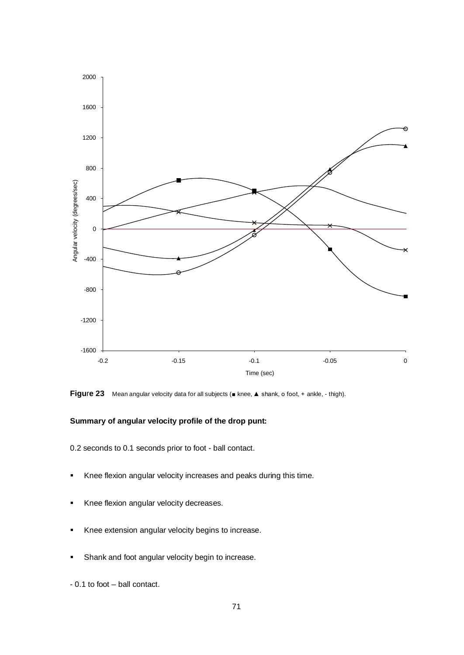

**Figure 23** Mean angular velocity data for all subjects (■ knee, ▲ shank, o foot, + ankle, - thigh).

# **Summary of angular velocity profile of the drop punt:**

0.2 seconds to 0.1 seconds prior to foot - ball contact.

- Knee flexion angular velocity increases and peaks during this time.
- Knee flexion angular velocity decreases.
- Knee extension angular velocity begins to increase.
- Shank and foot angular velocity begin to increase.
- 0.1 to foot ball contact.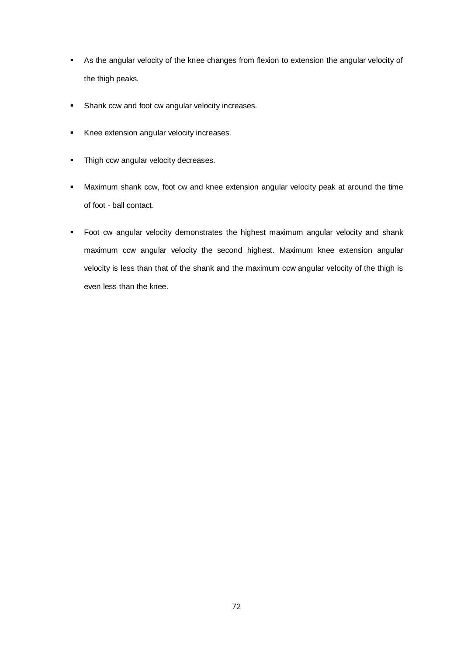- As the angular velocity of the knee changes from flexion to extension the angular velocity of the thigh peaks.
- **Shank ccw and foot cw angular velocity increases.**
- Knee extension angular velocity increases.
- Thigh ccw angular velocity decreases.
- Maximum shank ccw, foot cw and knee extension angular velocity peak at around the time of foot - ball contact.
- **Foot cw angular velocity demonstrates the highest maximum angular velocity and shank** maximum ccw angular velocity the second highest. Maximum knee extension angular velocity is less than that of the shank and the maximum ccw angular velocity of the thigh is even less than the knee.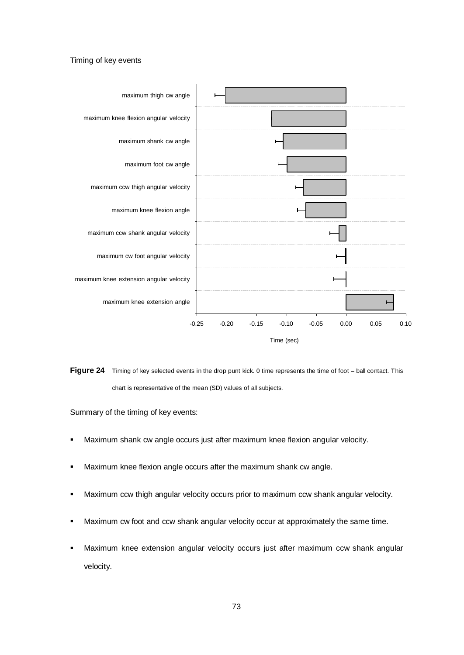#### Timing of key events



Figure 24 Timing of key selected events in the drop punt kick. 0 time represents the time of foot – ball contact. This chart is representative of the mean (SD) values of all subjects.

Summary of the timing of key events:

- Maximum shank cw angle occurs just after maximum knee flexion angular velocity.
- **Maximum knee flexion angle occurs after the maximum shank cw angle.**
- **Maximum ccw thigh angular velocity occurs prior to maximum ccw shank angular velocity.**
- **Maximum cw foot and ccw shank angular velocity occur at approximately the same time.**
- Maximum knee extension angular velocity occurs just after maximum ccw shank angular velocity.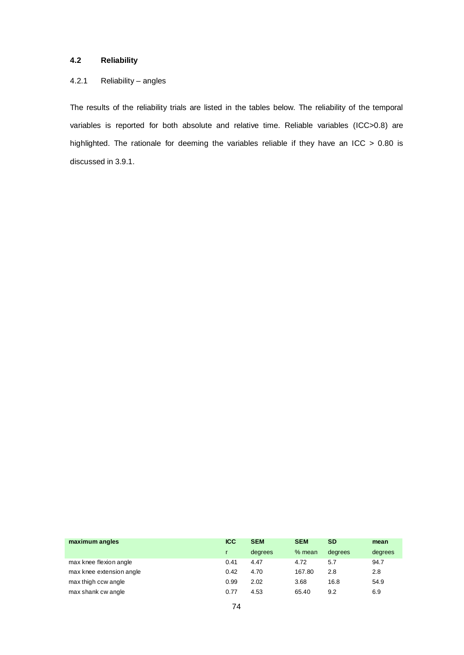## **4.2 Reliability**

## 4.2.1 Reliability – angles

The results of the reliability trials are listed in the tables below. The reliability of the temporal variables is reported for both absolute and relative time. Reliable variables (ICC>0.8) are highlighted. The rationale for deeming the variables reliable if they have an ICC > 0.80 is discussed in 3.9.1.

| maximum angles           | <b>ICC</b> | <b>SEM</b> | <b>SEM</b> | <b>SD</b> | mean    |
|--------------------------|------------|------------|------------|-----------|---------|
|                          |            | degrees    | $%$ mean   | degrees   | degrees |
| max knee flexion angle   | 0.41       | 4.47       | 4.72       | 5.7       | 94.7    |
| max knee extension angle | 0.42       | 4.70       | 167.80     | 2.8       | 2.8     |
| max thigh ccw angle      | 0.99       | 2.02       | 3.68       | 16.8      | 54.9    |
| max shank cw angle       | 0.77       | 4.53       | 65.40      | 9.2       | 6.9     |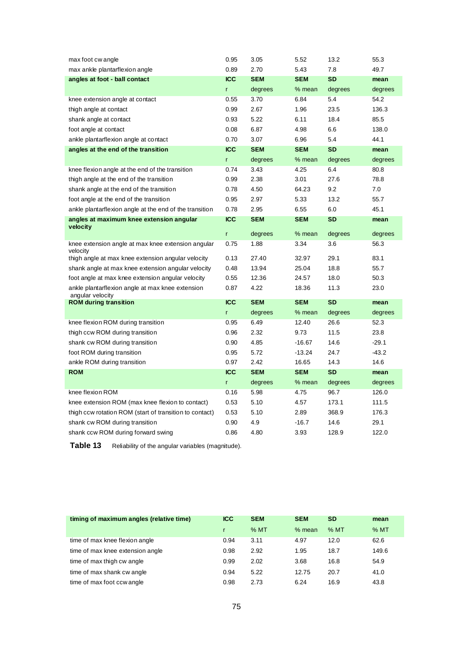| max foot cw angle                                                    | 0.95       | 3.05       | 5.52       | 13.2      | 55.3    |
|----------------------------------------------------------------------|------------|------------|------------|-----------|---------|
| max ankle plantarflexion angle                                       | 0.89       | 2.70       | 5.43       | 7.8       | 49.7    |
| angles at foot - ball contact                                        | <b>ICC</b> | <b>SEM</b> | <b>SEM</b> | <b>SD</b> | mean    |
|                                                                      | r          | degrees    | % mean     | degrees   | degrees |
| knee extension angle at contact                                      | 0.55       | 3.70       | 6.84       | 5.4       | 54.2    |
| thigh angle at contact                                               | 0.99       | 2.67       | 1.96       | 23.5      | 136.3   |
| shank angle at contact                                               | 0.93       | 5.22       | 6.11       | 18.4      | 85.5    |
| foot angle at contact                                                | 0.08       | 6.87       | 4.98       | 6.6       | 138.0   |
| ankle plantarflexion angle at contact                                | 0.70       | 3.07       | 6.96       | 5.4       | 44.1    |
| angles at the end of the transition                                  | <b>ICC</b> | <b>SEM</b> | <b>SEM</b> | <b>SD</b> | mean    |
|                                                                      | r          | degrees    | % mean     | degrees   | degrees |
| knee flexion angle at the end of the transition                      | 0.74       | 3.43       | 4.25       | 6.4       | 80.8    |
| thigh angle at the end of the transition                             | 0.99       | 2.38       | 3.01       | 27.6      | 78.8    |
| shank angle at the end of the transition                             | 0.78       | 4.50       | 64.23      | 9.2       | 7.0     |
| foot angle at the end of the transition                              | 0.95       | 2.97       | 5.33       | 13.2      | 55.7    |
| ankle plantarflexion angle at the end of the transition              | 0.78       | 2.95       | 6.55       | 6.0       | 45.1    |
| angles at maximum knee extension angular                             | <b>ICC</b> | <b>SEM</b> | <b>SEM</b> | <b>SD</b> | mean    |
| velocity                                                             | r.         | degrees    | $%$ mean   | degrees   | degrees |
| knee extension angle at max knee extension angular                   | 0.75       | 1.88       | 3.34       | 3.6       | 56.3    |
| velocity                                                             |            |            |            |           |         |
| thigh angle at max knee extension angular velocity                   | 0.13       | 27.40      | 32.97      | 29.1      | 83.1    |
| shank angle at max knee extension angular velocity                   | 0.48       | 13.94      | 25.04      | 18.8      | 55.7    |
| foot angle at max knee extension angular velocity                    | 0.55       | 12.36      | 24.57      | 18.0      | 50.3    |
| ankle plantarflexion angle at max knee extension<br>angular velocity | 0.87       | 4.22       | 18.36      | 11.3      | 23.0    |
| <b>ROM during transition</b>                                         | <b>ICC</b> | <b>SEM</b> | <b>SEM</b> | <b>SD</b> | mean    |
|                                                                      | r          | degrees    | % mean     | degrees   | degrees |
| knee flexion ROM during transition                                   | 0.95       | 6.49       | 12.40      | 26.6      | 52.3    |
| thigh ccw ROM during transition                                      | 0.96       | 2.32       | 9.73       | 11.5      | 23.8    |
| shank cw ROM during transition                                       | 0.90       | 4.85       | $-16.67$   | 14.6      | $-29.1$ |
| foot ROM during transition                                           | 0.95       | 5.72       | $-13.24$   | 24.7      | $-43.2$ |
| ankle ROM during transition                                          | 0.97       | 2.42       | 16.65      | 14.3      | 14.6    |
| <b>ROM</b>                                                           | <b>ICC</b> | <b>SEM</b> | <b>SEM</b> | <b>SD</b> | mean    |
|                                                                      | r          | degrees    | % mean     | degrees   | degrees |
| knee flexion ROM                                                     | 0.16       | 5.98       | 4.75       | 96.7      | 126.0   |
| knee extension ROM (max knee flexion to contact)                     | 0.53       | 5.10       | 4.57       | 173.1     | 111.5   |
| thigh ccw rotation ROM (start of transition to contact)              | 0.53       | 5.10       | 2.89       | 368.9     | 176.3   |
| shank cw ROM during transition                                       | 0.90       | 4.9        | $-16.7$    | 14.6      | 29.1    |
| shank ccw ROM during forward swing                                   | 0.86       | 4.80       | 3.93       | 128.9     | 122.0   |

Table 13 Reliability of the angular variables (magnitude).

| timing of maximum angles (relative time) | <b>ICC</b> | <b>SEM</b> | <b>SEM</b> | <b>SD</b> | mean  |
|------------------------------------------|------------|------------|------------|-----------|-------|
|                                          |            | $%$ MT     | $%$ mean   | %MT       | %MT   |
| time of max knee flexion angle           | 0.94       | 3.11       | 4.97       | 12.0      | 62.6  |
| time of max knee extension angle         | 0.98       | 2.92       | 1.95       | 18.7      | 149.6 |
| time of max thigh cw angle               | 0.99       | 2.02       | 3.68       | 16.8      | 54.9  |
| time of max shank cw angle               | 0.94       | 5.22       | 12.75      | 20.7      | 41.0  |
| time of max foot ccw angle               | 0.98       | 2.73       | 6.24       | 16.9      | 43.8  |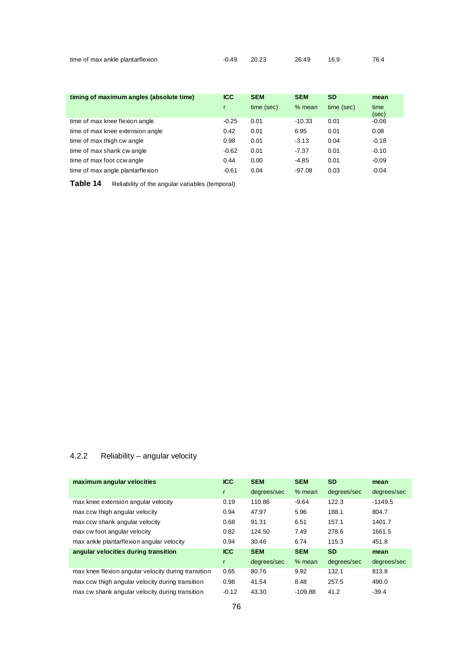| time of max ankle plantarflexion | -0.49 20.23 | 26.49 | 16.9 | 76.4 |
|----------------------------------|-------------|-------|------|------|
|                                  |             |       |      |      |

| timing of maximum angles (absolute time) | <b>ICC</b> | <b>SEM</b> | <b>SEM</b> | <b>SD</b>  | mean          |
|------------------------------------------|------------|------------|------------|------------|---------------|
|                                          |            | time (sec) | $%$ mean   | time (sec) | time<br>(sec) |
| time of max knee flexion angle           | $-0.25$    | 0.01       | $-10.33$   | 0.01       | $-0.06$       |
| time of max knee extension angle         | 0.42       | 0.01       | 6.95       | 0.01       | 0.08          |
| time of max thigh cw angle               | 0.98       | 0.01       | $-3.13$    | 0.04       | $-0.18$       |
| time of max shank cw angle               | $-0.62$    | 0.01       | $-7.37$    | 0.01       | $-0.10$       |
| time of max foot ccw angle               | 0.44       | 0.00       | $-4.85$    | 0.01       | $-0.09$       |
| time of max angle plantarflexion         | $-0.61$    | 0.04       | $-97.08$   | 0.03       | $-0.04$       |

Table 14 Reliability of the angular variables (temporal).

## 4.2.2 Reliability – angular velocity

| maximum angular velocities                          | <b>ICC</b> | <b>SEM</b>  | <b>SEM</b> | <b>SD</b>   | mean        |
|-----------------------------------------------------|------------|-------------|------------|-------------|-------------|
|                                                     | r          | degrees/sec | $%$ mean   | degrees/sec | degrees/sec |
| max knee extension angular velocity                 | 0.19       | 110.86      | $-9.64$    | 122.3       | $-1149.5$   |
| max ccw thigh angular velocity                      | 0.94       | 47.97       | 5.96       | 188.1       | 804.7       |
| max ccw shank angular velocity                      | 0.68       | 91.31       | 6.51       | 157.1       | 1401.7      |
| max cw foot angular velocity                        | 0.82       | 124.50      | 7.49       | 278.6       | 1661.5      |
| max ankle plantarflexion angular velocity           | 0.94       | 30.46       | 6.74       | 115.3       | 451.8       |
| angular velocities during transition                | <b>ICC</b> | <b>SEM</b>  | <b>SEM</b> | <b>SD</b>   | mean        |
|                                                     | r          | degrees/sec | $%$ mean   | degrees/sec | degrees/sec |
| max knee flexion angular velocity during transition | 0.65       | 80.76       | 9.92       | 132.1       | 813.8       |
| max ccw thigh angular velocity during transition    | 0.98       | 41.54       | 8.48       | 257.5       | 490.0       |
| max cw shank angular velocity during transition     | $-0.12$    | 43.30       | $-109.88$  | 41.2        | $-39.4$     |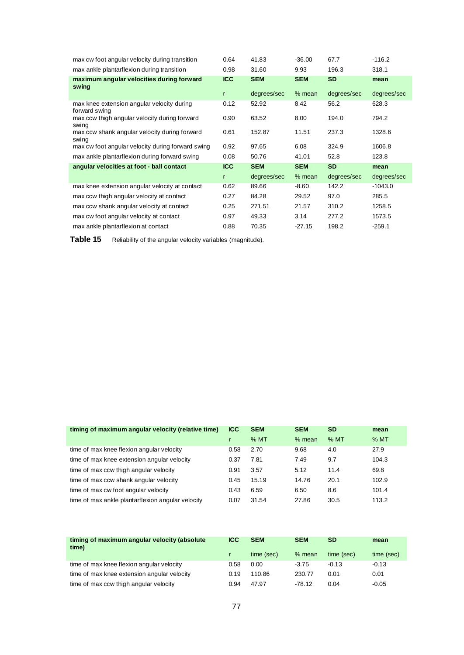| max cw foot angular velocity during transition              | 0.64       | 41.83       | $-36.00$   | 67.7        | $-116.2$    |
|-------------------------------------------------------------|------------|-------------|------------|-------------|-------------|
| max ankle plantarflexion during transition                  | 0.98       | 31.60       | 9.93       | 196.3       | 318.1       |
| maximum angular velocities during forward<br>swing          | <b>ICC</b> | <b>SEM</b>  | <b>SEM</b> | <b>SD</b>   | mean        |
|                                                             | r          | degrees/sec | $%$ mean   | degrees/sec | degrees/sec |
| max knee extension angular velocity during<br>forward swing | 0.12       | 52.92       | 8.42       | 56.2        | 628.3       |
| max ccw thigh angular velocity during forward<br>swing      | 0.90       | 63.52       | 8.00       | 194.0       | 794.2       |
| max ccw shank angular velocity during forward<br>swing      | 0.61       | 152.87      | 11.51      | 237.3       | 1328.6      |
| max cw foot angular velocity during forward swing           | 0.92       | 97.65       | 6.08       | 324.9       | 1606.8      |
| max ankle plantarflexion during forward swing               | 0.08       | 50.76       | 41.01      | 52.8        | 123.8       |
| angular velocities at foot - ball contact                   | <b>ICC</b> | <b>SEM</b>  | <b>SEM</b> | <b>SD</b>   | mean        |
|                                                             | r          | degrees/sec | $%$ mean   | degrees/sec | degrees/sec |
| max knee extension angular velocity at contact              | 0.62       | 89.66       | -8.60      | 142.2       | $-1043.0$   |
| max ccw thigh angular velocity at contact                   | 0.27       | 84.28       | 29.52      | 97.0        | 285.5       |
| max ccw shank angular velocity at contact                   | 0.25       | 271.51      | 21.57      | 310.2       | 1258.5      |
| max cw foot angular velocity at contact                     |            |             |            |             |             |
|                                                             | 0.97       | 49.33       | 3.14       | 277.2       | 1573.5      |

Table 15 Reliability of the angular velocity variables (magnitude).

| timing of maximum angular velocity (relative time) | <b>ICC</b> | <b>SEM</b> | <b>SEM</b> | <b>SD</b> | mean  |
|----------------------------------------------------|------------|------------|------------|-----------|-------|
|                                                    |            | %MT        | $%$ mean   | %MT       | %MT   |
| time of max knee flexion angular velocity          | 0.58       | 2.70       | 9.68       | 4.0       | 27.9  |
| time of max knee extension angular velocity        | 0.37       | 7.81       | 7.49       | 9.7       | 104.3 |
| time of max ccw thigh angular velocity             | 0.91       | 3.57       | 5.12       | 11.4      | 69.8  |
| time of max ccw shank angular velocity             | 0.45       | 15.19      | 14.76      | 20.1      | 102.9 |
| time of max cw foot angular velocity               | 0.43       | 6.59       | 6.50       | 8.6       | 101.4 |
| time of max ankle plantarflexion angular velocity  | 0.07       | 31.54      | 27.86      | 30.5      | 113.2 |

| timing of maximum angular velocity (absolute<br>time) | <b>ICC</b> | <b>SEM</b> | <b>SEM</b> | <b>SD</b>  | mean       |
|-------------------------------------------------------|------------|------------|------------|------------|------------|
|                                                       |            | time (sec) | $%$ mean   | time (sec) | time (sec) |
| time of max knee flexion angular velocity             | 0.58       | 0.00       | $-3.75$    | $-0.13$    | $-0.13$    |
| time of max knee extension angular velocity           | 0.19       | 110.86     | 230.77     | 0.01       | 0.01       |
| time of max ccw thigh angular velocity                | 0.94       | 47.97      | $-78.12$   | 0.04       | $-0.05$    |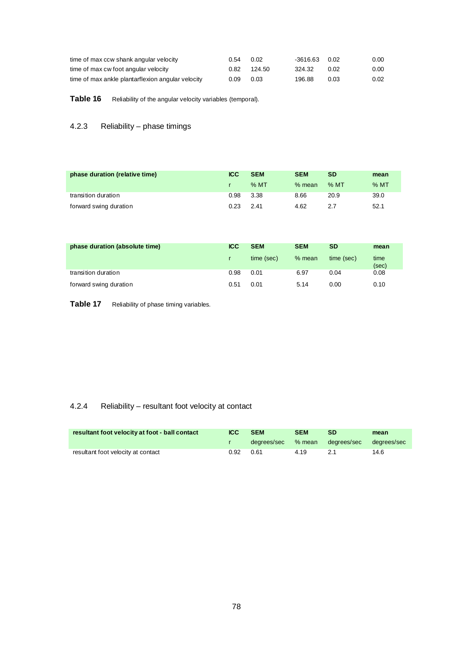| time of max ccw shank angular velocity            | 0.54 | 0.02   | -3616.63 | 0.02 | $0.00\,$ |
|---------------------------------------------------|------|--------|----------|------|----------|
| time of max cw foot angular velocity              | 0.82 | 124.50 | 324.32   | 0.02 | $0.00\,$ |
| time of max ankle plantarflexion angular velocity | 0.09 | 0.03   | 196.88   | 0.03 | 0.02     |

Table 16 Reliability of the angular velocity variables (temporal).

## 4.2.3 Reliability – phase timings

| phase duration (relative time) | <b>ICC</b> | <b>SEM</b> | <b>SEM</b> | SD     | mean   |
|--------------------------------|------------|------------|------------|--------|--------|
|                                |            | $%$ MT     | $%$ mean   | $%$ MT | $%$ MT |
| transition duration            | 0.98       | 3.38       | 8.66       | 20.9   | 39.0   |
| forward swing duration         | 0.23       | 2.41       | 4.62       | 2.7    | 52.1   |

| phase duration (absolute time) | <b>ICC</b> | <b>SEM</b> | <b>SEM</b> | <b>SD</b>  | mean          |
|--------------------------------|------------|------------|------------|------------|---------------|
|                                | r          | time (sec) | $%$ mean   | time (sec) | time<br>(sec) |
| transition duration            | 0.98       | 0.01       | 6.97       | 0.04       | 0.08          |
| forward swing duration         | 0.51       | 0.01       | 5.14       | 0.00       | 0.10          |

Table 17 Reliability of phase timing variables.

## 4.2.4 Reliability – resultant foot velocity at contact

| resultant foot velocity at foot - ball contact | <b>ICC</b> | <b>SEM</b>         | <b>SEM</b> | <b>SD</b>   | mean        |
|------------------------------------------------|------------|--------------------|------------|-------------|-------------|
|                                                |            | degrees/sec % mean |            | dearees/sec | dearees/sec |
| resultant foot velocity at contact             | 0.92       | 0.61               | 4.19       | 21          | 14.6        |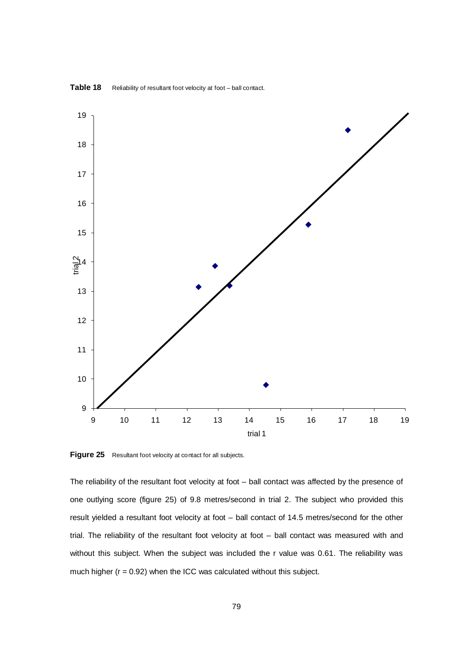

Table 18 Reliability of resultant foot velocity at foot – ball contact.

**Figure 25** Resultant foot velocity at contact for all subjects.

The reliability of the resultant foot velocity at foot – ball contact was affected by the presence of one outlying score (figure 25) of 9.8 metres/second in trial 2. The subject who provided this result yielded a resultant foot velocity at foot – ball contact of 14.5 metres/second for the other trial. The reliability of the resultant foot velocity at foot – ball contact was measured with and without this subject. When the subject was included the r value was 0.61. The reliability was much higher ( $r = 0.92$ ) when the ICC was calculated without this subject.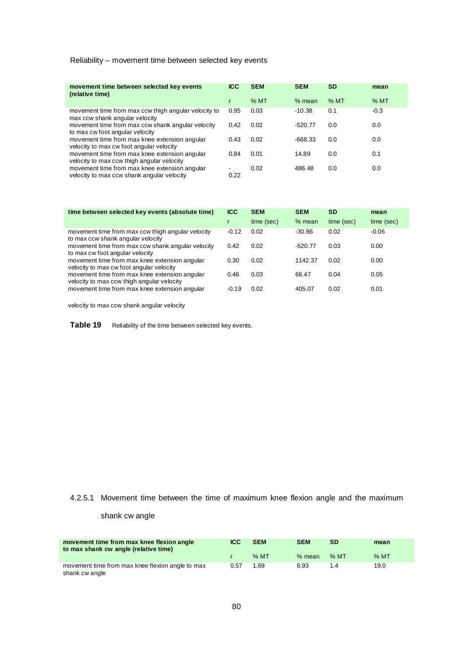## Reliability – movement time between selected key events

| movement time between selected key events<br>(relative time)                                | <b>ICC</b>                       | <b>SEM</b> | <b>SEM</b> | <b>SD</b> | mean   |
|---------------------------------------------------------------------------------------------|----------------------------------|------------|------------|-----------|--------|
|                                                                                             |                                  | $%$ MT     | $%$ mean   | $%$ MT    | %MT    |
| movement time from max ccw thigh angular velocity to<br>max ccw shank angular velocity      | 0.95                             | 0.03       | $-10.38$   | 0.1       | $-0.3$ |
| movement time from max ccw shank angular velocity<br>to max cw foot angular velocity        | 0.42                             | 0.02       | $-520.77$  | 0.0       | 0.0    |
| movement time from max knee extension angular<br>velocity to max cw foot angular velocity   | 0.43                             | 0.02       | $-668.33$  | 0.0       | 0.0    |
| movement time from max knee extension angular<br>velocity to max ccw thigh angular velocity | 0.84                             | 0.01       | 14.89      | 0.0       | 0.1    |
| movement time from max knee extension angular<br>velocity to max ccw shank angular velocity | $\overline{\phantom{a}}$<br>0.22 | 0.02       | 486.48     | 0.0       | 0.0    |

| time between selected key events (absolute time)                                            | <b>ICC</b> | <b>SEM</b> | <b>SEM</b> | <b>SD</b>  | mean       |
|---------------------------------------------------------------------------------------------|------------|------------|------------|------------|------------|
|                                                                                             |            | time (sec) | $%$ mean   | time (sec) | time (sec) |
| movement time from max ccw thigh angular velocity<br>to max ccw shank angular velocity      | $-0.12$    | 0.02       | $-30.86$   | 0.02       | $-0.06$    |
| movement time from max ccw shank angular velocity<br>to max cw foot angular velocity        | 0.42       | 0.02       | $-520.77$  | 0.03       | 0.00       |
| movement time from max knee extension angular<br>velocity to max cw foot angular velocity   | 0.30       | 0.02       | 1142.37    | 0.02       | 0.00       |
| movement time from max knee extension angular<br>velocity to max ccw thigh angular velocity | 0.46       | 0.03       | 66.47      | 0.04       | 0.05       |
| movement time from max knee extension angular                                               | $-0.19$    | 0.02       | 405.07     | 0.02       | 0.01       |

velocity to max ccw shank angular velocity

Table 19 Reliability of the time between selected key events.

## 4.2.5.1 Movement time between the time of maximum knee flexion angle and the maximum

### shank cw angle

| movement time from max knee flexion angle<br>to max shank cw angle (relative time) | <b>ICC</b> | <b>SEM</b> | <b>SEM</b> | <b>SD</b> | mean   |
|------------------------------------------------------------------------------------|------------|------------|------------|-----------|--------|
|                                                                                    |            | $%$ MT     | % mean     | % MT      | $%$ MT |
| movement time from max knee flexion angle to max<br>shank cw angle                 | 0.57       | 1.69       | 8.93       | 1.4       | 19.0   |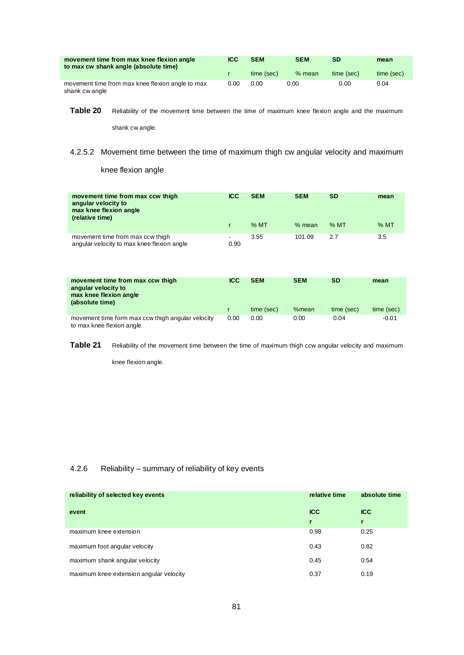| movement time from max knee flexion angle<br>to max cw shank angle (absolute time) | <b>ICC</b> | <b>SEM</b> | <b>SEM</b> | SD         | mean       |
|------------------------------------------------------------------------------------|------------|------------|------------|------------|------------|
|                                                                                    |            | time (sec) | $%$ mean   | time (sec) | time (sec) |
| movement time from max knee flexion angle to max<br>shank cw angle                 | 0.00       | 0.00       | 0.00       | 0.00       | 0.04       |

Table 20 Reliability of the movement time between the time of maximum knee flexion angle and the maximum

shank cw angle.

## 4.2.5.2 Movement time between the time of maximum thigh cw angular velocity and maximum

knee flexion angle

| movement time from max ccw thigh<br>angular velocity to<br>max knee flexion angle<br>(relative time) | <b>ICC</b>                       | <b>SEM</b><br>$%$ MT | <b>SEM</b><br>$%$ mean | <b>SD</b><br>$%$ MT | mean<br>$%$ MT |
|------------------------------------------------------------------------------------------------------|----------------------------------|----------------------|------------------------|---------------------|----------------|
| movement time from max ccw thigh<br>angular velocity to max knee flexion angle                       | $\overline{\phantom{a}}$<br>0.90 | 3.55                 | 101.09                 | 2.7                 | 3.5            |

| movement time from max ccw thigh<br>angular velocity to<br>max knee flexion angle<br>(absolute time) | ICC  | <b>SEM</b> | <b>SEM</b> | SD         | mean       |
|------------------------------------------------------------------------------------------------------|------|------------|------------|------------|------------|
|                                                                                                      |      | time (sec) | %mean      | time (sec) | time (sec) |
| movement time form max ccw thigh angular velocity<br>to max knee flexion angle                       | 0.00 | 0.00       | 0.00       | 0.04       | $-0.01$    |

**Table 21** Reliability of the movement time between the time of maximum thigh ccw angular velocity and maximum

knee flexion angle.

## 4.2.6 Reliability – summary of reliability of key events

| reliability of selected key events      | relative time | absolute time |
|-----------------------------------------|---------------|---------------|
| event                                   | <b>ICC</b>    | <b>ICC</b>    |
|                                         | r             | $\mathbf{r}$  |
| maximum knee extension                  | 0.98          | 0.25          |
| maximum foot angular velocity           | 0.43          | 0.82          |
| maximum shank angular velocity          | 0.45          | 0.54          |
| maximum knee extension angular velocity | 0.37          | 0.19          |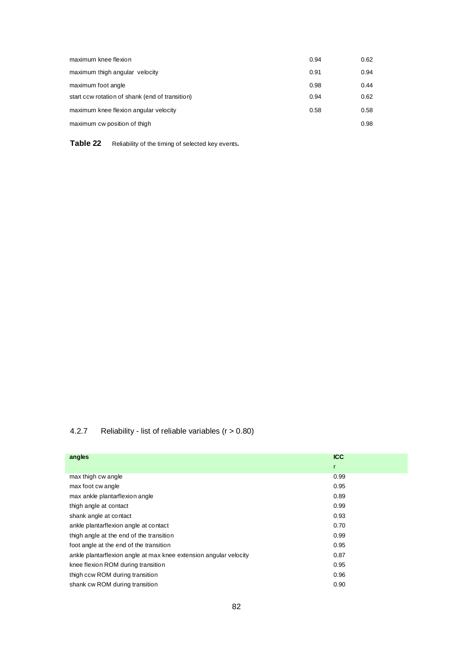| maximum knee flexion                            | 0.94 | 0.62 |
|-------------------------------------------------|------|------|
| maximum thigh angular velocity                  | 0.91 | 0.94 |
| maximum foot angle                              | 0.98 | 0.44 |
| start ccw rotation of shank (end of transition) | 0.94 | 0.62 |
| maximum knee flexion angular velocity           | 0.58 | 0.58 |
| maximum cw position of thigh                    |      | 0.98 |

**Table 22** Reliability of the timing of selected key events**.**

## 4.2.7 Reliability - list of reliable variables (r > 0.80)

| angles                                                            | <b>ICC</b>   |
|-------------------------------------------------------------------|--------------|
|                                                                   | $\mathsf{r}$ |
| max thigh cw angle                                                | 0.99         |
| max foot cw angle                                                 | 0.95         |
| max ankle plantarflexion angle                                    | 0.89         |
| thigh angle at contact                                            | 0.99         |
| shank angle at contact                                            | 0.93         |
| ankle plantarflexion angle at contact                             | 0.70         |
| thigh angle at the end of the transition                          | 0.99         |
| foot angle at the end of the transition                           | 0.95         |
| ankle plantarflexion angle at max knee extension angular velocity | 0.87         |
| knee flexion ROM during transition                                | 0.95         |
| thigh ccw ROM during transition                                   | 0.96         |
| shank cw ROM during transition                                    | 0.90         |
|                                                                   |              |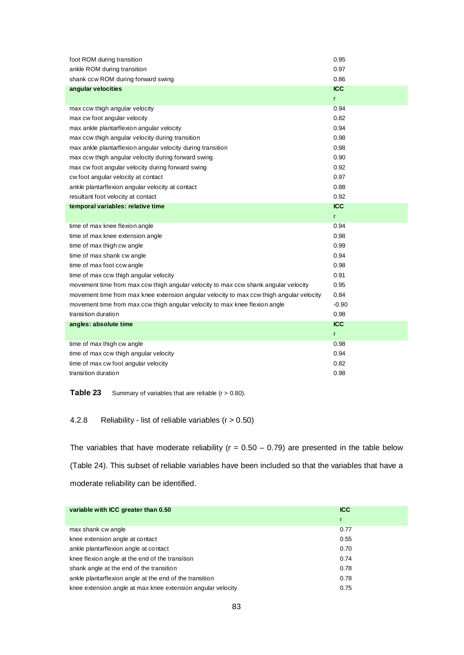| foot ROM during transition                                                               | 0.95         |
|------------------------------------------------------------------------------------------|--------------|
| ankle ROM during transition                                                              | 0.97         |
| shank ccw ROM during forward swing                                                       | 0.86         |
| angular velocities                                                                       | <b>ICC</b>   |
|                                                                                          | $\mathsf{r}$ |
| max ccw thigh angular velocity                                                           | 0.94         |
| max cw foot angular velocity                                                             | 0.82         |
| max ankle plantarflexion angular velocity                                                | 0.94         |
| max ccw thigh angular velocity during transition                                         | 0.98         |
| max ankle plantarflexion angular velocity during transition                              | 0.98         |
| max ccw thigh angular velocity during forward swing                                      | 0.90         |
| max cw foot angular velocity during forward swing                                        | 0.92         |
| cw foot angular velocity at contact                                                      | 0.97         |
| ankle plantarflexion angular velocity at contact                                         | 0.88         |
| resultant foot velocity at contact                                                       | 0.92         |
| temporal variables: relative time                                                        | <b>ICC</b>   |
|                                                                                          | $\mathsf{r}$ |
|                                                                                          |              |
| time of max knee flexion angle                                                           | 0.94         |
| time of max knee extension angle                                                         | 0.98         |
| time of max thigh cw angle                                                               | 0.99         |
| time of max shank cw angle                                                               | 0.94         |
| time of max foot ccw angle                                                               | 0.98         |
| time of max ccw thigh angular velocity                                                   | 0.91         |
| movement time from max ccw thigh angular velocity to max ccw shank angular velocity      | 0.95         |
| movement time from max knee extension angular velocity to max ccw thigh angular velocity | 0.84         |
| movement time from max ccw thigh angular velocity to max knee flexion angle              | $-0.90$      |
| transition duration                                                                      | 0.98         |
| angles: absolute time                                                                    | <b>ICC</b>   |
|                                                                                          | $\mathsf{r}$ |
| time of max thigh cw angle                                                               | 0.98         |
| time of max ccw thigh angular velocity                                                   | 0.94         |
| time of max cw foot angular velocity                                                     | 0.82         |

**Table 23** Summary of variables that are reliable (r > 0.80).

4.2.8 Reliability - list of reliable variables (r > 0.50)

The variables that have moderate reliability ( $r = 0.50 - 0.79$ ) are presented in the table below (Table 24). This subset of reliable variables have been included so that the variables that have a moderate reliability can be identified.

| variable with ICC greater than 0.50                         | <b>ICC</b> |
|-------------------------------------------------------------|------------|
|                                                             |            |
| max shank cw angle                                          | 0.77       |
| knee extension angle at contact                             | 0.55       |
| ankle plantarflexion angle at contact                       | 0.70       |
| knee flexion angle at the end of the transition             | 0.74       |
| shank angle at the end of the transition                    | 0.78       |
| ankle plantarflexion angle at the end of the transition     | 0.78       |
| knee extension angle at max knee extension angular velocity | 0.75       |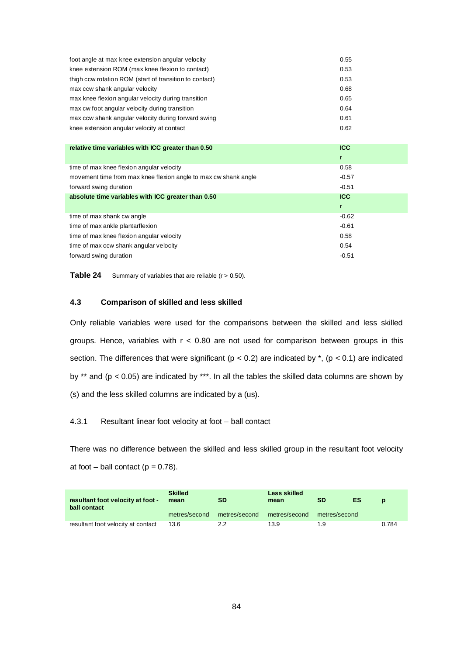| foot angle at max knee extension angular velocity       | 0.55 |
|---------------------------------------------------------|------|
| knee extension ROM (max knee flexion to contact)        | 0.53 |
| thigh ccw rotation ROM (start of transition to contact) | 0.53 |
| max ccw shank angular velocity                          | 0.68 |
| max knee flexion angular velocity during transition     | 0.65 |
| max cw foot angular velocity during transition          | 0.64 |
| max ccw shank angular velocity during forward swing     | 0.61 |
| knee extension angular velocity at contact              | 0.62 |

| relative time variables with ICC greater than 0.50              | <b>ICC</b> |
|-----------------------------------------------------------------|------------|
|                                                                 | r          |
| time of max knee flexion angular velocity                       | 0.58       |
| movement time from max knee flexion angle to max cw shank angle | $-0.57$    |
| forward swing duration                                          | $-0.51$    |
| absolute time variables with ICC greater than 0.50              | <b>ICC</b> |
|                                                                 |            |
|                                                                 | r          |
| time of max shank cw angle                                      | $-0.62$    |
| time of max ankle plantarflexion                                | $-0.61$    |
| time of max knee flexion angular velocity                       | 0.58       |
| time of max ccw shank angular velocity                          | 0.54       |

**Table 24** Summary of variables that are reliable (r > 0.50).

## **4.3 Comparison of skilled and less skilled**

Only reliable variables were used for the comparisons between the skilled and less skilled groups. Hence, variables with  $r < 0.80$  are not used for comparison between groups in this section. The differences that were significant ( $p < 0.2$ ) are indicated by  $*$ , ( $p < 0.1$ ) are indicated by \*\* and ( $p < 0.05$ ) are indicated by \*\*\*. In all the tables the skilled data columns are shown by (s) and the less skilled columns are indicated by a (us).

### 4.3.1 Resultant linear foot velocity at foot – ball contact

There was no difference between the skilled and less skilled group in the resultant foot velocity at foot – ball contact ( $p = 0.78$ ).

| resultant foot velocity at foot -<br>ball contact | <b>Skilled</b><br>mean | <b>SD</b>     | Less skilled<br>mean | SD            | ES | $\mathbf{D}$ |
|---------------------------------------------------|------------------------|---------------|----------------------|---------------|----|--------------|
|                                                   | metres/second          | metres/second | metres/second        | metres/second |    |              |
| resultant foot velocity at contact                | 13.6                   | 2.2           | 13.9                 | 1.9           |    | 0.784        |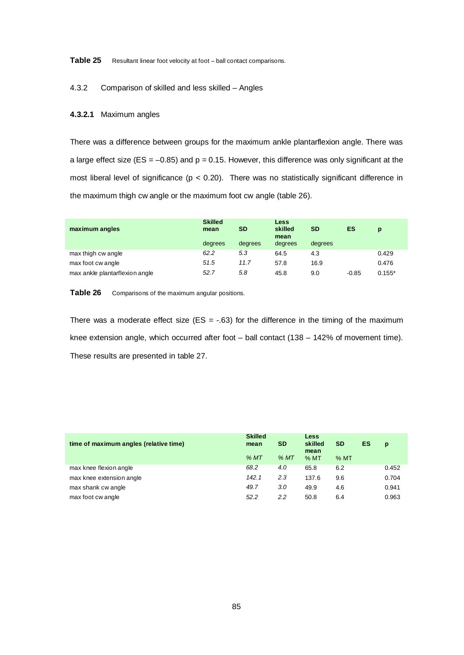**Table 25** Resultant linear foot velocity at foot – ball contact comparisons.

#### 4.3.2 Comparison of skilled and less skilled – Angles

### **4.3.2.1** Maximum angles

There was a difference between groups for the maximum ankle plantarflexion angle. There was a large effect size (ES =  $-0.85$ ) and p = 0.15. However, this difference was only significant at the most liberal level of significance ( $p < 0.20$ ). There was no statistically significant difference in the maximum thigh cw angle or the maximum foot cw angle (table 26).

| maximum angles                 | <b>Skilled</b><br>mean | <b>SD</b> | Less<br>skilled<br>mean | <b>SD</b> | ES      | p        |
|--------------------------------|------------------------|-----------|-------------------------|-----------|---------|----------|
|                                | degrees                | degrees   | degrees                 | degrees   |         |          |
| max thigh cw angle             | 62.2                   | 5.3       | 64.5                    | 4.3       |         | 0.429    |
| max foot cw angle              | 51.5                   | 11.7      | 57.8                    | 16.9      |         | 0.476    |
| max ankle plantarflexion angle | 52.7                   | 5.8       | 45.8                    | 9.0       | $-0.85$ | $0.155*$ |

Table 26 Comparisons of the maximum angular positions.

There was a moderate effect size (ES =  $-.63$ ) for the difference in the timing of the maximum knee extension angle, which occurred after foot – ball contact (138 – 142% of movement time). These results are presented in table 27.

| time of maximum angles (relative time) | <b>Skilled</b><br>mean | <b>SD</b> | Less<br>skilled<br>mean | <b>SD</b> | <b>ES</b> | p     |
|----------------------------------------|------------------------|-----------|-------------------------|-----------|-----------|-------|
|                                        | %MT                    | %MT       | %MT                     | %MT       |           |       |
| max knee flexion angle                 | 68.2                   | 4.0       | 65.8                    | 6.2       |           | 0.452 |
| max knee extension angle               | 142.1                  | 2.3       | 137.6                   | 9.6       |           | 0.704 |
| max shank cw angle                     | 49.7                   | 3.0       | 49.9                    | 4.6       |           | 0.941 |
| max foot cw angle                      | 52.2                   | 2.2       | 50.8                    | 6.4       |           | 0.963 |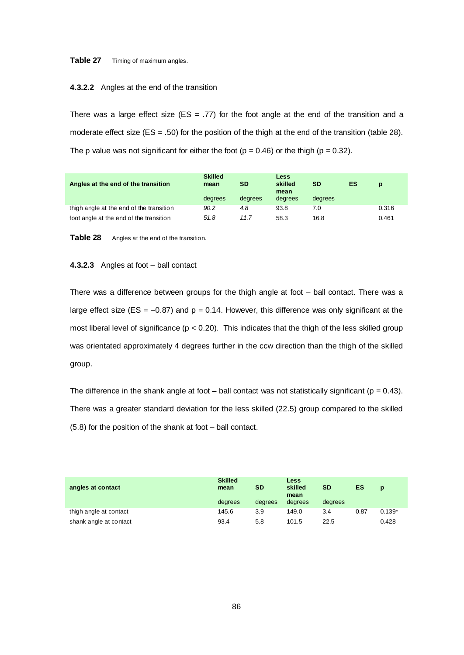#### Table 27 Timing of maximum angles.

#### **4.3.2.2** Angles at the end of the transition

There was a large effect size (ES = .77) for the foot angle at the end of the transition and a moderate effect size ( $ES = .50$ ) for the position of the thigh at the end of the transition (table 28). The p value was not significant for either the foot ( $p = 0.46$ ) or the thigh ( $p = 0.32$ ).

| Angles at the end of the transition      | <b>Skilled</b><br>mean | SD      | <b>Less</b><br>skilled<br>mean | <b>SD</b> | ES | D     |
|------------------------------------------|------------------------|---------|--------------------------------|-----------|----|-------|
|                                          | degrees                | degrees | degrees                        | degrees   |    |       |
| thigh angle at the end of the transition | 90.2                   | 4.8     | 93.8                           | 7.0       |    | 0.316 |
| foot angle at the end of the transition  | 51.8                   | 11.7    | 58.3                           | 16.8      |    | 0.461 |

**Table 28** Angles at the end of the transition.

#### **4.3.2.3** Angles at foot – ball contact

There was a difference between groups for the thigh angle at foot – ball contact. There was a large effect size ( $ES = -0.87$ ) and  $p = 0.14$ . However, this difference was only significant at the most liberal level of significance ( $p < 0.20$ ). This indicates that the thigh of the less skilled group was orientated approximately 4 degrees further in the ccw direction than the thigh of the skilled group.

The difference in the shank angle at foot – ball contact was not statistically significant ( $p = 0.43$ ). There was a greater standard deviation for the less skilled (22.5) group compared to the skilled (5.8) for the position of the shank at foot – ball contact.

| angles at contact      | <b>Skilled</b><br>mean | <b>SD</b> | Less<br>skilled<br>mean | <b>SD</b> | <b>ES</b> | $\mathbf{D}$ |
|------------------------|------------------------|-----------|-------------------------|-----------|-----------|--------------|
|                        | degrees                | degrees   | degrees                 | degrees   |           |              |
| thigh angle at contact | 145.6                  | 3.9       | 149.0                   | 3.4       | 0.87      | $0.139*$     |
| shank angle at contact | 93.4                   | 5.8       | 101.5                   | 22.5      |           | 0.428        |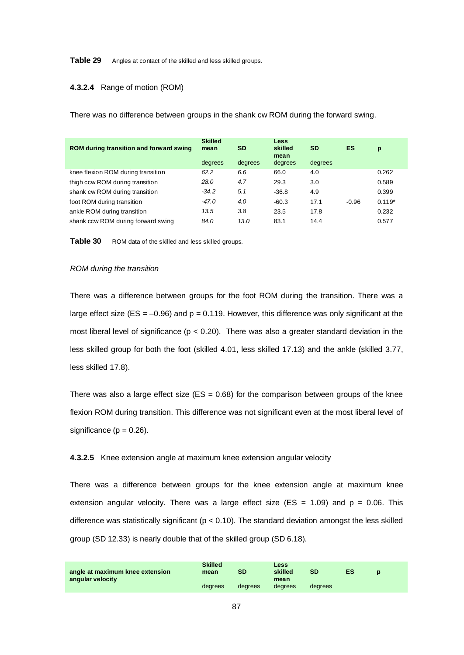#### **Table 29** Angles at contact of the skilled and less skilled groups.

#### **4.3.2.4** Range of motion (ROM)

There was no difference between groups in the shank cw ROM during the forward swing.

| ROM during transition and forward swing | <b>Skilled</b><br>mean<br>degrees | SD<br>degrees | Less<br>skilled<br>mean<br>degrees | <b>SD</b><br>degrees | ES      | p        |
|-----------------------------------------|-----------------------------------|---------------|------------------------------------|----------------------|---------|----------|
| knee flexion ROM during transition      | 62.2                              | 6.6           | 66.0                               | 4.0                  |         | 0.262    |
| thigh ccw ROM during transition         | 28.0                              | 4.7           | 29.3                               | 3.0                  |         | 0.589    |
| shank cw ROM during transition          | $-34.2$                           | 5.1           | $-36.8$                            | 4.9                  |         | 0.399    |
| foot ROM during transition              | -47.0                             | 4.0           | $-60.3$                            | 17.1                 | $-0.96$ | $0.119*$ |
| ankle ROM during transition             | 13.5                              | 3.8           | 23.5                               | 17.8                 |         | 0.232    |
| shank ccw ROM during forward swing      | 84.0                              | 13.0          | 83.1                               | 14.4                 |         | 0.577    |

Table 30 ROM data of the skilled and less skilled groups.

#### *ROM during the transition*

There was a difference between groups for the foot ROM during the transition. There was a large effect size ( $ES = -0.96$ ) and  $p = 0.119$ . However, this difference was only significant at the most liberal level of significance ( $p < 0.20$ ). There was also a greater standard deviation in the less skilled group for both the foot (skilled 4.01, less skilled 17.13) and the ankle (skilled 3.77, less skilled 17.8).

There was also a large effect size ( $ES = 0.68$ ) for the comparison between groups of the knee flexion ROM during transition. This difference was not significant even at the most liberal level of significance ( $p = 0.26$ ).

#### **4.3.2.5** Knee extension angle at maximum knee extension angular velocity

There was a difference between groups for the knee extension angle at maximum knee extension angular velocity. There was a large effect size ( $ES = 1.09$ ) and  $p = 0.06$ . This difference was statistically significant ( $p < 0.10$ ). The standard deviation amongst the less skilled group (SD 12.33) is nearly double that of the skilled group (SD 6.18).

| angle at maximum knee extension | <b>Skilled</b><br>mean | SD      | Less<br>skilled | <b>SD</b> | ES |  |
|---------------------------------|------------------------|---------|-----------------|-----------|----|--|
| angular velocity                |                        |         | mean            |           |    |  |
|                                 | degrees                | dearees | dearees         | degrees   |    |  |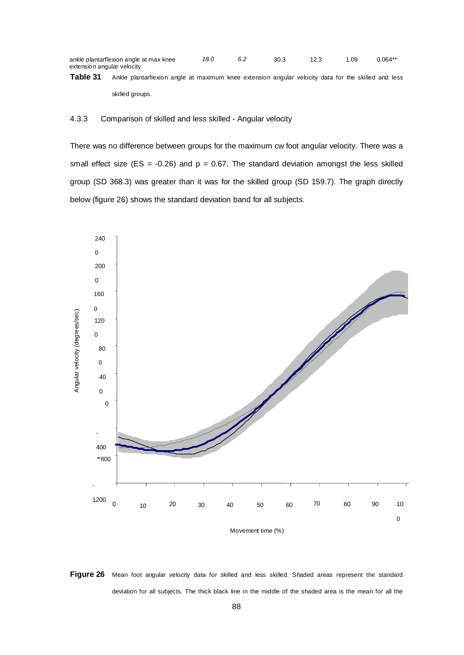| ankle plantarflexion angle at max knee | 18.0 | 30.3 | 1.09 | $0.064**$ |
|----------------------------------------|------|------|------|-----------|
| extension angular velocity             |      |      |      |           |

**Table 31** Ankle plantarflexion angle at maximum knee extension angular velocity data for the skilled and less

skilled groups.

#### 4.3.3 Comparison of skilled and less skilled - Angular velocity

There was no difference between groups for the maximum cw foot angular velocity. There was a small effect size (ES =  $-0.26$ ) and p = 0.67. The standard deviation amongst the less skilled group (SD 368.3) was greater than it was for the skilled group (SD 159.7). The graph directly below (figure 26) shows the standard deviation band for all subjects.



Figure 26 Mean foot angular velocity data for skilled and less skilled. Shaded areas represent the standard deviation for all subjects. The thick black line in the middle of the shaded area is the mean for all the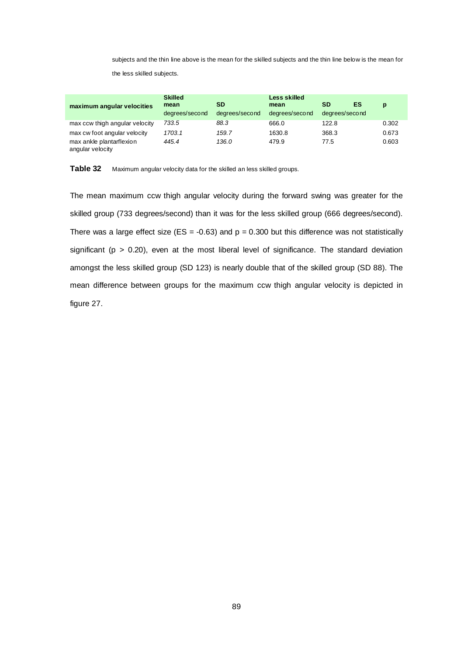subjects and the thin line above is the mean for the skilled subjects and the thin line below is the mean for the less skilled subjects.

| maximum angular velocities                   | <b>Skilled</b><br>mean | SD             | Less skilled<br>mean | <b>SD</b>      | ES | p     |
|----------------------------------------------|------------------------|----------------|----------------------|----------------|----|-------|
|                                              | degrees/second         | degrees/second | degrees/second       | degrees/second |    |       |
| max ccw thigh angular velocity               | 733.5                  | 88.3           | 666.0                | 122.8          |    | 0.302 |
| max cw foot angular velocity                 | 1703.1                 | 159.7          | 1630.8               | 368.3          |    | 0.673 |
| max ankle plantarflexion<br>angular velocity | 445.4                  | 136.0          | 479.9                | 77.5           |    | 0.603 |

**Table 32** Maximum angular velocity data for the skilled an less skilled groups.

The mean maximum ccw thigh angular velocity during the forward swing was greater for the skilled group (733 degrees/second) than it was for the less skilled group (666 degrees/second). There was a large effect size (ES = -0.63) and  $p = 0.300$  but this difference was not statistically significant ( $p > 0.20$ ), even at the most liberal level of significance. The standard deviation amongst the less skilled group (SD 123) is nearly double that of the skilled group (SD 88). The mean difference between groups for the maximum ccw thigh angular velocity is depicted in figure 27.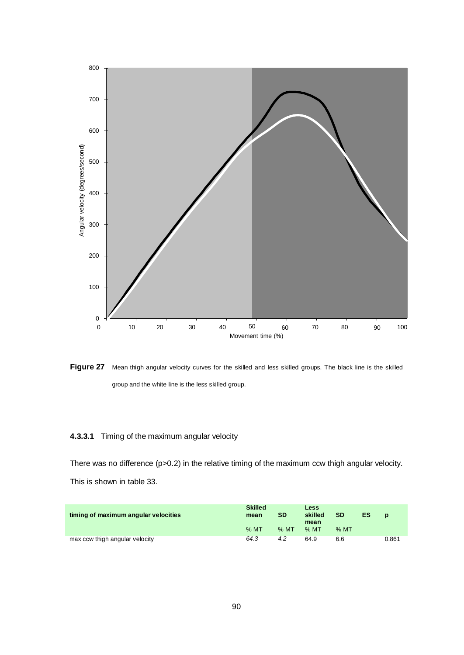

Figure 27 Mean thigh angular velocity curves for the skilled and less skilled groups. The black line is the skilled group and the white line is the less skilled group.

## **4.3.3.1** Timing of the maximum angular velocity

There was no difference (p>0.2) in the relative timing of the maximum ccw thigh angular velocity. This is shown in table 33.

| timing of maximum angular velocities | <b>Skilled</b><br>mean | <b>SD</b> | Less<br>skilled<br>mean | <b>SD</b> | ES | $\mathbf{D}$ |
|--------------------------------------|------------------------|-----------|-------------------------|-----------|----|--------------|
|                                      | $%$ MT                 | $%$ MT    | $%$ MT                  | % MT      |    |              |
| max ccw thigh angular velocity       | 64.3                   | 4.2       | 64.9                    | 6.6       |    | 0.861        |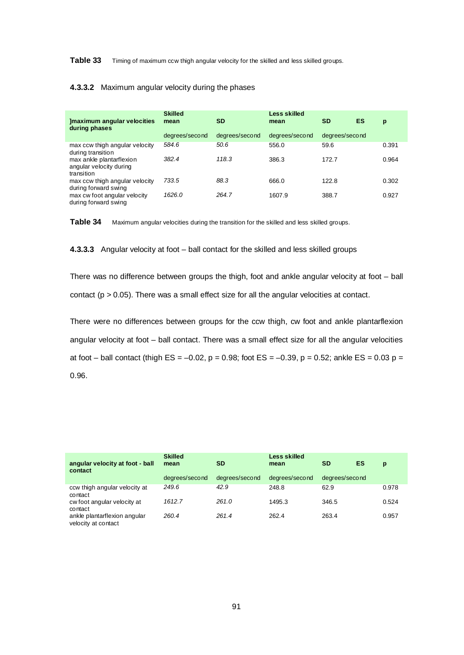**Table 33** Timing of maximum ccw thigh angular velocity for the skilled and less skilled groups.

#### **4.3.3.2** Maximum angular velocity during the phases

| Imaximum angular velocities<br>during phases                      | <b>Skilled</b><br>mean | <b>SD</b>      | Less skilled<br>mean | <b>SD</b>      | ES | p     |
|-------------------------------------------------------------------|------------------------|----------------|----------------------|----------------|----|-------|
|                                                                   | degrees/second         | degrees/second | degrees/second       | degrees/second |    |       |
| max ccw thigh angular velocity<br>during transition               | 584.6                  | 50.6           | 556.0                | 59.6           |    | 0.391 |
| max ankle plantarflexion<br>angular velocity during<br>transition | 382.4                  | 118.3          | 386.3                | 172.7          |    | 0.964 |
| max ccw thigh angular velocity<br>during forward swing            | 733.5                  | 88.3           | 666.0                | 122.8          |    | 0.302 |
| max cw foot angular velocity<br>during forward swing              | 1626.0                 | 264.7          | 1607.9               | 388.7          |    | 0.927 |



**4.3.3.3** Angular velocity at foot – ball contact for the skilled and less skilled groups

There was no difference between groups the thigh, foot and ankle angular velocity at foot – ball contact ( $p > 0.05$ ). There was a small effect size for all the angular velocities at contact.

There were no differences between groups for the ccw thigh, cw foot and ankle plantarflexion angular velocity at foot – ball contact. There was a small effect size for all the angular velocities at foot – ball contact (thigh  $ES = -0.02$ ,  $p = 0.98$ ; foot  $ES = -0.39$ ,  $p = 0.52$ ; ankle  $ES = 0.03$   $p =$ 0.96.

| angular velocity at foot - ball<br>contact          | <b>Skilled</b><br>mean | <b>SD</b>      | Less skilled<br>mean | <b>SD</b>      | ES | p     |
|-----------------------------------------------------|------------------------|----------------|----------------------|----------------|----|-------|
|                                                     | degrees/second         | degrees/second | degrees/second       | degrees/second |    |       |
| ccw thigh angular velocity at<br>contact            | 249.6                  | 42.9           | 248.8                | 62.9           |    | 0.978 |
| cw foot angular velocity at<br>contact              | 1612.7                 | 261.0          | 1495.3               | 346.5          |    | 0.524 |
| ankle plantarflexion angular<br>velocity at contact | 260.4                  | 261.4          | 262.4                | 263.4          |    | 0.957 |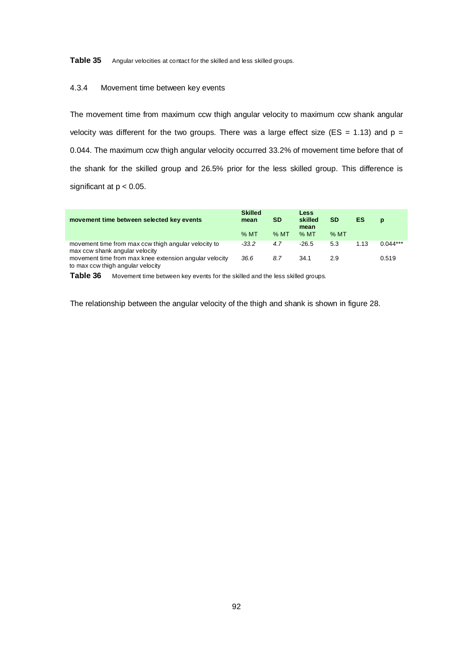**Table 35** Angular velocities at contact for the skilled and less skilled groups.

#### 4.3.4 Movement time between key events

The movement time from maximum ccw thigh angular velocity to maximum ccw shank angular velocity was different for the two groups. There was a large effect size (ES = 1.13) and  $p =$ 0.044. The maximum ccw thigh angular velocity occurred 33.2% of movement time before that of the shank for the skilled group and 26.5% prior for the less skilled group. This difference is significant at  $p < 0.05$ .

| movement time between selected key events                                                   | <b>Skilled</b><br>mean | <b>SD</b> | Less<br>skilled<br>mean | <b>SD</b> | ES   | $\mathbf{D}$ |
|---------------------------------------------------------------------------------------------|------------------------|-----------|-------------------------|-----------|------|--------------|
|                                                                                             | $%$ MT                 | $%$ MT    | $%$ MT                  | $%$ MT    |      |              |
| movement time from max ccw thigh angular velocity to<br>max ccw shank angular velocity      | $-33.2$                | 4.7       | $-26.5$                 | 5.3       | 1.13 | $0.044***$   |
| movement time from max knee extension angular velocity<br>to max ccw thigh angular velocity | 36.6                   | 8.7       | 34.1                    | 29        |      | 0.519        |

Table 36 Movement time between key events for the skilled and the less skilled groups.

The relationship between the angular velocity of the thigh and shank is shown in figure 28.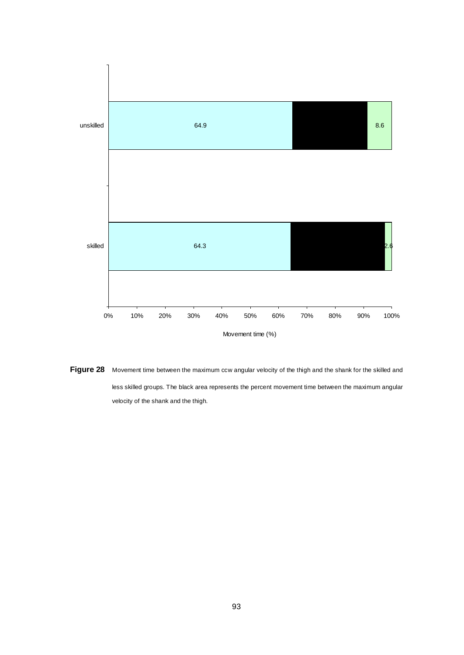

**Figure 28** Movement time between the maximum ccw angular velocity of the thigh and the shank for the skilled and less skilled groups. The black area represents the percent movement time between the maximum angular velocity of the shank and the thigh.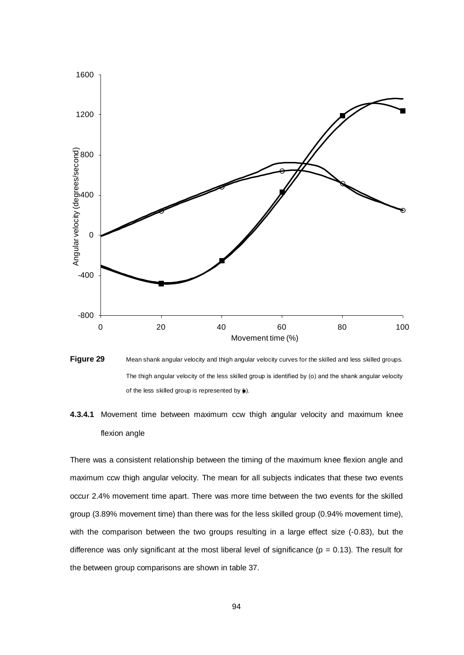

**Figure 29** Mean shank angular velocity and thigh angular velocity curves for the skilled and less skilled groups. The thigh angular velocity of the less skilled group is identified by (o) and the shank angular velocity of the less skilled group is represented by  $($ ).

# **4.3.4.1** Movement time between maximum ccw thigh angular velocity and maximum knee flexion angle

There was a consistent relationship between the timing of the maximum knee flexion angle and maximum ccw thigh angular velocity. The mean for all subjects indicates that these two events occur 2.4% movement time apart. There was more time between the two events for the skilled group (3.89% movement time) than there was for the less skilled group (0.94% movement time), with the comparison between the two groups resulting in a large effect size (-0.83), but the difference was only significant at the most liberal level of significance ( $p = 0.13$ ). The result for the between group comparisons are shown in table 37.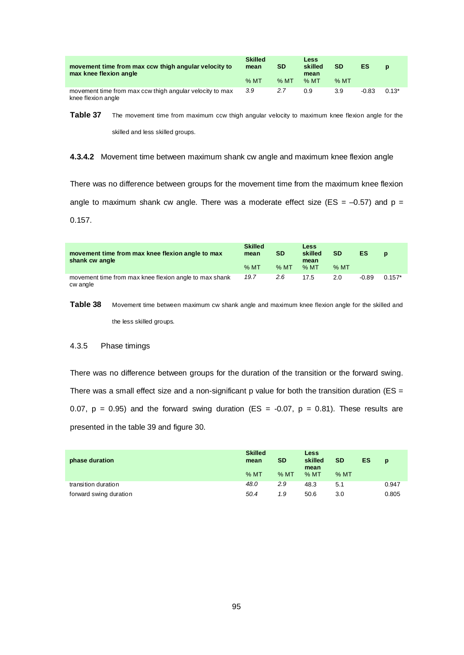| movement time from max ccw thigh angular velocity to<br>max knee flexion angle | <b>Skilled</b><br>mean | <b>SD</b> | Less<br>skilled<br>mean | <b>SD</b> | ES      | $\mathbf{D}$ |
|--------------------------------------------------------------------------------|------------------------|-----------|-------------------------|-----------|---------|--------------|
|                                                                                | $%$ MT                 | $%$ MT    | % MT                    | $%$ MT    |         |              |
| movement time from max ccw thigh angular velocity to max<br>knee flexion angle | 3.9                    | 2.7       | 0.9                     | 3.9       | $-0.83$ | $0.13*$      |

**Table 37** The movement time from maximum ccw thigh angular velocity to maximum knee flexion angle for the

skilled and less skilled groups.

#### **4.3.4.2** Movement time between maximum shank cw angle and maximum knee flexion angle

There was no difference between groups for the movement time from the maximum knee flexion angle to maximum shank cw angle. There was a moderate effect size (ES =  $-0.57$ ) and p = 0.157.

| movement time from max knee flexion angle to max<br>shank cw angle | <b>Skilled</b><br>mean<br>$%$ MT | <b>SD</b><br>$%$ MT | <b>Less</b><br>skilled<br>mean<br>$%$ MT | <b>SD</b><br>$%$ MT | ES      | $\mathbf{D}$ |
|--------------------------------------------------------------------|----------------------------------|---------------------|------------------------------------------|---------------------|---------|--------------|
| movement time from max knee flexion angle to max shank<br>cw angle | 19.7                             | $2.6^{\circ}$       | 17.5                                     | 2.0                 | $-0.89$ | $0.157*$     |

Table 38 Movement time between maximum cw shank angle and maximum knee flexion angle for the skilled and the less skilled groups.

### 4.3.5 Phase timings

There was no difference between groups for the duration of the transition or the forward swing. There was a small effect size and a non-significant  $p$  value for both the transition duration (ES = 0.07,  $p = 0.95$ ) and the forward swing duration (ES = -0.07,  $p = 0.81$ ). These results are presented in the table 39 and figure 30.

| phase duration         | <b>Skilled</b><br>mean | <b>SD</b> | Less<br>skilled<br>mean | <b>SD</b> | <b>ES</b> | $\mathbf{D}$ |
|------------------------|------------------------|-----------|-------------------------|-----------|-----------|--------------|
|                        | %MT                    | $%$ MT    | $%$ MT                  | $%$ MT    |           |              |
| transition duration    | 48.0                   | 2.9       | 48.3                    | 5.1       |           | 0.947        |
| forward swing duration | 50.4                   | 1.9       | 50.6                    | 3.0       |           | 0.805        |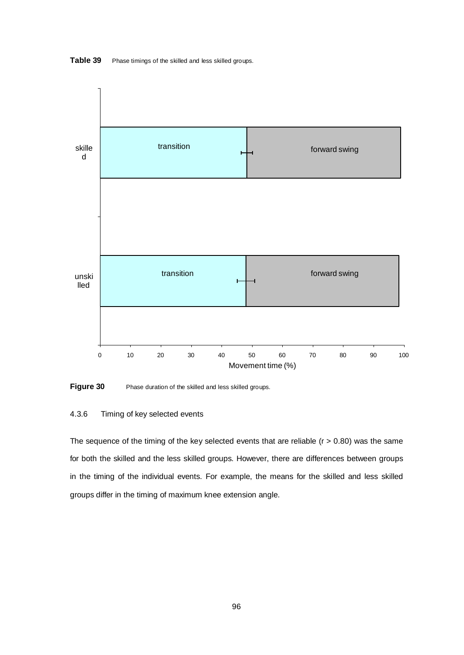

**Table 39** Phase timings of the skilled and less skilled groups.

**Figure 30** Phase duration of the skilled and less skilled groups.

## 4.3.6 Timing of key selected events

The sequence of the timing of the key selected events that are reliable  $(r > 0.80)$  was the same for both the skilled and the less skilled groups. However, there are differences between groups in the timing of the individual events. For example, the means for the skilled and less skilled groups differ in the timing of maximum knee extension angle.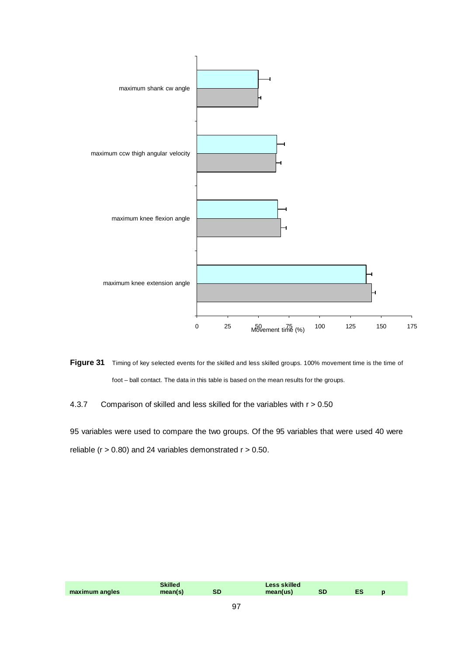

**Figure 31** Timing of key selected events for the skilled and less skilled groups. 100% movement time is the time of foot – ball contact. The data in this table is based on the mean results for the groups.

4.3.7 Comparison of skilled and less skilled for the variables with r > 0.50

95 variables were used to compare the two groups. Of the 95 variables that were used 40 were reliable ( $r > 0.80$ ) and 24 variables demonstrated  $r > 0.50$ .

|                |  |  | skilled |      |  |  |
|----------------|--|--|---------|------|--|--|
| maximum angles |  |  | งเ      | $-4$ |  |  |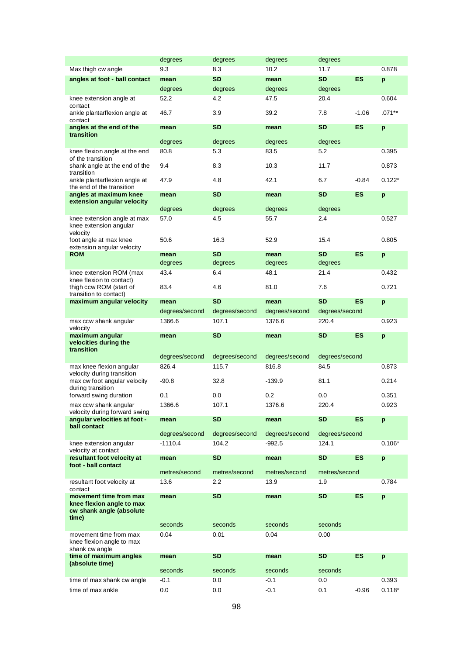|                                                                                          | degrees         | degrees              | degrees         | degrees              |           |          |
|------------------------------------------------------------------------------------------|-----------------|----------------------|-----------------|----------------------|-----------|----------|
| Max thigh cw angle                                                                       | 9.3             | 8.3                  | 10.2            | 11.7                 |           | 0.878    |
| angles at foot - ball contact                                                            | mean            | <b>SD</b>            | mean            | <b>SD</b>            | <b>ES</b> | p        |
|                                                                                          | degrees         | degrees              | degrees         | degrees              |           |          |
| knee extension angle at<br>contact                                                       | 52.2            | 4.2                  | 47.5            | 20.4                 |           | 0.604    |
| ankle plantarflexion angle at<br>contact                                                 | 46.7            | 3.9                  | 39.2            | 7.8                  | $-1.06$   | $.071**$ |
| angles at the end of the<br>transition                                                   | mean            | SD                   | mean            | <b>SD</b>            | ES        | p        |
|                                                                                          | degrees         | degrees              | degrees         | degrees              |           |          |
| knee flexion angle at the end                                                            | 80.8            | 5.3                  | 83.5            | 5.2                  |           | 0.395    |
| of the transition<br>shank angle at the end of the<br>transition                         | 9.4             | 8.3                  | 10.3            | 11.7                 |           | 0.873    |
| ankle plantarflexion angle at<br>the end of the transition                               | 47.9            | 4.8                  | 42.1            | 6.7                  | $-0.84$   | $0.122*$ |
| angles at maximum knee<br>extension angular velocity                                     | mean            | <b>SD</b>            | mean            | <b>SD</b>            | <b>ES</b> | p        |
|                                                                                          | degrees         | degrees              | degrees         | degrees              |           |          |
| knee extension angle at max<br>knee extension angular<br>velocity                        | 57.0            | 4.5                  | 55.7            | 2.4                  |           | 0.527    |
| foot angle at max knee<br>extension angular velocity                                     | 50.6            | 16.3                 | 52.9            | 15.4                 |           | 0.805    |
| <b>ROM</b>                                                                               | mean<br>degrees | <b>SD</b><br>degrees | mean<br>degrees | <b>SD</b><br>degrees | ES        | p        |
| knee extension ROM (max                                                                  | 43.4            | 6.4                  | 48.1            | 21.4                 |           | 0.432    |
| knee flexion to contact)<br>thigh ccw ROM (start of<br>transition to contact)            | 83.4            | 4.6                  | 81.0            | 7.6                  |           | 0.721    |
| maximum angular velocity                                                                 | mean            | <b>SD</b>            | mean            | <b>SD</b>            | ES        | p        |
|                                                                                          | degrees/second  | degrees/second       | degrees/second  | degrees/second       |           |          |
| max ccw shank angular                                                                    | 1366.6          | 107.1                | 1376.6          | 220.4                |           | 0.923    |
| velocity<br>maximum angular<br>velocities during the                                     | mean            | <b>SD</b>            | mean            | <b>SD</b>            | <b>ES</b> | p        |
| transition                                                                               |                 |                      |                 |                      |           |          |
|                                                                                          | degrees/second  | degrees/second       | degrees/second  | degrees/second       |           |          |
| max knee flexion angular                                                                 | 826.4           | 115.7                | 816.8           | 84.5                 |           | 0.873    |
| velocity during transition<br>max cw foot angular velocity<br>during transition          | -90.8           | 32.8                 | $-139.9$        | 81.1                 |           | 0.214    |
| forward swing duration                                                                   | 0.1             | 0.0                  | 0.2             | 0.0                  |           | 0.351    |
| max ccw shank angular<br>velocity during forward swing                                   | 1366.6          | 107.1                | 1376.6          | 220.4                |           | 0.923    |
| angular velocities at foot -<br>ball contact                                             | mean            | SD                   | mean            | <b>SD</b>            | ES        | p        |
|                                                                                          | degrees/second  | degrees/second       | degrees/second  | degrees/second       |           |          |
| knee extension angular<br>velocity at contact                                            | $-1110.4$       | 104.2                | $-992.5$        | 124.1                |           | $0.106*$ |
| resultant foot velocity at<br>foot - ball contact                                        | mean            | SD                   | mean            | <b>SD</b>            | ES        | p        |
|                                                                                          | metres/second   | metres/second        | metres/second   | metres/second        |           |          |
| resultant foot velocity at<br>contact                                                    | 13.6            | 2.2                  | 13.9            | 1.9                  |           | 0.784    |
| movement time from max<br>knee flexion angle to max<br>cw shank angle (absolute<br>time) | mean            | SD                   | mean            | <b>SD</b>            | <b>ES</b> | p        |
|                                                                                          | seconds         | seconds              | seconds         | seconds              |           |          |
| movement time from max<br>knee flexion angle to max                                      | 0.04            | 0.01                 | 0.04            | 0.00                 |           |          |
| shank cw angle<br>time of maximum angles                                                 | mean            | SD                   | mean            | <b>SD</b>            | ES        | p        |
| (absolute time)                                                                          | seconds         | seconds              | seconds         | seconds              |           |          |
| time of max shank cw angle                                                               | -0.1            | 0.0                  | -0.1            | 0.0                  |           | 0.393    |
| time of max ankle                                                                        | 0.0             | 0.0                  | $-0.1$          | 0.1                  | $-0.96$   | $0.118*$ |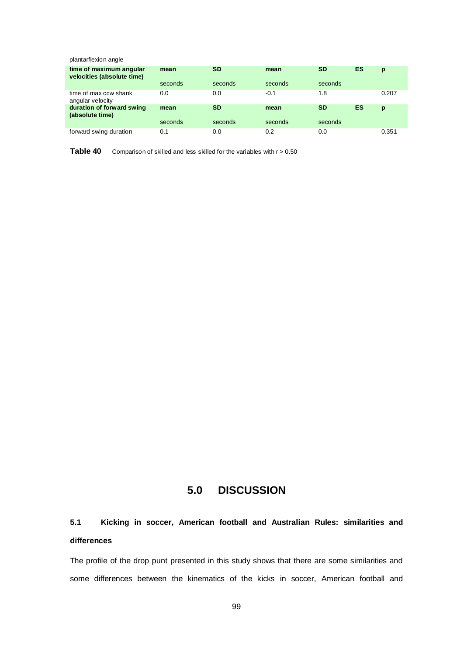| plantarflexion angle                                  |         |           |         |           |    |       |
|-------------------------------------------------------|---------|-----------|---------|-----------|----|-------|
| time of maximum angular<br>velocities (absolute time) | mean    | <b>SD</b> | mean    | <b>SD</b> | ES | p     |
|                                                       | seconds | seconds   | seconds | seconds   |    |       |
| time of max ccw shank<br>angular velocity             | 0.0     | 0.0       | $-0.1$  | 1.8       |    | 0.207 |
| duration of forward swing<br>(absolute time)          | mean    | <b>SD</b> | mean    | <b>SD</b> | ES | p     |
|                                                       | seconds | seconds   | seconds | seconds   |    |       |
| forward swing duration                                | 0.1     | 0.0       | 0.2     | 0.0       |    | 0.351 |

**Table 40** Comparison of skilled and less skilled for the variables with r > 0.50

## **5.0 DISCUSSION**

# **5.1 Kicking in soccer, American football and Australian Rules: similarities and differences**

The profile of the drop punt presented in this study shows that there are some similarities and some differences between the kinematics of the kicks in soccer, American football and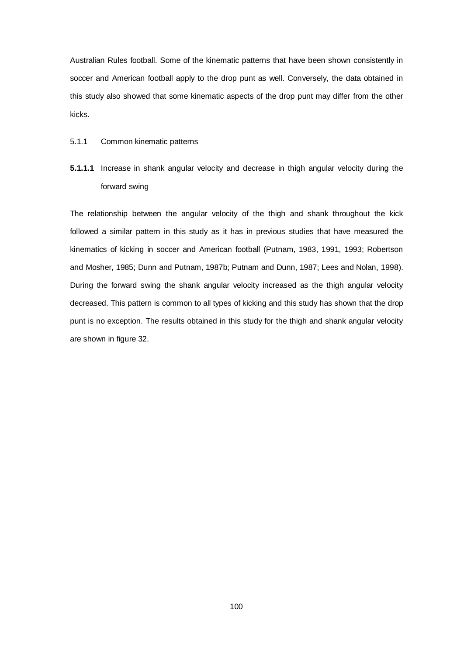Australian Rules football. Some of the kinematic patterns that have been shown consistently in soccer and American football apply to the drop punt as well. Conversely, the data obtained in this study also showed that some kinematic aspects of the drop punt may differ from the other kicks.

#### 5.1.1 Common kinematic patterns

**5.1.1.1** Increase in shank angular velocity and decrease in thigh angular velocity during the forward swing

The relationship between the angular velocity of the thigh and shank throughout the kick followed a similar pattern in this study as it has in previous studies that have measured the kinematics of kicking in soccer and American football (Putnam, 1983, 1991, 1993; Robertson and Mosher, 1985; Dunn and Putnam, 1987b; Putnam and Dunn, 1987; Lees and Nolan, 1998). During the forward swing the shank angular velocity increased as the thigh angular velocity decreased. This pattern is common to all types of kicking and this study has shown that the drop punt is no exception. The results obtained in this study for the thigh and shank angular velocity are shown in figure 32.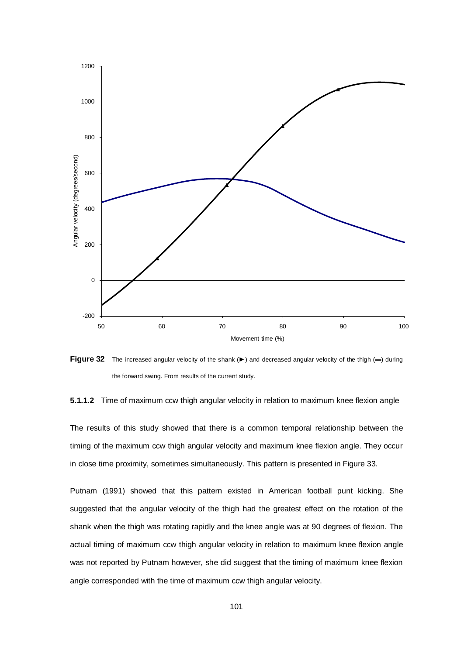

**Figure 32** The increased angular velocity of the shank (►) and decreased angular velocity of the thigh (–) during the forward swing. From results of the current study.

**5.1.1.2** Time of maximum ccw thigh angular velocity in relation to maximum knee flexion angle

The results of this study showed that there is a common temporal relationship between the timing of the maximum ccw thigh angular velocity and maximum knee flexion angle. They occur in close time proximity, sometimes simultaneously. This pattern is presented in Figure 33.

Putnam (1991) showed that this pattern existed in American football punt kicking. She suggested that the angular velocity of the thigh had the greatest effect on the rotation of the shank when the thigh was rotating rapidly and the knee angle was at 90 degrees of flexion. The actual timing of maximum ccw thigh angular velocity in relation to maximum knee flexion angle was not reported by Putnam however, she did suggest that the timing of maximum knee flexion angle corresponded with the time of maximum ccw thigh angular velocity.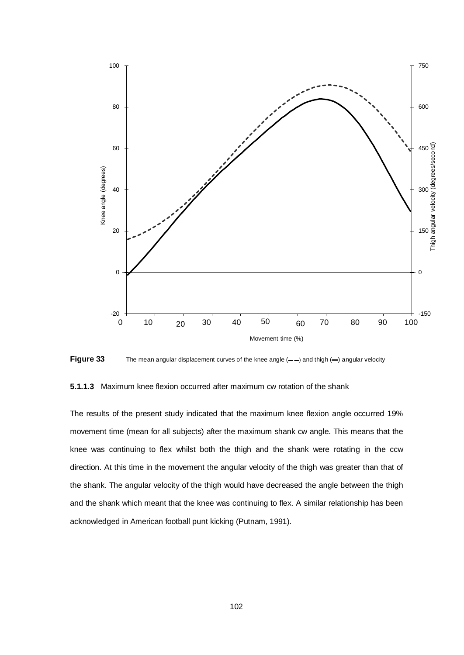

Figure 33 The mean angular displacement curves of the knee angle (——) and thigh (—) angular velocity

**5.1.1.3** Maximum knee flexion occurred after maximum cw rotation of the shank

The results of the present study indicated that the maximum knee flexion angle occurred 19% movement time (mean for all subjects) after the maximum shank cw angle. This means that the knee was continuing to flex whilst both the thigh and the shank were rotating in the ccw direction. At this time in the movement the angular velocity of the thigh was greater than that of the shank. The angular velocity of the thigh would have decreased the angle between the thigh and the shank which meant that the knee was continuing to flex. A similar relationship has been acknowledged in American football punt kicking (Putnam, 1991).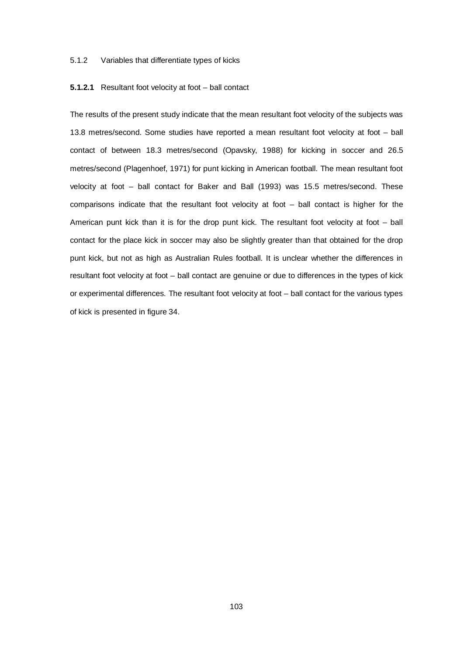#### 5.1.2 Variables that differentiate types of kicks

#### **5.1.2.1** Resultant foot velocity at foot – ball contact

The results of the present study indicate that the mean resultant foot velocity of the subjects was 13.8 metres/second. Some studies have reported a mean resultant foot velocity at foot – ball contact of between 18.3 metres/second (Opavsky, 1988) for kicking in soccer and 26.5 metres/second (Plagenhoef, 1971) for punt kicking in American football. The mean resultant foot velocity at foot – ball contact for Baker and Ball (1993) was 15.5 metres/second. These comparisons indicate that the resultant foot velocity at foot – ball contact is higher for the American punt kick than it is for the drop punt kick. The resultant foot velocity at foot – ball contact for the place kick in soccer may also be slightly greater than that obtained for the drop punt kick, but not as high as Australian Rules football. It is unclear whether the differences in resultant foot velocity at foot – ball contact are genuine or due to differences in the types of kick or experimental differences. The resultant foot velocity at foot – ball contact for the various types of kick is presented in figure 34.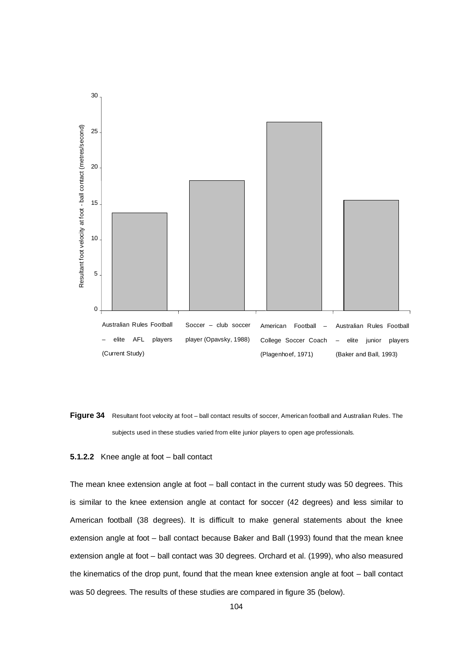

Figure 34 Resultant foot velocity at foot – ball contact results of soccer, American football and Australian Rules. The subjects used in these studies varied from elite junior players to open age professionals.

#### **5.1.2.2** Knee angle at foot – ball contact

The mean knee extension angle at foot – ball contact in the current study was 50 degrees. This is similar to the knee extension angle at contact for soccer (42 degrees) and less similar to American football (38 degrees). It is difficult to make general statements about the knee extension angle at foot – ball contact because Baker and Ball (1993) found that the mean knee extension angle at foot – ball contact was 30 degrees. Orchard et al. (1999), who also measured the kinematics of the drop punt, found that the mean knee extension angle at foot – ball contact was 50 degrees. The results of these studies are compared in figure 35 (below).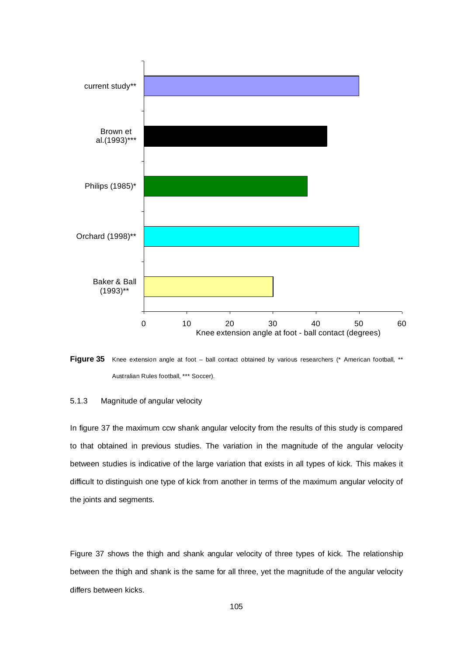



#### 5.1.3 Magnitude of angular velocity

In figure 37 the maximum ccw shank angular velocity from the results of this study is compared to that obtained in previous studies. The variation in the magnitude of the angular velocity between studies is indicative of the large variation that exists in all types of kick. This makes it difficult to distinguish one type of kick from another in terms of the maximum angular velocity of the joints and segments.

Figure 37 shows the thigh and shank angular velocity of three types of kick. The relationship between the thigh and shank is the same for all three, yet the magnitude of the angular velocity differs between kicks.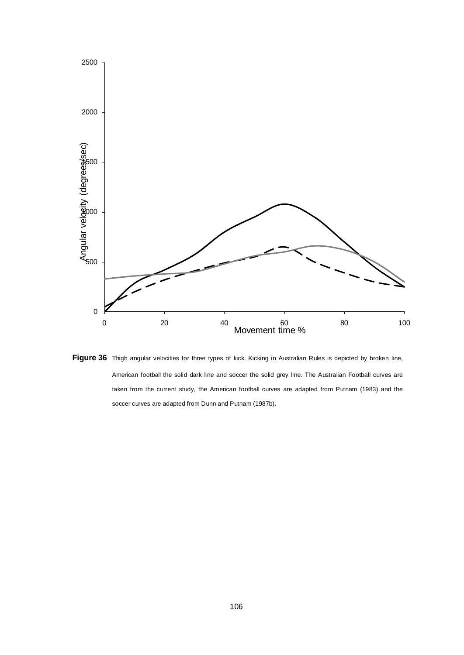

Figure 36 Thigh angular velocities for three types of kick. Kicking in Australian Rules is depicted by broken line, American football the solid dark line and soccer the solid grey line. The Australian Football curves are taken from the current study, the American football curves are adapted from Putnam (1983) and the soccer curves are adapted from Dunn and Putnam (1987b).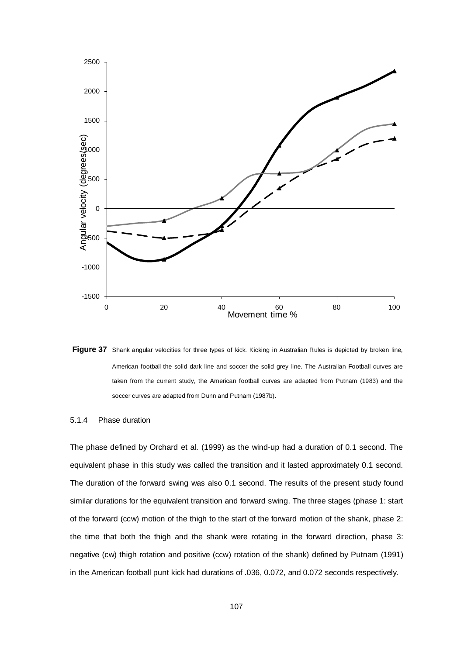

Figure 37 Shank angular velocities for three types of kick. Kicking in Australian Rules is depicted by broken line, American football the solid dark line and soccer the solid grey line. The Australian Football curves are taken from the current study, the American football curves are adapted from Putnam (1983) and the soccer curves are adapted from Dunn and Putnam (1987b).

#### 5.1.4 Phase duration

The phase defined by Orchard et al. (1999) as the wind-up had a duration of 0.1 second. The equivalent phase in this study was called the transition and it lasted approximately 0.1 second. The duration of the forward swing was also 0.1 second. The results of the present study found similar durations for the equivalent transition and forward swing. The three stages (phase 1: start of the forward (ccw) motion of the thigh to the start of the forward motion of the shank, phase 2: the time that both the thigh and the shank were rotating in the forward direction, phase 3: negative (cw) thigh rotation and positive (ccw) rotation of the shank) defined by Putnam (1991) in the American football punt kick had durations of .036, 0.072, and 0.072 seconds respectively.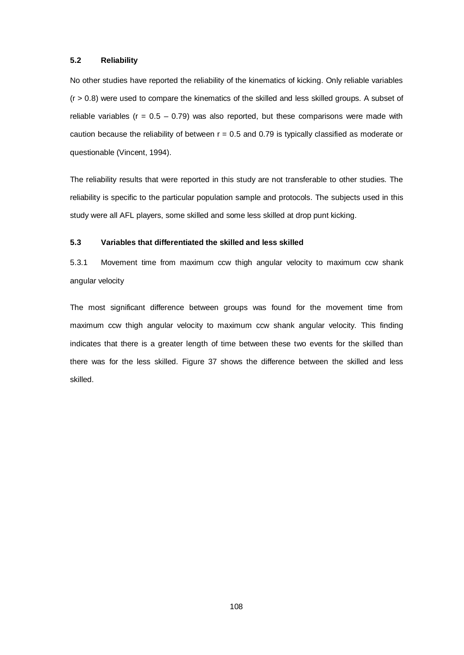### **5.2 Reliability**

No other studies have reported the reliability of the kinematics of kicking. Only reliable variables  $(r > 0.8)$  were used to compare the kinematics of the skilled and less skilled groups. A subset of reliable variables ( $r = 0.5 - 0.79$ ) was also reported, but these comparisons were made with caution because the reliability of between  $r = 0.5$  and 0.79 is typically classified as moderate or questionable (Vincent, 1994).

The reliability results that were reported in this study are not transferable to other studies. The reliability is specific to the particular population sample and protocols. The subjects used in this study were all AFL players, some skilled and some less skilled at drop punt kicking.

### **5.3 Variables that differentiated the skilled and less skilled**

5.3.1 Movement time from maximum ccw thigh angular velocity to maximum ccw shank angular velocity

The most significant difference between groups was found for the movement time from maximum ccw thigh angular velocity to maximum ccw shank angular velocity. This finding indicates that there is a greater length of time between these two events for the skilled than there was for the less skilled. Figure 37 shows the difference between the skilled and less skilled.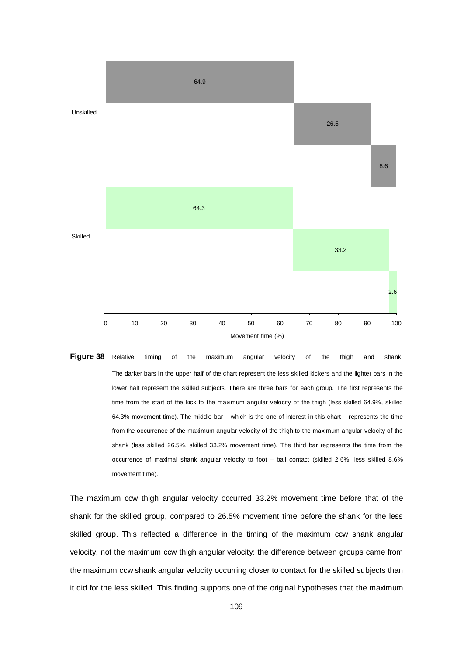

**Figure 38** Relative timing of the maximum angular velocity of the thigh and shank. The darker bars in the upper half of the chart represent the less skilled kickers and the lighter bars in the lower half represent the skilled subjects. There are three bars for each group. The first represents the time from the start of the kick to the maximum angular velocity of the thigh (less skilled 64.9%, skilled 64.3% movement time). The middle bar – which is the one of interest in this chart – represents the time from the occurrence of the maximum angular velocity of the thigh to the maximum angular velocity of the shank (less skilled 26.5%, skilled 33.2% movement time). The third bar represents the time from the occurrence of maximal shank angular velocity to foot – ball contact (skilled 2.6%, less skilled 8.6% movement time).

The maximum ccw thigh angular velocity occurred 33.2% movement time before that of the shank for the skilled group, compared to 26.5% movement time before the shank for the less skilled group. This reflected a difference in the timing of the maximum ccw shank angular velocity, not the maximum ccw thigh angular velocity: the difference between groups came from the maximum ccw shank angular velocity occurring closer to contact for the skilled subjects than it did for the less skilled. This finding supports one of the original hypotheses that the maximum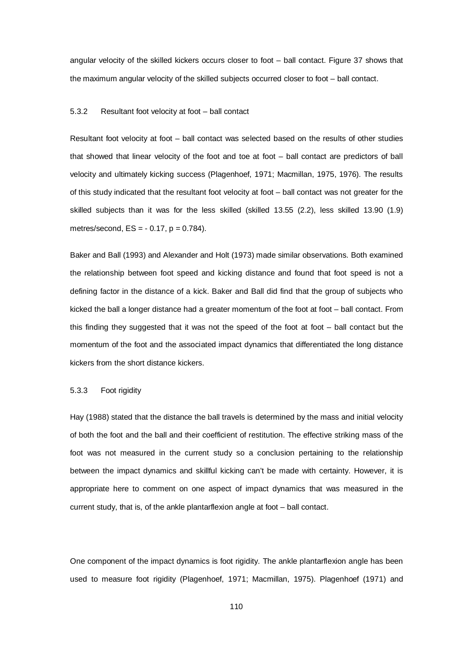angular velocity of the skilled kickers occurs closer to foot – ball contact. Figure 37 shows that the maximum angular velocity of the skilled subjects occurred closer to foot – ball contact.

#### 5.3.2 Resultant foot velocity at foot – ball contact

Resultant foot velocity at foot – ball contact was selected based on the results of other studies that showed that linear velocity of the foot and toe at foot – ball contact are predictors of ball velocity and ultimately kicking success (Plagenhoef, 1971; Macmillan, 1975, 1976). The results of this study indicated that the resultant foot velocity at foot – ball contact was not greater for the skilled subjects than it was for the less skilled (skilled 13.55 (2.2), less skilled 13.90 (1.9) metres/second,  $ES = -0.17$ ,  $p = 0.784$ ).

Baker and Ball (1993) and Alexander and Holt (1973) made similar observations. Both examined the relationship between foot speed and kicking distance and found that foot speed is not a defining factor in the distance of a kick. Baker and Ball did find that the group of subjects who kicked the ball a longer distance had a greater momentum of the foot at foot – ball contact. From this finding they suggested that it was not the speed of the foot at foot – ball contact but the momentum of the foot and the associated impact dynamics that differentiated the long distance kickers from the short distance kickers.

#### 5.3.3 Foot rigidity

Hay (1988) stated that the distance the ball travels is determined by the mass and initial velocity of both the foot and the ball and their coefficient of restitution. The effective striking mass of the foot was not measured in the current study so a conclusion pertaining to the relationship between the impact dynamics and skillful kicking can't be made with certainty. However, it is appropriate here to comment on one aspect of impact dynamics that was measured in the current study, that is, of the ankle plantarflexion angle at foot – ball contact.

One component of the impact dynamics is foot rigidity. The ankle plantarflexion angle has been used to measure foot rigidity (Plagenhoef, 1971; Macmillan, 1975). Plagenhoef (1971) and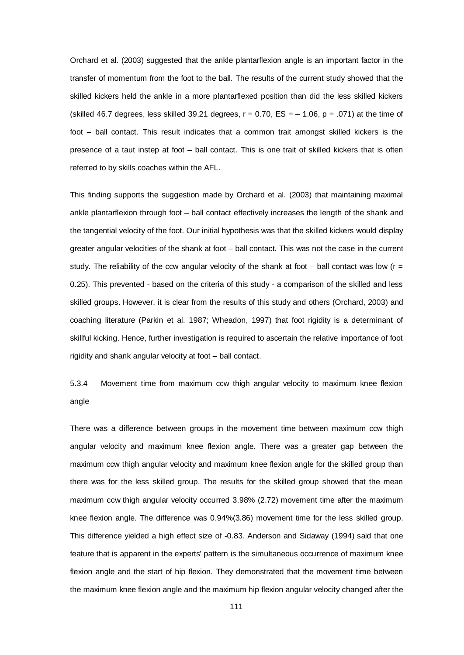Orchard et al. (2003) suggested that the ankle plantarflexion angle is an important factor in the transfer of momentum from the foot to the ball. The results of the current study showed that the skilled kickers held the ankle in a more plantarflexed position than did the less skilled kickers (skilled 46.7 degrees, less skilled 39.21 degrees,  $r = 0.70$ ,  $ES = -1.06$ ,  $p = .071$ ) at the time of foot – ball contact. This result indicates that a common trait amongst skilled kickers is the presence of a taut instep at foot – ball contact. This is one trait of skilled kickers that is often referred to by skills coaches within the AFL.

This finding supports the suggestion made by Orchard et al. (2003) that maintaining maximal ankle plantarflexion through foot – ball contact effectively increases the length of the shank and the tangential velocity of the foot. Our initial hypothesis was that the skilled kickers would display greater angular velocities of the shank at foot – ball contact. This was not the case in the current study. The reliability of the ccw angular velocity of the shank at foot – ball contact was low ( $r =$ 0.25). This prevented - based on the criteria of this study - a comparison of the skilled and less skilled groups. However, it is clear from the results of this study and others (Orchard, 2003) and coaching literature (Parkin et al. 1987; Wheadon, 1997) that foot rigidity is a determinant of skillful kicking. Hence, further investigation is required to ascertain the relative importance of foot rigidity and shank angular velocity at foot – ball contact.

5.3.4 Movement time from maximum ccw thigh angular velocity to maximum knee flexion angle

There was a difference between groups in the movement time between maximum ccw thigh angular velocity and maximum knee flexion angle. There was a greater gap between the maximum ccw thigh angular velocity and maximum knee flexion angle for the skilled group than there was for the less skilled group. The results for the skilled group showed that the mean maximum ccw thigh angular velocity occurred 3.98% (2.72) movement time after the maximum knee flexion angle. The difference was 0.94%(3.86) movement time for the less skilled group. This difference yielded a high effect size of -0.83. Anderson and Sidaway (1994) said that one feature that is apparent in the experts' pattern is the simultaneous occurrence of maximum knee flexion angle and the start of hip flexion. They demonstrated that the movement time between the maximum knee flexion angle and the maximum hip flexion angular velocity changed after the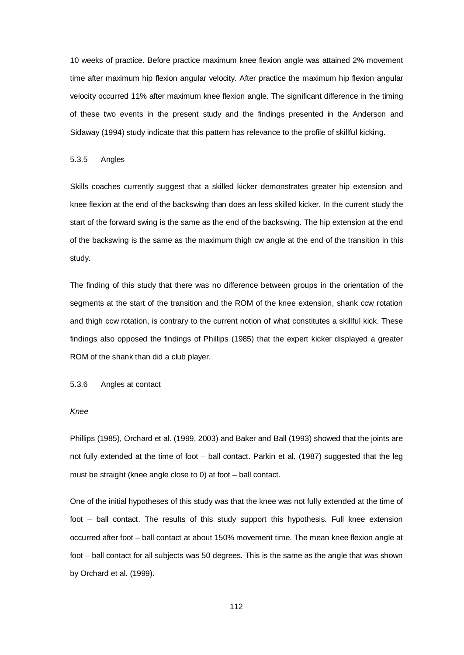10 weeks of practice. Before practice maximum knee flexion angle was attained 2% movement time after maximum hip flexion angular velocity. After practice the maximum hip flexion angular velocity occurred 11% after maximum knee flexion angle. The significant difference in the timing of these two events in the present study and the findings presented in the Anderson and Sidaway (1994) study indicate that this pattern has relevance to the profile of skillful kicking.

#### 5.3.5 Angles

Skills coaches currently suggest that a skilled kicker demonstrates greater hip extension and knee flexion at the end of the backswing than does an less skilled kicker. In the current study the start of the forward swing is the same as the end of the backswing. The hip extension at the end of the backswing is the same as the maximum thigh cw angle at the end of the transition in this study.

The finding of this study that there was no difference between groups in the orientation of the segments at the start of the transition and the ROM of the knee extension, shank ccw rotation and thigh ccw rotation, is contrary to the current notion of what constitutes a skillful kick. These findings also opposed the findings of Phillips (1985) that the expert kicker displayed a greater ROM of the shank than did a club player.

5.3.6 Angles at contact

### *Knee*

Phillips (1985), Orchard et al. (1999, 2003) and Baker and Ball (1993) showed that the joints are not fully extended at the time of foot – ball contact. Parkin et al. (1987) suggested that the leg must be straight (knee angle close to 0) at foot – ball contact.

One of the initial hypotheses of this study was that the knee was not fully extended at the time of foot – ball contact. The results of this study support this hypothesis. Full knee extension occurred after foot – ball contact at about 150% movement time. The mean knee flexion angle at foot – ball contact for all subjects was 50 degrees. This is the same as the angle that was shown by Orchard et al. (1999).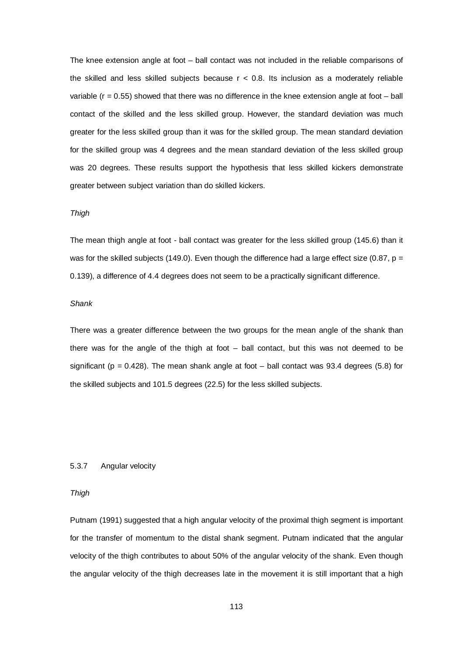The knee extension angle at foot – ball contact was not included in the reliable comparisons of the skilled and less skilled subjects because  $r < 0.8$ . Its inclusion as a moderately reliable variable ( $r = 0.55$ ) showed that there was no difference in the knee extension angle at foot – ball contact of the skilled and the less skilled group. However, the standard deviation was much greater for the less skilled group than it was for the skilled group. The mean standard deviation for the skilled group was 4 degrees and the mean standard deviation of the less skilled group was 20 degrees. These results support the hypothesis that less skilled kickers demonstrate greater between subject variation than do skilled kickers.

#### *Thigh*

The mean thigh angle at foot - ball contact was greater for the less skilled group (145.6) than it was for the skilled subjects (149.0). Even though the difference had a large effect size (0.87,  $p =$ 0.139), a difference of 4.4 degrees does not seem to be a practically significant difference.

#### *Shank*

There was a greater difference between the two groups for the mean angle of the shank than there was for the angle of the thigh at foot – ball contact, but this was not deemed to be significant ( $p = 0.428$ ). The mean shank angle at foot – ball contact was 93.4 degrees (5.8) for the skilled subjects and 101.5 degrees (22.5) for the less skilled subjects.

### 5.3.7 Angular velocity

#### *Thigh*

Putnam (1991) suggested that a high angular velocity of the proximal thigh segment is important for the transfer of momentum to the distal shank segment. Putnam indicated that the angular velocity of the thigh contributes to about 50% of the angular velocity of the shank. Even though the angular velocity of the thigh decreases late in the movement it is still important that a high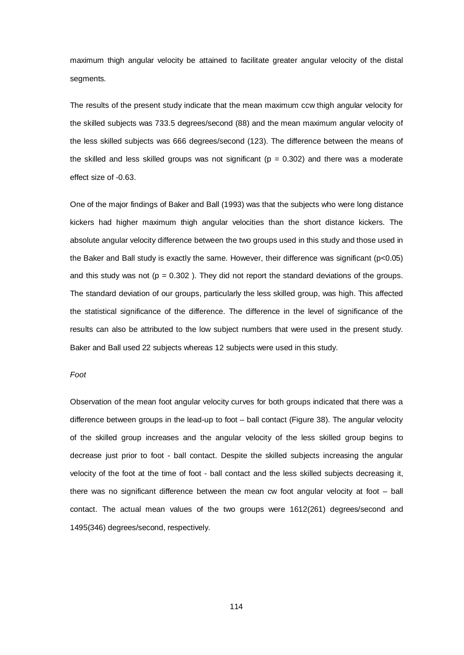maximum thigh angular velocity be attained to facilitate greater angular velocity of the distal segments.

The results of the present study indicate that the mean maximum ccw thigh angular velocity for the skilled subjects was 733.5 degrees/second (88) and the mean maximum angular velocity of the less skilled subjects was 666 degrees/second (123). The difference between the means of the skilled and less skilled groups was not significant ( $p = 0.302$ ) and there was a moderate effect size of -0.63.

One of the major findings of Baker and Ball (1993) was that the subjects who were long distance kickers had higher maximum thigh angular velocities than the short distance kickers. The absolute angular velocity difference between the two groups used in this study and those used in the Baker and Ball study is exactly the same. However, their difference was significant (p<0.05) and this study was not ( $p = 0.302$ ). They did not report the standard deviations of the groups. The standard deviation of our groups, particularly the less skilled group, was high. This affected the statistical significance of the difference. The difference in the level of significance of the results can also be attributed to the low subject numbers that were used in the present study. Baker and Ball used 22 subjects whereas 12 subjects were used in this study.

#### *Foot*

Observation of the mean foot angular velocity curves for both groups indicated that there was a difference between groups in the lead-up to foot – ball contact (Figure 38). The angular velocity of the skilled group increases and the angular velocity of the less skilled group begins to decrease just prior to foot - ball contact. Despite the skilled subjects increasing the angular velocity of the foot at the time of foot - ball contact and the less skilled subjects decreasing it, there was no significant difference between the mean cw foot angular velocity at foot – ball contact. The actual mean values of the two groups were 1612(261) degrees/second and 1495(346) degrees/second, respectively.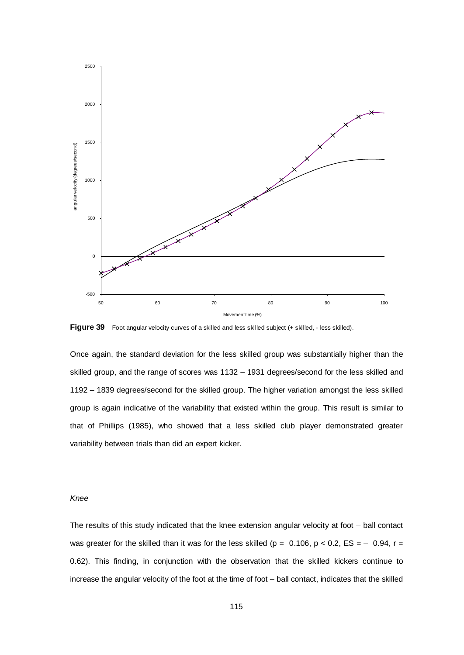

**Figure 39** Foot angular velocity curves of a skilled and less skilled subject (+ skilled, - less skilled).

Once again, the standard deviation for the less skilled group was substantially higher than the skilled group, and the range of scores was 1132 – 1931 degrees/second for the less skilled and 1192 – 1839 degrees/second for the skilled group. The higher variation amongst the less skilled group is again indicative of the variability that existed within the group. This result is similar to that of Phillips (1985), who showed that a less skilled club player demonstrated greater variability between trials than did an expert kicker.

# *Knee*

The results of this study indicated that the knee extension angular velocity at foot – ball contact was greater for the skilled than it was for the less skilled ( $p = 0.106$ ,  $p < 0.2$ ,  $ES = -0.94$ ,  $r =$ 0.62). This finding, in conjunction with the observation that the skilled kickers continue to increase the angular velocity of the foot at the time of foot – ball contact, indicates that the skilled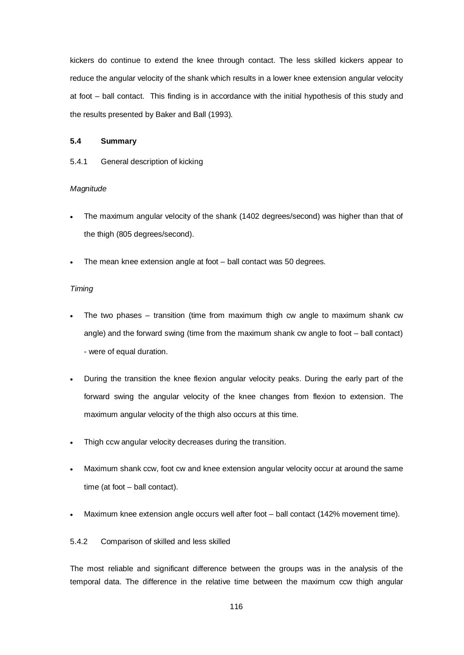kickers do continue to extend the knee through contact. The less skilled kickers appear to reduce the angular velocity of the shank which results in a lower knee extension angular velocity at foot – ball contact. This finding is in accordance with the initial hypothesis of this study and the results presented by Baker and Ball (1993).

# **5.4 Summary**

### 5.4.1 General description of kicking

#### *Magnitude*

- The maximum angular velocity of the shank (1402 degrees/second) was higher than that of the thigh (805 degrees/second).
- The mean knee extension angle at foot ball contact was 50 degrees.

#### *Timing*

- The two phases  $-$  transition (time from maximum thigh cw angle to maximum shank cw angle) and the forward swing (time from the maximum shank cw angle to foot – ball contact) - were of equal duration.
- During the transition the knee flexion angular velocity peaks. During the early part of the forward swing the angular velocity of the knee changes from flexion to extension. The maximum angular velocity of the thigh also occurs at this time.
- Thigh ccw angular velocity decreases during the transition.
- Maximum shank ccw, foot cw and knee extension angular velocity occur at around the same time (at foot – ball contact).
- Maximum knee extension angle occurs well after foot ball contact (142% movement time).

### 5.4.2 Comparison of skilled and less skilled

The most reliable and significant difference between the groups was in the analysis of the temporal data. The difference in the relative time between the maximum ccw thigh angular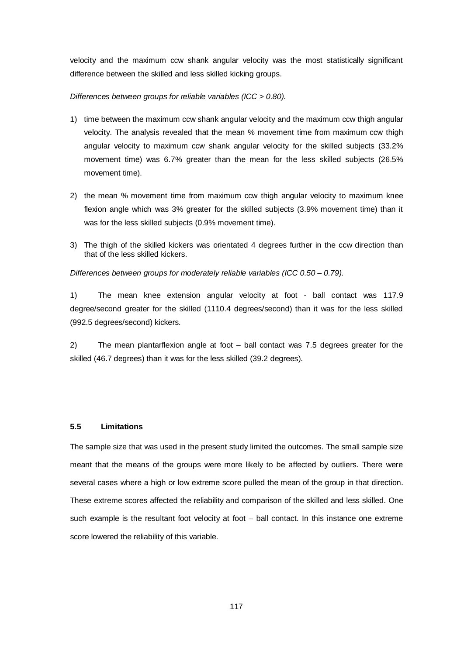velocity and the maximum ccw shank angular velocity was the most statistically significant difference between the skilled and less skilled kicking groups.

# *Differences between groups for reliable variables (ICC > 0.80).*

- 1) time between the maximum ccw shank angular velocity and the maximum ccw thigh angular velocity. The analysis revealed that the mean % movement time from maximum ccw thigh angular velocity to maximum ccw shank angular velocity for the skilled subjects (33.2% movement time) was 6.7% greater than the mean for the less skilled subjects (26.5% movement time).
- 2) the mean % movement time from maximum ccw thigh angular velocity to maximum knee flexion angle which was 3% greater for the skilled subjects (3.9% movement time) than it was for the less skilled subjects (0.9% movement time).
- 3) The thigh of the skilled kickers was orientated 4 degrees further in the ccw direction than that of the less skilled kickers.

*Differences between groups for moderately reliable variables (ICC 0.50 – 0.79).*

1) The mean knee extension angular velocity at foot - ball contact was 117.9 degree/second greater for the skilled (1110.4 degrees/second) than it was for the less skilled (992.5 degrees/second) kickers.

2) The mean plantarflexion angle at foot – ball contact was 7.5 degrees greater for the skilled (46.7 degrees) than it was for the less skilled (39.2 degrees).

#### **5.5 Limitations**

The sample size that was used in the present study limited the outcomes. The small sample size meant that the means of the groups were more likely to be affected by outliers. There were several cases where a high or low extreme score pulled the mean of the group in that direction. These extreme scores affected the reliability and comparison of the skilled and less skilled. One such example is the resultant foot velocity at foot – ball contact. In this instance one extreme score lowered the reliability of this variable.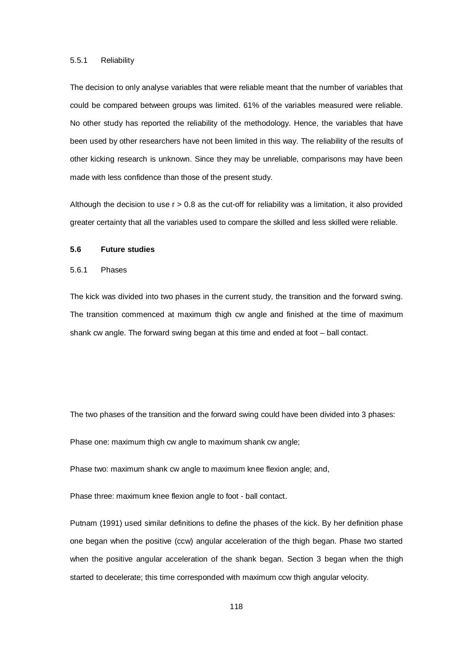#### 5.5.1 Reliability

The decision to only analyse variables that were reliable meant that the number of variables that could be compared between groups was limited. 61% of the variables measured were reliable. No other study has reported the reliability of the methodology. Hence, the variables that have been used by other researchers have not been limited in this way. The reliability of the results of other kicking research is unknown. Since they may be unreliable, comparisons may have been made with less confidence than those of the present study.

Although the decision to use  $r > 0.8$  as the cut-off for reliability was a limitation, it also provided greater certainty that all the variables used to compare the skilled and less skilled were reliable.

#### **5.6 Future studies**

5.6.1 Phases

The kick was divided into two phases in the current study, the transition and the forward swing. The transition commenced at maximum thigh cw angle and finished at the time of maximum shank cw angle. The forward swing began at this time and ended at foot – ball contact.

The two phases of the transition and the forward swing could have been divided into 3 phases:

Phase one: maximum thigh cw angle to maximum shank cw angle;

Phase two: maximum shank cw angle to maximum knee flexion angle; and,

Phase three: maximum knee flexion angle to foot - ball contact.

Putnam (1991) used similar definitions to define the phases of the kick. By her definition phase one began when the positive (ccw) angular acceleration of the thigh began. Phase two started when the positive angular acceleration of the shank began. Section 3 began when the thigh started to decelerate; this time corresponded with maximum ccw thigh angular velocity.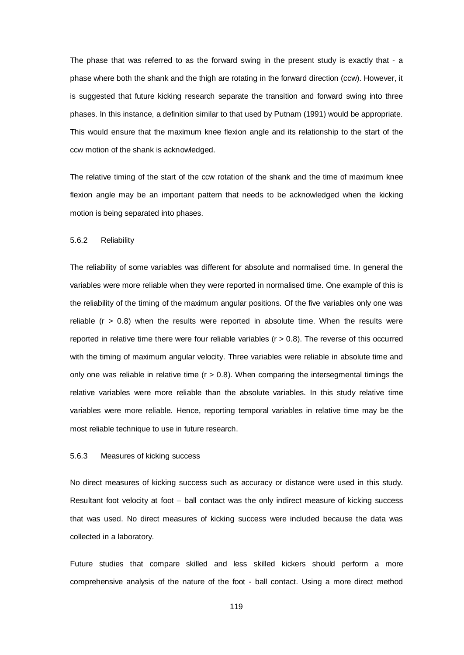The phase that was referred to as the forward swing in the present study is exactly that - a phase where both the shank and the thigh are rotating in the forward direction (ccw). However, it is suggested that future kicking research separate the transition and forward swing into three phases. In this instance, a definition similar to that used by Putnam (1991) would be appropriate. This would ensure that the maximum knee flexion angle and its relationship to the start of the ccw motion of the shank is acknowledged.

The relative timing of the start of the ccw rotation of the shank and the time of maximum knee flexion angle may be an important pattern that needs to be acknowledged when the kicking motion is being separated into phases.

#### 5.6.2 Reliability

The reliability of some variables was different for absolute and normalised time. In general the variables were more reliable when they were reported in normalised time. One example of this is the reliability of the timing of the maximum angular positions. Of the five variables only one was reliable  $(r > 0.8)$  when the results were reported in absolute time. When the results were reported in relative time there were four reliable variables ( $r > 0.8$ ). The reverse of this occurred with the timing of maximum angular velocity. Three variables were reliable in absolute time and only one was reliable in relative time  $(r > 0.8)$ . When comparing the intersegmental timings the relative variables were more reliable than the absolute variables. In this study relative time variables were more reliable. Hence, reporting temporal variables in relative time may be the most reliable technique to use in future research.

#### 5.6.3 Measures of kicking success

No direct measures of kicking success such as accuracy or distance were used in this study. Resultant foot velocity at foot – ball contact was the only indirect measure of kicking success that was used. No direct measures of kicking success were included because the data was collected in a laboratory.

Future studies that compare skilled and less skilled kickers should perform a more comprehensive analysis of the nature of the foot - ball contact. Using a more direct method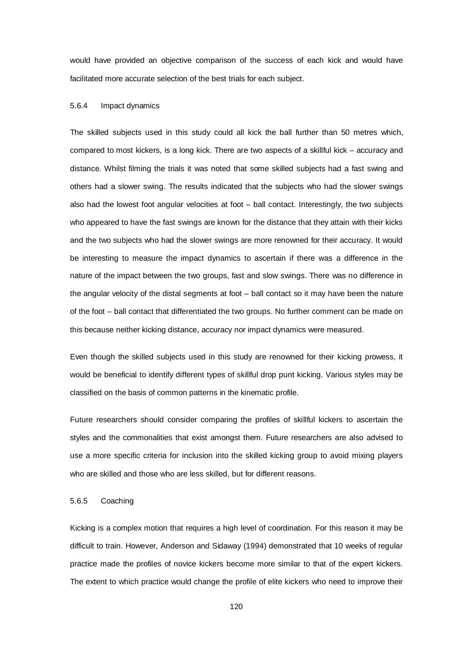would have provided an objective comparison of the success of each kick and would have facilitated more accurate selection of the best trials for each subject.

#### 5.6.4 Impact dynamics

The skilled subjects used in this study could all kick the ball further than 50 metres which, compared to most kickers, is a long kick. There are two aspects of a skillful kick – accuracy and distance. Whilst filming the trials it was noted that some skilled subjects had a fast swing and others had a slower swing. The results indicated that the subjects who had the slower swings also had the lowest foot angular velocities at foot – ball contact. Interestingly, the two subjects who appeared to have the fast swings are known for the distance that they attain with their kicks and the two subjects who had the slower swings are more renowned for their accuracy. It would be interesting to measure the impact dynamics to ascertain if there was a difference in the nature of the impact between the two groups, fast and slow swings. There was no difference in the angular velocity of the distal segments at foot – ball contact so it may have been the nature of the foot – ball contact that differentiated the two groups. No further comment can be made on this because neither kicking distance, accuracy nor impact dynamics were measured.

Even though the skilled subjects used in this study are renowned for their kicking prowess, it would be beneficial to identify different types of skillful drop punt kicking. Various styles may be classified on the basis of common patterns in the kinematic profile.

Future researchers should consider comparing the profiles of skillful kickers to ascertain the styles and the commonalities that exist amongst them. Future researchers are also advised to use a more specific criteria for inclusion into the skilled kicking group to avoid mixing players who are skilled and those who are less skilled, but for different reasons.

#### 5.6.5 Coaching

Kicking is a complex motion that requires a high level of coordination. For this reason it may be difficult to train. However, Anderson and Sidaway (1994) demonstrated that 10 weeks of regular practice made the profiles of novice kickers become more similar to that of the expert kickers. The extent to which practice would change the profile of elite kickers who need to improve their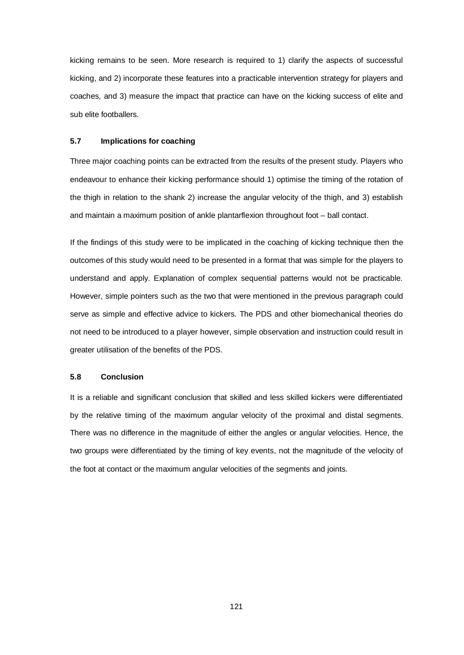kicking remains to be seen. More research is required to 1) clarify the aspects of successful kicking, and 2) incorporate these features into a practicable intervention strategy for players and coaches, and 3) measure the impact that practice can have on the kicking success of elite and sub elite footballers.

# **5.7 Implications for coaching**

Three major coaching points can be extracted from the results of the present study. Players who endeavour to enhance their kicking performance should 1) optimise the timing of the rotation of the thigh in relation to the shank 2) increase the angular velocity of the thigh, and 3) establish and maintain a maximum position of ankle plantarflexion throughout foot – ball contact.

If the findings of this study were to be implicated in the coaching of kicking technique then the outcomes of this study would need to be presented in a format that was simple for the players to understand and apply. Explanation of complex sequential patterns would not be practicable. However, simple pointers such as the two that were mentioned in the previous paragraph could serve as simple and effective advice to kickers. The PDS and other biomechanical theories do not need to be introduced to a player however, simple observation and instruction could result in greater utilisation of the benefits of the PDS.

#### **5.8 Conclusion**

It is a reliable and significant conclusion that skilled and less skilled kickers were differentiated by the relative timing of the maximum angular velocity of the proximal and distal segments. There was no difference in the magnitude of either the angles or angular velocities. Hence, the two groups were differentiated by the timing of key events, not the magnitude of the velocity of the foot at contact or the maximum angular velocities of the segments and joints.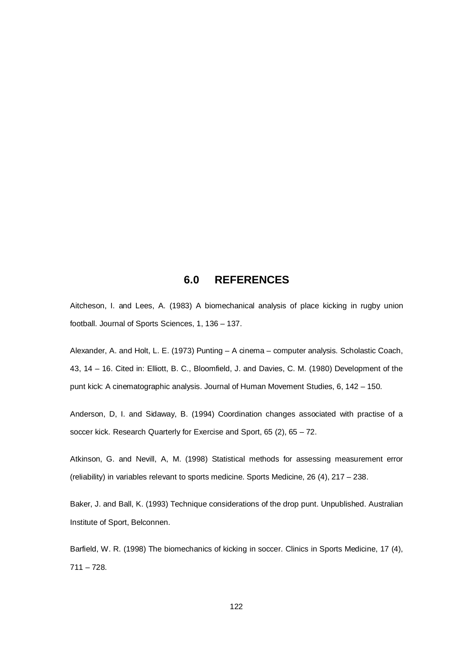# **6.0 REFERENCES**

Aitcheson, I. and Lees, A. (1983) A biomechanical analysis of place kicking in rugby union football. Journal of Sports Sciences, 1, 136 – 137.

Alexander, A. and Holt, L. E. (1973) Punting – A cinema – computer analysis. Scholastic Coach, 43, 14 – 16. Cited in: Elliott, B. C., Bloomfield, J. and Davies, C. M. (1980) Development of the punt kick: A cinematographic analysis. Journal of Human Movement Studies, 6, 142 – 150.

Anderson, D, I. and Sidaway, B. (1994) Coordination changes associated with practise of a soccer kick. Research Quarterly for Exercise and Sport, 65 (2), 65 – 72.

Atkinson, G. and Nevill, A, M. (1998) Statistical methods for assessing measurement error (reliability) in variables relevant to sports medicine. Sports Medicine, 26 (4), 217 – 238.

Baker, J. and Ball, K. (1993) Technique considerations of the drop punt. Unpublished. Australian Institute of Sport, Belconnen.

Barfield, W. R. (1998) The biomechanics of kicking in soccer. Clinics in Sports Medicine, 17 (4),  $711 - 728.$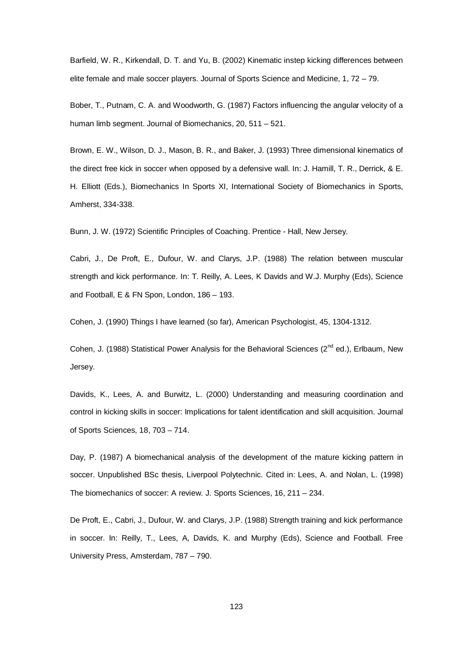Barfield, W. R., Kirkendall, D. T. and Yu, B. (2002) Kinematic instep kicking differences between elite female and male soccer players. Journal of Sports Science and Medicine, 1, 72 – 79.

Bober, T., Putnam, C. A. and Woodworth, G. (1987) Factors influencing the angular velocity of a human limb segment. Journal of Biomechanics, 20, 511 – 521.

Brown, E. W., Wilson, D. J., Mason, B. R., and Baker, J. (1993) Three dimensional kinematics of the direct free kick in soccer when opposed by a defensive wall. In: J. Hamill, T. R., Derrick, & E. H. Elliott (Eds.), Biomechanics In Sports XI, International Society of Biomechanics in Sports, Amherst, 334-338.

Bunn, J. W. (1972) Scientific Principles of Coaching. Prentice - Hall, New Jersey.

Cabri, J., De Proft, E., Dufour, W. and Clarys, J.P. (1988) The relation between muscular strength and kick performance. In: T. Reilly, A. Lees, K Davids and W.J. Murphy (Eds), Science and Football, E & FN Spon, London, 186 – 193.

Cohen, J. (1990) Things I have learned (so far), American Psychologist, 45, 1304-1312.

Cohen, J. (1988) Statistical Power Analysis for the Behavioral Sciences ( $2^{nd}$  ed.), Erlbaum, New Jersey.

Davids, K., Lees, A. and Burwitz, L. (2000) Understanding and measuring coordination and control in kicking skills in soccer: Implications for talent identification and skill acquisition. Journal of Sports Sciences, 18, 703 – 714.

Day, P. (1987) A biomechanical analysis of the development of the mature kicking pattern in soccer. Unpublished BSc thesis, Liverpool Polytechnic. Cited in: Lees, A. and Nolan, L. (1998) The biomechanics of soccer: A review. J. Sports Sciences, 16, 211 – 234.

De Proft, E., Cabri, J., Dufour, W. and Clarys, J.P. (1988) Strength training and kick performance in soccer. In: Reilly, T., Lees, A, Davids, K. and Murphy (Eds), Science and Football. Free University Press, Amsterdam, 787 – 790.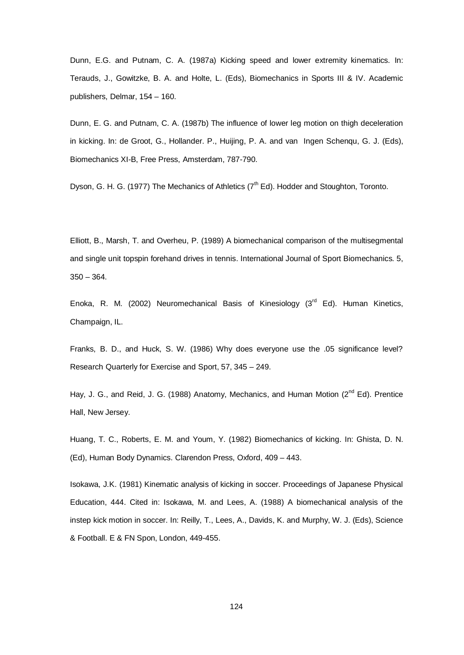Dunn, E.G. and Putnam, C. A. (1987a) Kicking speed and lower extremity kinematics. In: Terauds, J., Gowitzke, B. A. and Holte, L. (Eds), Biomechanics in Sports III & IV. Academic publishers, Delmar, 154 – 160.

Dunn, E. G. and Putnam, C. A. (1987b) The influence of lower leg motion on thigh deceleration in kicking. In: de Groot, G., Hollander. P., Huijing, P. A. and van Ingen Schenqu, G. J. (Eds), Biomechanics XI-B, Free Press, Amsterdam, 787-790.

Dyson, G. H. G. (1977) The Mechanics of Athletics (7<sup>th</sup> Ed). Hodder and Stoughton, Toronto.

Elliott, B., Marsh, T. and Overheu, P. (1989) A biomechanical comparison of the multisegmental and single unit topspin forehand drives in tennis. International Journal of Sport Biomechanics. 5,  $350 - 364.$ 

Enoka, R. M. (2002) Neuromechanical Basis of Kinesiology ( $3<sup>rd</sup>$  Ed). Human Kinetics, Champaign, IL.

Franks, B. D., and Huck, S. W. (1986) Why does everyone use the .05 significance level? Research Quarterly for Exercise and Sport, 57, 345 – 249.

Hay, J. G., and Reid, J. G. (1988) Anatomy, Mechanics, and Human Motion (2<sup>nd</sup> Ed). Prentice Hall, New Jersey.

Huang, T. C., Roberts, E. M. and Youm, Y. (1982) Biomechanics of kicking. In: Ghista, D. N. (Ed), Human Body Dynamics. Clarendon Press, Oxford, 409 – 443.

Isokawa, J.K. (1981) Kinematic analysis of kicking in soccer. Proceedings of Japanese Physical Education, 444. Cited in: Isokawa, M. and Lees, A. (1988) A biomechanical analysis of the instep kick motion in soccer. In: Reilly, T., Lees, A., Davids, K. and Murphy, W. J. (Eds), Science & Football. E & FN Spon, London, 449-455.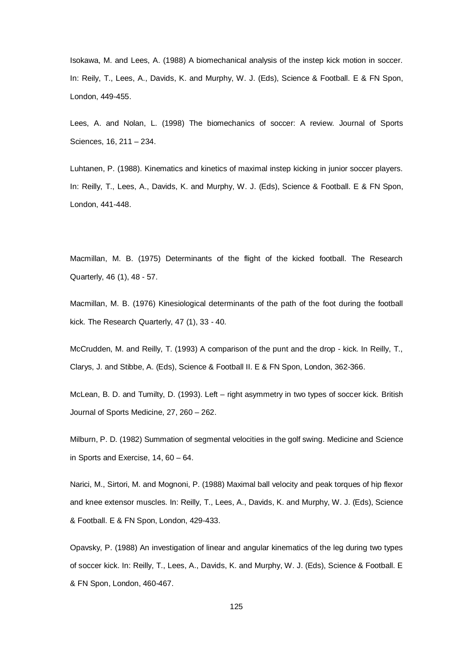Isokawa, M. and Lees, A. (1988) A biomechanical analysis of the instep kick motion in soccer. In: Reily, T., Lees, A., Davids, K. and Murphy, W. J. (Eds), Science & Football. E & FN Spon, London, 449-455.

Lees, A. and Nolan, L. (1998) The biomechanics of soccer: A review. Journal of Sports Sciences, 16, 211 – 234.

Luhtanen, P. (1988). Kinematics and kinetics of maximal instep kicking in junior soccer players. In: Reilly, T., Lees, A., Davids, K. and Murphy, W. J. (Eds), Science & Football. E & FN Spon, London, 441-448.

Macmillan, M. B. (1975) Determinants of the flight of the kicked football. The Research Quarterly, 46 (1), 48 - 57.

Macmillan, M. B. (1976) Kinesiological determinants of the path of the foot during the football kick. The Research Quarterly, 47 (1), 33 - 40.

McCrudden, M. and Reilly, T. (1993) A comparison of the punt and the drop - kick. In Reilly, T., Clarys, J. and Stibbe, A. (Eds), Science & Football II. E & FN Spon, London, 362-366.

McLean, B. D. and Tumilty, D. (1993). Left – right asymmetry in two types of soccer kick. British Journal of Sports Medicine, 27, 260 – 262.

Milburn, P. D. (1982) Summation of segmental velocities in the golf swing. Medicine and Science in Sports and Exercise, 14, 60 – 64.

Narici, M., Sirtori, M. and Mognoni, P. (1988) Maximal ball velocity and peak torques of hip flexor and knee extensor muscles. In: Reilly, T., Lees, A., Davids, K. and Murphy, W. J. (Eds), Science & Football. E & FN Spon, London, 429-433.

Opavsky, P. (1988) An investigation of linear and angular kinematics of the leg during two types of soccer kick. In: Reilly, T., Lees, A., Davids, K. and Murphy, W. J. (Eds), Science & Football. E & FN Spon, London, 460-467.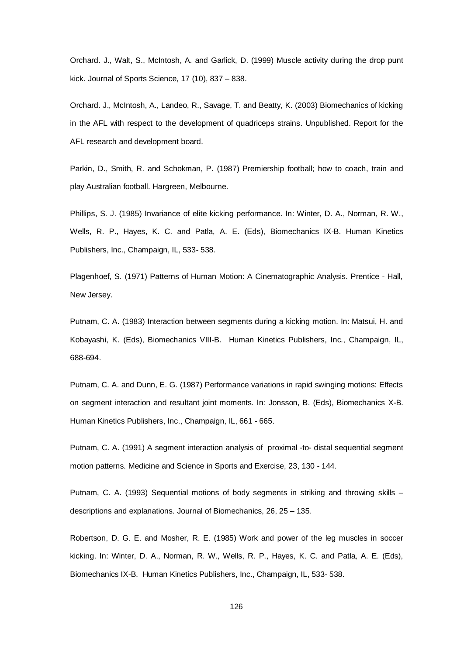Orchard. J., Walt, S., McIntosh, A. and Garlick, D. (1999) Muscle activity during the drop punt kick. Journal of Sports Science, 17 (10), 837 – 838.

Orchard. J., McIntosh, A., Landeo, R., Savage, T. and Beatty, K. (2003) Biomechanics of kicking in the AFL with respect to the development of quadriceps strains. Unpublished. Report for the AFL research and development board.

Parkin, D., Smith, R. and Schokman, P. (1987) Premiership football; how to coach, train and play Australian football. Hargreen, Melbourne.

Phillips, S. J. (1985) Invariance of elite kicking performance. In: Winter, D. A., Norman, R. W., Wells, R. P., Hayes, K. C. and Patla, A. E. (Eds), Biomechanics IX-B. Human Kinetics Publishers, Inc., Champaign, IL, 533- 538.

Plagenhoef, S. (1971) Patterns of Human Motion: A Cinematographic Analysis. Prentice - Hall, New Jersey.

Putnam, C. A. (1983) Interaction between segments during a kicking motion. In: Matsui, H. and Kobayashi, K. (Eds), Biomechanics VIII-B. Human Kinetics Publishers, Inc., Champaign, IL, 688-694.

Putnam, C. A. and Dunn, E. G. (1987) Performance variations in rapid swinging motions: Effects on segment interaction and resultant joint moments. In: Jonsson, B. (Eds), Biomechanics X-B. Human Kinetics Publishers, Inc., Champaign, IL, 661 - 665.

Putnam, C. A. (1991) A segment interaction analysis of proximal -to- distal sequential segment motion patterns. Medicine and Science in Sports and Exercise, 23, 130 - 144.

Putnam, C. A. (1993) Sequential motions of body segments in striking and throwing skills – descriptions and explanations. Journal of Biomechanics, 26, 25 – 135.

Robertson, D. G. E. and Mosher, R. E. (1985) Work and power of the leg muscles in soccer kicking. In: Winter, D. A., Norman, R. W., Wells, R. P., Hayes, K. C. and Patla, A. E. (Eds), Biomechanics IX-B. Human Kinetics Publishers, Inc., Champaign, IL, 533- 538.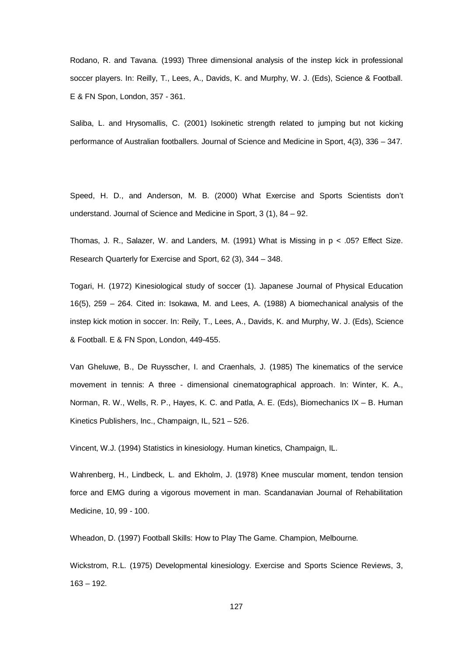Rodano, R. and Tavana. (1993) Three dimensional analysis of the instep kick in professional soccer players. In: Reilly, T., Lees, A., Davids, K. and Murphy, W. J. (Eds), Science & Football. E & FN Spon, London, 357 - 361.

Saliba, L. and Hrysomallis, C. (2001) Isokinetic strength related to jumping but not kicking performance of Australian footballers. Journal of Science and Medicine in Sport, 4(3), 336 – 347.

Speed, H. D., and Anderson, M. B. (2000) What Exercise and Sports Scientists don't understand. Journal of Science and Medicine in Sport, 3 (1), 84 – 92.

Thomas, J. R., Salazer, W. and Landers, M. (1991) What is Missing in  $p < .05$ ? Effect Size. Research Quarterly for Exercise and Sport, 62 (3), 344 – 348.

Togari, H. (1972) Kinesiological study of soccer (1). Japanese Journal of Physical Education 16(5), 259 – 264. Cited in: Isokawa, M. and Lees, A. (1988) A biomechanical analysis of the instep kick motion in soccer. In: Reily, T., Lees, A., Davids, K. and Murphy, W. J. (Eds), Science & Football. E & FN Spon, London, 449-455.

Van Gheluwe, B., De Ruysscher, I. and Craenhals, J. (1985) The kinematics of the service movement in tennis: A three - dimensional cinematographical approach. In: Winter, K. A., Norman, R. W., Wells, R. P., Hayes, K. C. and Patla, A. E. (Eds), Biomechanics IX – B. Human Kinetics Publishers, Inc., Champaign, IL, 521 – 526.

Vincent, W.J. (1994) Statistics in kinesiology. Human kinetics, Champaign, IL.

Wahrenberg, H., Lindbeck, L. and Ekholm, J. (1978) Knee muscular moment, tendon tension force and EMG during a vigorous movement in man. Scandanavian Journal of Rehabilitation Medicine, 10, 99 - 100.

Wheadon, D. (1997) Football Skills: How to Play The Game. Champion, Melbourne.

Wickstrom, R.L. (1975) Developmental kinesiology. Exercise and Sports Science Reviews, 3,  $163 - 192.$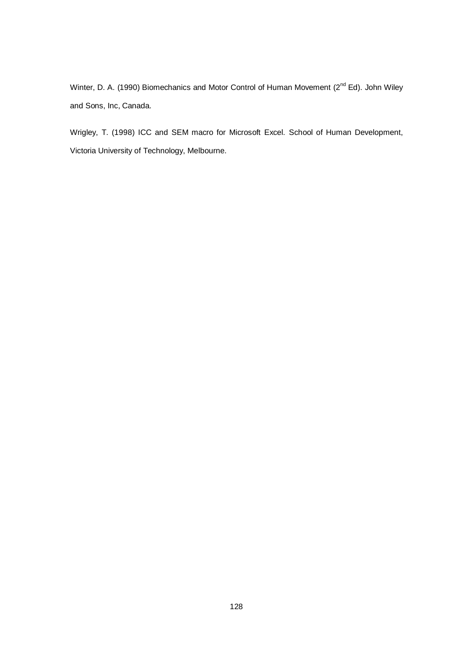Winter, D. A. (1990) Biomechanics and Motor Control of Human Movement (2<sup>nd</sup> Ed). John Wiley and Sons, Inc, Canada.

Wrigley, T. (1998) ICC and SEM macro for Microsoft Excel. School of Human Development, Victoria University of Technology, Melbourne.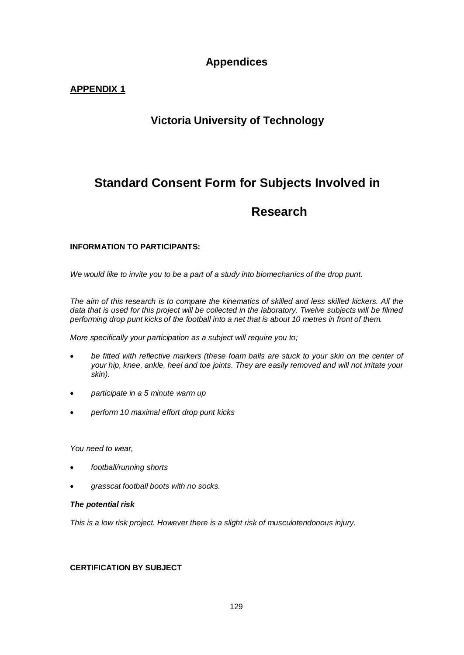# **Appendices**

# **APPENDIX 1**

# **Victoria University of Technology**

# **Standard Consent Form for Subjects Involved in**

# **Research**

# **INFORMATION TO PARTICIPANTS:**

*We would like to invite you to be a part of a study into biomechanics of the drop punt.* 

*The aim of this research is to compare the kinematics of skilled and less skilled kickers. All the*  data that is used for this project will be collected in the laboratory. Twelve subjects will be filmed *performing drop punt kicks of the football into a net that is about 10 metres in front of them.* 

*More specifically your participation as a subject will require you to;*

- *be fitted with reflective markers (these foam balls are stuck to your skin on the center of your hip, knee, ankle, heel and toe joints. They are easily removed and will not irritate your skin).*
- *participate in a 5 minute warm up*
- *perform 10 maximal effort drop punt kicks*

*You need to wear,* 

- *football/running shorts*
- *grasscat football boots with no socks.*

# *The potential risk*

*This is a low risk project. However there is a slight risk of musculotendonous injury.*

# **CERTIFICATION BY SUBJECT**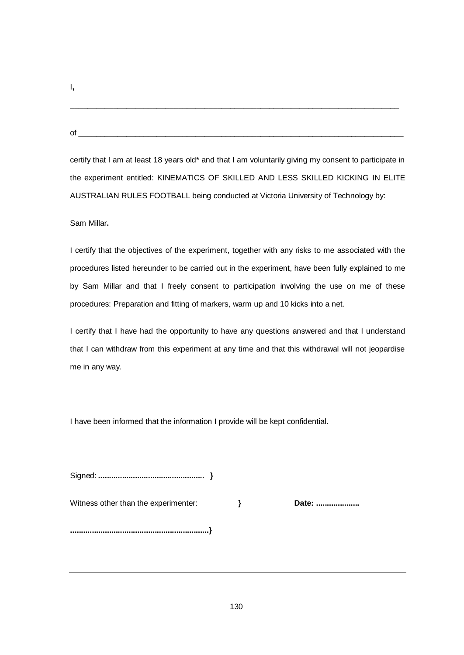I**,** 

of \_\_\_\_\_\_\_\_\_\_\_\_\_\_\_\_\_\_\_\_\_\_\_\_\_\_\_\_\_\_\_\_\_\_\_\_\_\_\_\_\_\_\_\_\_\_\_\_\_\_\_\_\_\_\_\_\_\_\_\_\_\_\_\_\_\_\_\_\_\_\_\_\_\_\_

certify that I am at least 18 years old\* and that I am voluntarily giving my consent to participate in the experiment entitled: KINEMATICS OF SKILLED AND LESS SKILLED KICKING IN ELITE AUSTRALIAN RULES FOOTBALL being conducted at Victoria University of Technology by:

**\_\_\_\_\_\_\_\_\_\_\_\_\_\_\_\_\_\_\_\_\_\_\_\_\_\_\_\_\_\_\_\_\_\_\_\_\_\_\_\_\_\_\_\_\_\_\_\_\_\_\_\_\_\_\_\_\_\_\_\_\_\_\_\_\_\_\_\_\_\_\_\_\_\_\_\_**

# Sam Millar**.**

I certify that the objectives of the experiment, together with any risks to me associated with the procedures listed hereunder to be carried out in the experiment, have been fully explained to me by Sam Millar and that I freely consent to participation involving the use on me of these procedures: Preparation and fitting of markers, warm up and 10 kicks into a net.

I certify that I have had the opportunity to have any questions answered and that I understand that I can withdraw from this experiment at any time and that this withdrawal will not jeopardise me in any way.

I have been informed that the information I provide will be kept confidential.

Signed: **................................................. }**

Witness other than the experimenter: **BEF } Date:** ..........................

**................................................................}**